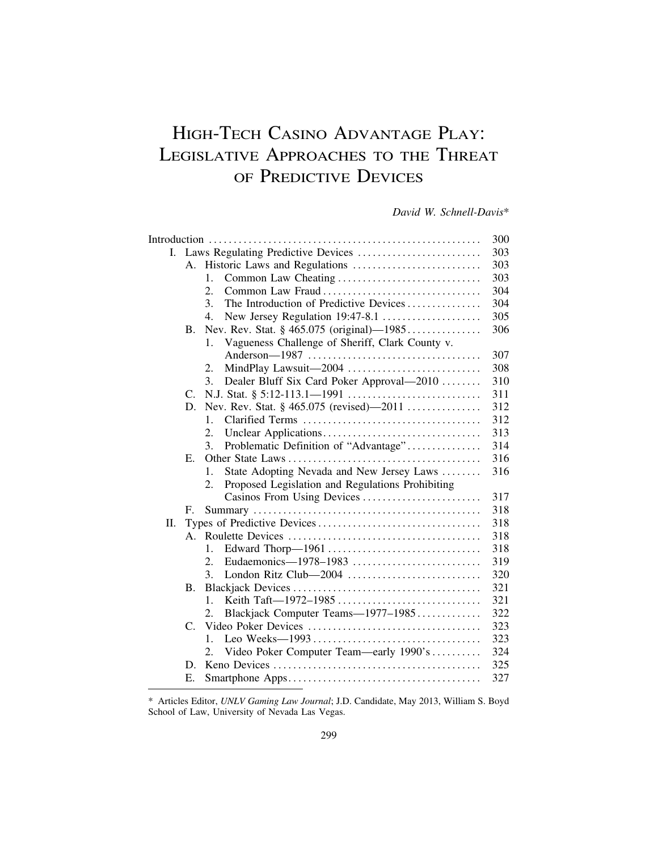# HIGH-TECH CASINO ADVANTAGE PLAY: LEGISLATIVE APPROACHES TO THE THREAT OF PREDICTIVE DEVICES

*David W. Schnell-Davis*\*

|    |             |                                                        | 303 |  |
|----|-------------|--------------------------------------------------------|-----|--|
|    | A.          |                                                        | 303 |  |
|    |             | 1.                                                     | 303 |  |
|    |             | Common Law Fraud<br>2.                                 | 304 |  |
|    |             | The Introduction of Predictive Devices<br>3.           | 304 |  |
|    |             | New Jersey Regulation 19:47-8.1<br>4.                  | 305 |  |
|    | <b>B.</b>   |                                                        | 306 |  |
|    |             | Vagueness Challenge of Sheriff, Clark County v.<br>1.  |     |  |
|    |             |                                                        | 307 |  |
|    |             | MindPlay Lawsuit-2004<br>2.                            | 308 |  |
|    |             | Dealer Bluff Six Card Poker Approval—2010<br>3.        | 310 |  |
|    | $C_{\cdot}$ |                                                        | 311 |  |
|    | D.          | Nev. Rev. Stat. § 465.075 (revised)—2011               | 312 |  |
|    |             | $\mathbf{1}$ .                                         | 312 |  |
|    |             | 2.                                                     | 313 |  |
|    |             | Problematic Definition of "Advantage"<br>3.            | 314 |  |
|    | Е.          |                                                        | 316 |  |
|    |             | State Adopting Nevada and New Jersey Laws<br>1.        | 316 |  |
|    |             | Proposed Legislation and Regulations Prohibiting<br>2. |     |  |
|    |             | Casinos From Using Devices                             | 317 |  |
|    | F.          |                                                        | 318 |  |
| Π. |             |                                                        | 318 |  |
|    | $A_{\cdot}$ |                                                        | 318 |  |
|    |             | Edward Thorp-1961<br>1.                                | 318 |  |
|    |             | Eudaemonics-1978-1983<br>$\overline{2}$ .              | 319 |  |
|    |             | London Ritz Club-2004<br>3.                            | 320 |  |
|    | <b>B.</b>   |                                                        | 321 |  |
|    |             | 1.                                                     | 321 |  |
|    |             | Blackjack Computer Teams-1977-1985<br>2.               | 322 |  |
|    | C.          |                                                        | 323 |  |
|    |             | 1.                                                     | 323 |  |
|    |             | Video Poker Computer Team—early 1990's<br>2.           | 324 |  |
|    | D.          |                                                        | 325 |  |
|    | Е.          |                                                        | 327 |  |

<sup>\*</sup> Articles Editor, *UNLV Gaming Law Journal*; J.D. Candidate, May 2013, William S. Boyd School of Law, University of Nevada Las Vegas.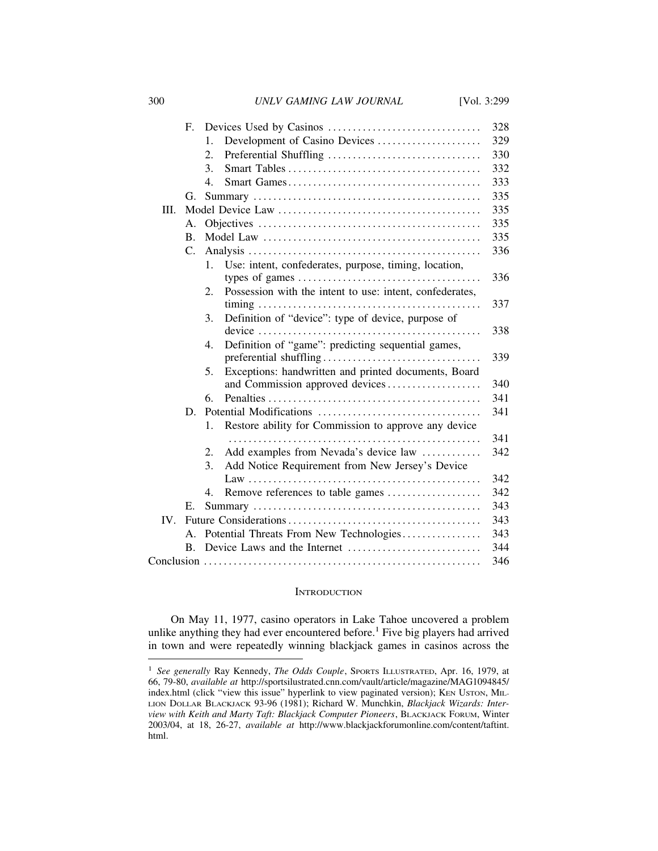300 *UNLV GAMING LAW JOURNAL* [Vol. 3:299

|      | F.             |                                                                                          | 328        |  |
|------|----------------|------------------------------------------------------------------------------------------|------------|--|
|      |                | Development of Casino Devices<br>1.                                                      | 329        |  |
|      |                | Preferential Shuffling<br>2.                                                             | 330        |  |
|      |                | 3.                                                                                       | 332        |  |
|      |                | $\overline{4}$ .                                                                         | 333        |  |
|      |                |                                                                                          |            |  |
|      | G.             |                                                                                          | 335<br>335 |  |
| III. |                |                                                                                          |            |  |
|      | А.             |                                                                                          | 335        |  |
|      | <b>B.</b>      |                                                                                          | 335        |  |
|      | C.             |                                                                                          | 336        |  |
|      |                | Use: intent, confederates, purpose, timing, location,<br>$\mathbf{1}$ .                  |            |  |
|      |                | types of games $\dots \dots \dots \dots \dots \dots \dots \dots \dots \dots \dots \dots$ | 336        |  |
|      |                | Possession with the intent to use: intent, confederates,<br>2.                           |            |  |
|      |                |                                                                                          | 337        |  |
|      |                | Definition of "device": type of device, purpose of<br>3.                                 |            |  |
|      |                |                                                                                          | 338        |  |
|      |                | Definition of "game": predicting sequential games,<br>4.                                 |            |  |
|      |                |                                                                                          | 339        |  |
|      |                | Exceptions: handwritten and printed documents, Board<br>5.                               |            |  |
|      |                | and Commission approved devices                                                          | 340        |  |
|      |                | 6.                                                                                       | 341        |  |
|      | D.             |                                                                                          | 341        |  |
|      |                | Restore ability for Commission to approve any device<br>1.                               |            |  |
|      |                |                                                                                          | 341        |  |
|      |                | Add examples from Nevada's device law<br>2.                                              | 342        |  |
|      |                | Add Notice Requirement from New Jersey's Device<br>3.                                    |            |  |
|      |                |                                                                                          | 342        |  |
|      |                | Remove references to table games<br>4.                                                   | 342        |  |
|      | Е.             |                                                                                          | 343        |  |
| IV.  |                |                                                                                          | 343        |  |
|      | $\mathsf{A}$ . | Potential Threats From New Technologies                                                  | 343        |  |
|      | $\mathbf{B}$ . | 344                                                                                      |            |  |
|      |                |                                                                                          | 346        |  |

## **INTRODUCTION**

On May 11, 1977, casino operators in Lake Tahoe uncovered a problem unlike anything they had ever encountered before.<sup>1</sup> Five big players had arrived in town and were repeatedly winning blackjack games in casinos across the

<sup>&</sup>lt;sup>1</sup> See generally Ray Kennedy, *The Odds Couple*, SPORTS ILLUSTRATED, Apr. 16, 1979, at 66, 79-80, *available at* http://sportsilustrated.cnn.com/vault/article/magazine/MAG1094845/ index.html (click "view this issue" hyperlink to view paginated version); KEN USTON, MIL-LION DOLLAR BLACKJACK 93-96 (1981); Richard W. Munchkin, *Blackjack Wizards: Interview with Keith and Marty Taft: Blackjack Computer Pioneers*, BLACKJACK FORUM, Winter 2003/04, at 18, 26-27, *available at* http://www.blackjackforumonline.com/content/taftint. html.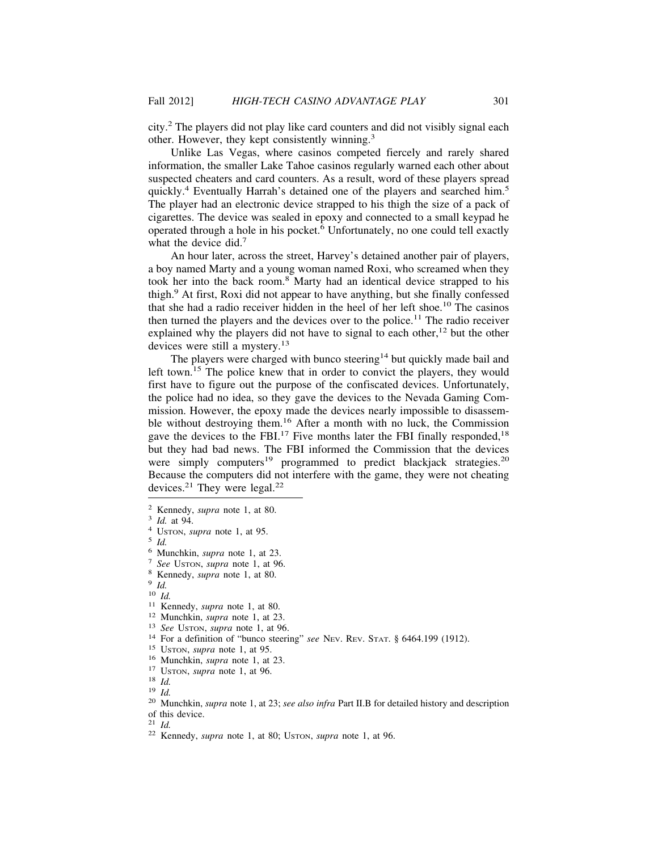city.<sup>2</sup> The players did not play like card counters and did not visibly signal each other. However, they kept consistently winning.<sup>3</sup>

Unlike Las Vegas, where casinos competed fiercely and rarely shared information, the smaller Lake Tahoe casinos regularly warned each other about suspected cheaters and card counters. As a result, word of these players spread quickly.<sup>4</sup> Eventually Harrah's detained one of the players and searched him.<sup>5</sup> The player had an electronic device strapped to his thigh the size of a pack of cigarettes. The device was sealed in epoxy and connected to a small keypad he operated through a hole in his pocket.<sup>6</sup> Unfortunately, no one could tell exactly what the device did.<sup>7</sup>

An hour later, across the street, Harvey's detained another pair of players, a boy named Marty and a young woman named Roxi, who screamed when they took her into the back room.<sup>8</sup> Marty had an identical device strapped to his thigh.<sup>9</sup> At first, Roxi did not appear to have anything, but she finally confessed that she had a radio receiver hidden in the heel of her left shoe.10 The casinos then turned the players and the devices over to the police.<sup>11</sup> The radio receiver explained why the players did not have to signal to each other,<sup>12</sup> but the other devices were still a mystery.<sup>13</sup>

The players were charged with bunco steering<sup>14</sup> but quickly made bail and left town.<sup>15</sup> The police knew that in order to convict the players, they would first have to figure out the purpose of the confiscated devices. Unfortunately, the police had no idea, so they gave the devices to the Nevada Gaming Commission. However, the epoxy made the devices nearly impossible to disassemble without destroying them.16 After a month with no luck, the Commission gave the devices to the FBI.<sup>17</sup> Five months later the FBI finally responded,<sup>18</sup> but they had bad news. The FBI informed the Commission that the devices were simply computers<sup>19</sup> programmed to predict blackjack strategies.<sup>20</sup> Because the computers did not interfere with the game, they were not cheating devices.<sup>21</sup> They were legal.<sup>22</sup>

<sup>&</sup>lt;sup>2</sup> Kennedy, *supra* note 1, at 80.<br>
<sup>3</sup> Id. at 94.<br>
<sup>4</sup> Usroov, *supra* note 1, at 95.<br>
<sup>5</sup> Id.<br>
<sup>6</sup> Munchkin, *supra* note 1, at 23.<br>
<sup>8</sup> *Ree* Usroov, *supra* note 1, at 80.<br>
<sup>9</sup> Id.<br>
<sup>11</sup> Kennedy, *supra* note 1, at 8

of this device.<br> $21$  *Id.* 

<sup>21</sup> *Id.* <sup>22</sup> Kennedy, *supra* note 1, at 80; USTON, *supra* note 1, at 96.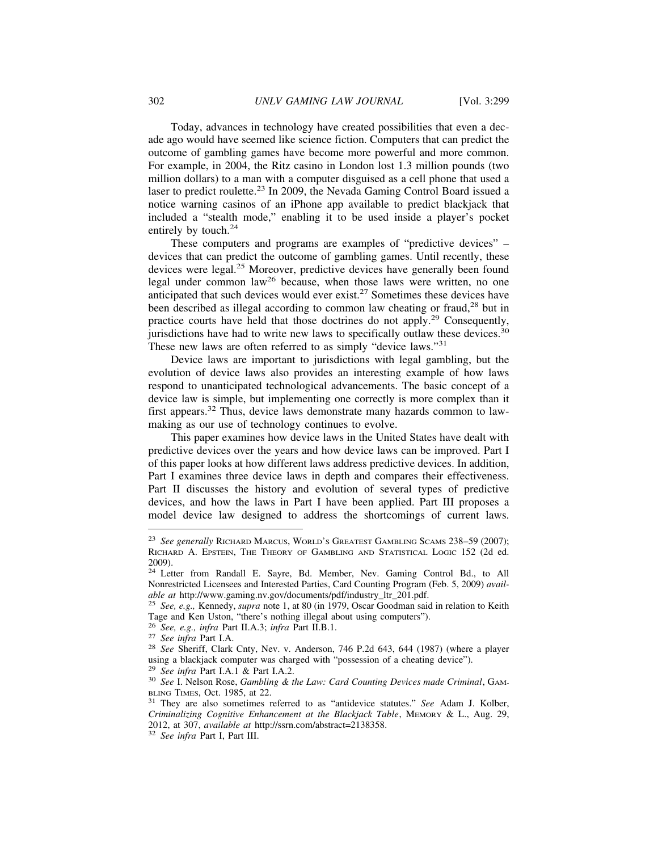Today, advances in technology have created possibilities that even a decade ago would have seemed like science fiction. Computers that can predict the outcome of gambling games have become more powerful and more common. For example, in 2004, the Ritz casino in London lost 1.3 million pounds (two million dollars) to a man with a computer disguised as a cell phone that used a laser to predict roulette.<sup>23</sup> In 2009, the Nevada Gaming Control Board issued a notice warning casinos of an iPhone app available to predict blackjack that included a "stealth mode," enabling it to be used inside a player's pocket entirely by touch.<sup>24</sup>

These computers and programs are examples of "predictive devices" – devices that can predict the outcome of gambling games. Until recently, these devices were legal.25 Moreover, predictive devices have generally been found legal under common law26 because, when those laws were written, no one anticipated that such devices would ever exist.27 Sometimes these devices have been described as illegal according to common law cheating or fraud,<sup>28</sup> but in practice courts have held that those doctrines do not apply.29 Consequently, jurisdictions have had to write new laws to specifically outlaw these devices.<sup>30</sup> These new laws are often referred to as simply "device laws."<sup>31</sup>

Device laws are important to jurisdictions with legal gambling, but the evolution of device laws also provides an interesting example of how laws respond to unanticipated technological advancements. The basic concept of a device law is simple, but implementing one correctly is more complex than it first appears.<sup>32</sup> Thus, device laws demonstrate many hazards common to lawmaking as our use of technology continues to evolve.

This paper examines how device laws in the United States have dealt with predictive devices over the years and how device laws can be improved. Part I of this paper looks at how different laws address predictive devices. In addition, Part I examines three device laws in depth and compares their effectiveness. Part II discusses the history and evolution of several types of predictive devices, and how the laws in Part I have been applied. Part III proposes a model device law designed to address the shortcomings of current laws.

<sup>23</sup> *See generally* RICHARD MARCUS, WORLD'S GREATEST GAMBLING SCAMS 238–59 (2007); RICHARD A. EPSTEIN, THE THEORY OF GAMBLING AND STATISTICAL LOGIC 152 (2d ed. 2009).

<sup>&</sup>lt;sup>24</sup> Letter from Randall E. Sayre, Bd. Member, Nev. Gaming Control Bd., to All Nonrestricted Licensees and Interested Parties, Card Counting Program (Feb. 5, 2009) *avail-*

*able at* http://www.gaming.nv.gov/documents/pdf/industry\_ltr\_201.pdf. <sup>25</sup> *See, e.g.,* Kennedy, *supra* note 1, at 80 (in 1979, Oscar Goodman said in relation to Keith Tage and Ken Uston, "there's nothing illegal about using computers"). <sup>26</sup> See, e.g., infra Part II.A.3; infra Part II.B.1.

<sup>&</sup>lt;sup>27</sup> *See infra* Part I.A.<br><sup>28</sup> *See Sheriff, Clark Cnty, Nev. v. Anderson, 746 P.2d 643, 644 (1987) (where a player* using a blackjack computer was charged with "possession of a cheating device").<br><sup>29</sup> See infra Part I.A.1 & Part I.A.2.

<sup>&</sup>lt;sup>30</sup> *See I. Nelson Rose, Gambling & the Law: Card Counting Devices made Criminal, GAM-BLING TIMES, Oct. 1985, at 22.* 

<sup>&</sup>lt;sup>31</sup> They are also sometimes referred to as "antidevice statutes." *See* Adam J. Kolber, *Criminalizing Cognitive Enhancement at the Blackjack Table*, MEMORY & L., Aug. 29, 2012, at 307, *available at* http://ssrn.com/abstract=2138358. <sup>32</sup> *See infra* Part I, Part III.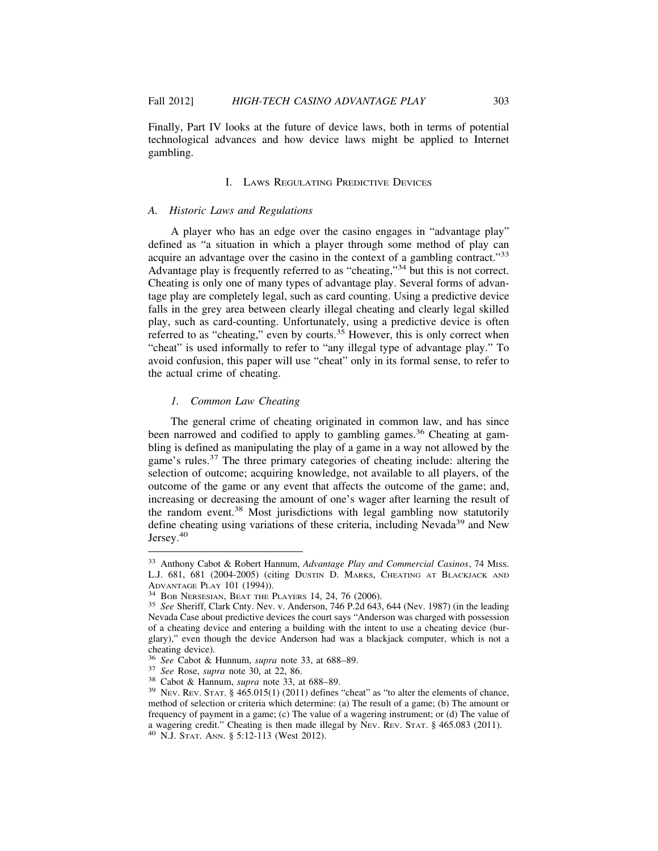Finally, Part IV looks at the future of device laws, both in terms of potential technological advances and how device laws might be applied to Internet gambling.

# I. LAWS REGULATING PREDICTIVE DEVICES

#### *A. Historic Laws and Regulations*

A player who has an edge over the casino engages in "advantage play" defined as "a situation in which a player through some method of play can acquire an advantage over the casino in the context of a gambling contract."<sup>33</sup> Advantage play is frequently referred to as "cheating,"34 but this is not correct. Cheating is only one of many types of advantage play. Several forms of advantage play are completely legal, such as card counting. Using a predictive device falls in the grey area between clearly illegal cheating and clearly legal skilled play, such as card-counting. Unfortunately, using a predictive device is often referred to as "cheating," even by courts. $3<sup>5</sup>$  However, this is only correct when "cheat" is used informally to refer to "any illegal type of advantage play." To avoid confusion, this paper will use "cheat" only in its formal sense, to refer to the actual crime of cheating.

## *1. Common Law Cheating*

The general crime of cheating originated in common law, and has since been narrowed and codified to apply to gambling games.<sup>36</sup> Cheating at gambling is defined as manipulating the play of a game in a way not allowed by the game's rules.37 The three primary categories of cheating include: altering the selection of outcome; acquiring knowledge, not available to all players, of the outcome of the game or any event that affects the outcome of the game; and, increasing or decreasing the amount of one's wager after learning the result of the random event.<sup>38</sup> Most jurisdictions with legal gambling now statutorily define cheating using variations of these criteria, including Nevada<sup>39</sup> and New Jersey.<sup>40</sup>

<sup>33</sup> Anthony Cabot & Robert Hannum, *Advantage Play and Commercial Casinos*, 74 MISS. L.J. 681, 681 (2004-2005) (citing Dustin D. Marks, Cheating at Blackjack and Advantage Play 101 (1994)).

ABOB NERSESIAN, BEAT THE PLAYERS 14, 24, 76 (2006).<br><sup>35</sup> *See* Sheriff, Clark Cnty. Nev. v. Anderson, 746 P.2d 643, 644 (Nev. 1987) (in the leading Nevada Case about predictive devices the court says "Anderson was charged with possession of a cheating device and entering a building with the intent to use a cheating device (burglary)," even though the device Anderson had was a blackjack computer, which is not a cheating device).<br><sup>36</sup> See Cabot & Hunnum, supra note 33, at 688–89.

<sup>&</sup>lt;sup>37</sup> See Rose, supra note 30, at 22, 86.<br><sup>38</sup> Cabot & Hannum, supra note 33, at 688–89.<br><sup>39</sup> NEV. REV. STAT. § 465.015(1) (2011) defines "cheat" as "to alter the elements of chance, method of selection or criteria which determine: (a) The result of a game; (b) The amount or frequency of payment in a game; (c) The value of a wagering instrument; or (d) The value of a wagering credit." Cheating is then made illegal by NEV. REV. STAT. § 465.083 (2011). <sup>40</sup> N.J. STAT. ANN. § 5:12-113 (West 2012).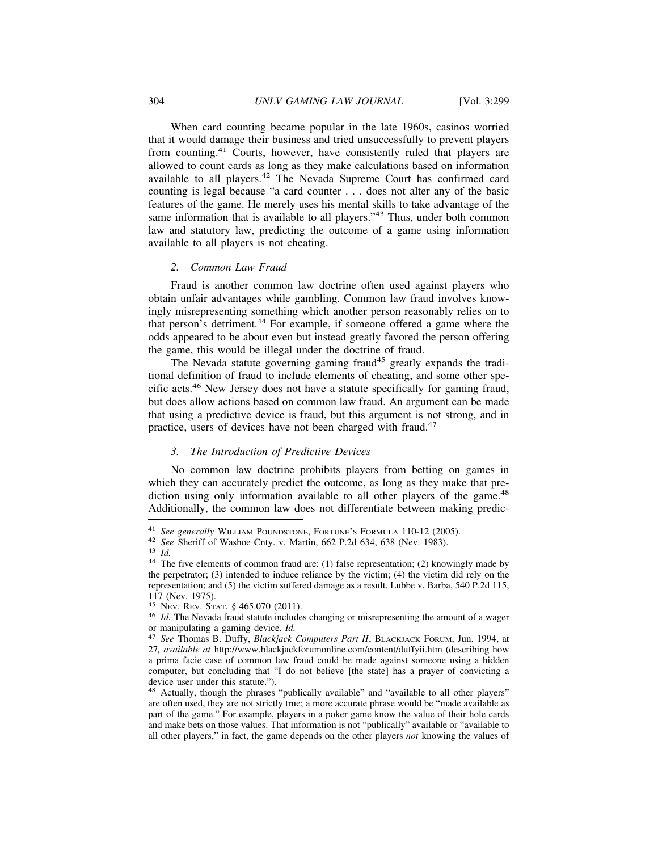When card counting became popular in the late 1960s, casinos worried that it would damage their business and tried unsuccessfully to prevent players from counting.41 Courts, however, have consistently ruled that players are allowed to count cards as long as they make calculations based on information available to all players.42 The Nevada Supreme Court has confirmed card counting is legal because "a card counter . . . does not alter any of the basic features of the game. He merely uses his mental skills to take advantage of the same information that is available to all players."<sup>43</sup> Thus, under both common law and statutory law, predicting the outcome of a game using information available to all players is not cheating.

## *2. Common Law Fraud*

Fraud is another common law doctrine often used against players who obtain unfair advantages while gambling. Common law fraud involves knowingly misrepresenting something which another person reasonably relies on to that person's detriment.<sup>44</sup> For example, if someone offered a game where the odds appeared to be about even but instead greatly favored the person offering the game, this would be illegal under the doctrine of fraud.

The Nevada statute governing gaming fraud<sup>45</sup> greatly expands the traditional definition of fraud to include elements of cheating, and some other specific acts.46 New Jersey does not have a statute specifically for gaming fraud, but does allow actions based on common law fraud. An argument can be made that using a predictive device is fraud, but this argument is not strong, and in practice, users of devices have not been charged with fraud.<sup>47</sup>

# *3. The Introduction of Predictive Devices*

No common law doctrine prohibits players from betting on games in which they can accurately predict the outcome, as long as they make that prediction using only information available to all other players of the game.<sup>48</sup> Additionally, the common law does not differentiate between making predic-

<sup>&</sup>lt;sup>41</sup> See generally WILLIAM POUNDSTONE, FORTUNE'S FORMULA 110-12 (2005).<br><sup>42</sup> See Sheriff of Washoe Cnty. v. Martin, 662 P.2d 634, 638 (Nev. 1983).<br><sup>43</sup> Id.<br><sup>44</sup> The five elements of common fraud are: (1) false representat the perpetrator; (3) intended to induce reliance by the victim; (4) the victim did rely on the representation; and (5) the victim suffered damage as a result. Lubbe v. Barba, 540 P.2d 115, 117 (Nev. 1975).<br><sup>45</sup> Nev. Rev. Stat. § 465.070 (2011).

 $^{46}$  *Id.* The Nevada fraud statute includes changing or misrepresenting the amount of a wager or manipulating a gaming device. *Id.* 

<sup>&</sup>lt;sup>47</sup> *See* Thomas B. Duffy, *Blackjack Computers Part II*, BLACKJACK FORUM, Jun. 1994, at 27*, available at* http://www.blackjackforumonline.com/content/duffyii.htm (describing how a prima facie case of common law fraud could be made against someone using a hidden computer, but concluding that "I do not believe [the state] has a prayer of convicting a device user under this statute.").

<sup>48</sup> Actually, though the phrases "publically available" and "available to all other players" are often used, they are not strictly true; a more accurate phrase would be "made available as part of the game." For example, players in a poker game know the value of their hole cards and make bets on those values. That information is not "publically" available or "available to all other players," in fact, the game depends on the other players *not* knowing the values of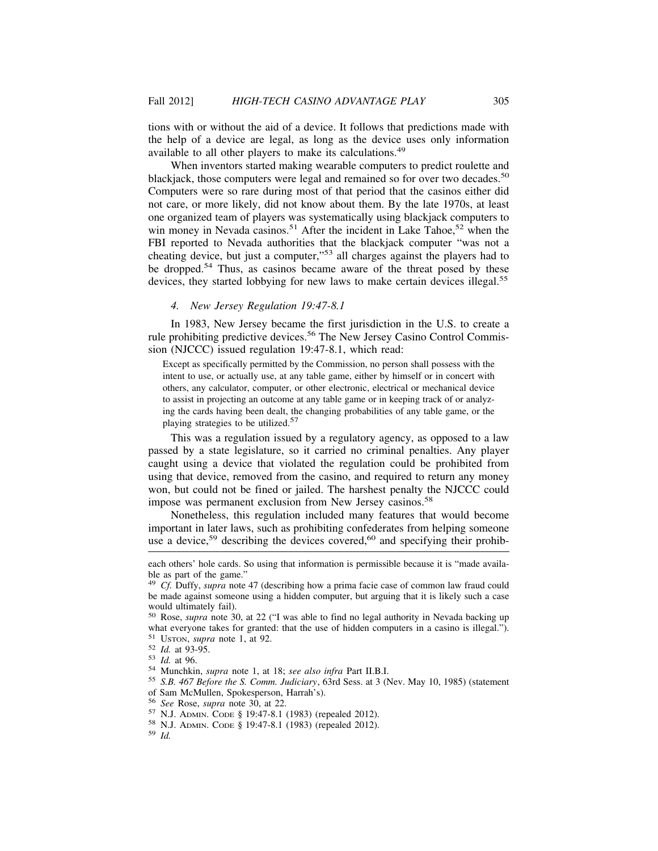tions with or without the aid of a device. It follows that predictions made with the help of a device are legal, as long as the device uses only information available to all other players to make its calculations.<sup>49</sup>

When inventors started making wearable computers to predict roulette and blackjack, those computers were legal and remained so for over two decades.<sup>50</sup> Computers were so rare during most of that period that the casinos either did not care, or more likely, did not know about them. By the late 1970s, at least one organized team of players was systematically using blackjack computers to win money in Nevada casinos.<sup>51</sup> After the incident in Lake Tahoe,<sup>52</sup> when the FBI reported to Nevada authorities that the blackjack computer "was not a cheating device, but just a computer,"53 all charges against the players had to be dropped.<sup>54</sup> Thus, as casinos became aware of the threat posed by these devices, they started lobbying for new laws to make certain devices illegal.<sup>55</sup>

#### *4. New Jersey Regulation 19:47-8.1*

In 1983, New Jersey became the first jurisdiction in the U.S. to create a rule prohibiting predictive devices.<sup>56</sup> The New Jersey Casino Control Commission (NJCCC) issued regulation 19:47-8.1, which read:

Except as specifically permitted by the Commission, no person shall possess with the intent to use, or actually use, at any table game, either by himself or in concert with others, any calculator, computer, or other electronic, electrical or mechanical device to assist in projecting an outcome at any table game or in keeping track of or analyzing the cards having been dealt, the changing probabilities of any table game, or the playing strategies to be utilized.<sup>57</sup>

This was a regulation issued by a regulatory agency, as opposed to a law passed by a state legislature, so it carried no criminal penalties. Any player caught using a device that violated the regulation could be prohibited from using that device, removed from the casino, and required to return any money won, but could not be fined or jailed. The harshest penalty the NJCCC could impose was permanent exclusion from New Jersey casinos.<sup>58</sup>

Nonetheless, this regulation included many features that would become important in later laws, such as prohibiting confederates from helping someone use a device,<sup>59</sup> describing the devices covered,<sup>60</sup> and specifying their prohib-

- <sup>52</sup> *Id.* at 93-95.<br><sup>53</sup> *Id.* at 96.<br><sup>54</sup> Munchkin, *supra* note 1, at 18; *see also infra* Part II.B.I.<br><sup>55</sup> *S.B.* 467 *Before the S. Comm. Judiciary*, 63rd Sess. at 3 (Nev. May 10, 1985) (statement of Sam McMullen, Spokesperson, Harrah's).<br><sup>56</sup> See Rose, supra note 30, at 22.
- 
- 

each others' hole cards. So using that information is permissible because it is "made available as part of the game."

<sup>49</sup> *Cf.* Duffy, *supra* note 47 (describing how a prima facie case of common law fraud could be made against someone using a hidden computer, but arguing that it is likely such a case would ultimately fail).

<sup>50</sup> Rose, *supra* note 30, at 22 ("I was able to find no legal authority in Nevada backing up what everyone takes for granted: that the use of hidden computers in a casino is illegal.").  $51 \text{ USTON}$ , supra note 1, at 92.

<sup>57</sup> N.J. ADMIN. CODE § 19:47-8.1 (1983) (repealed 2012).<br><sup>58</sup> N.J. ADMIN. CODE § 19:47-8.1 (1983) (repealed 2012).<br><sup>59</sup> *Id.*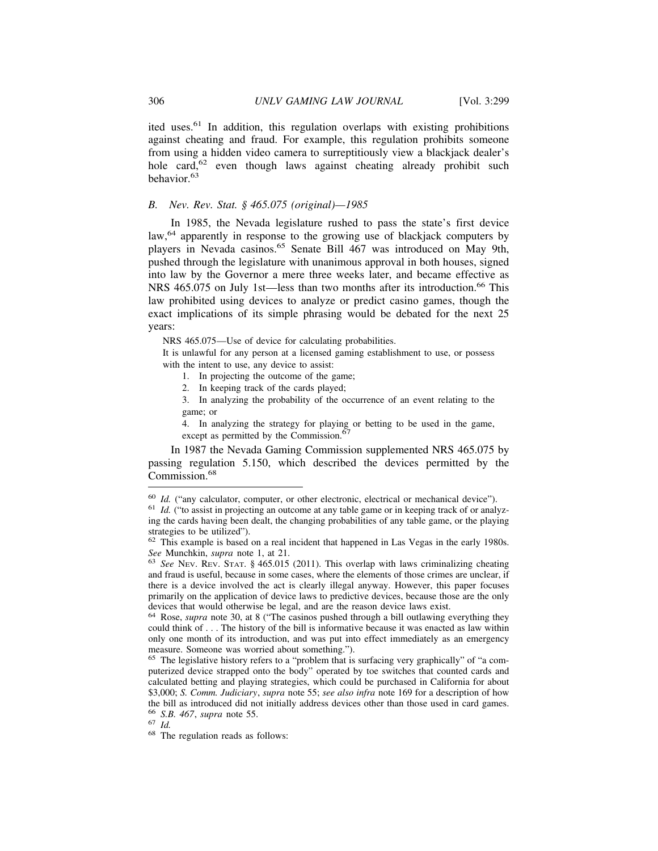ited uses.61 In addition, this regulation overlaps with existing prohibitions against cheating and fraud. For example, this regulation prohibits someone from using a hidden video camera to surreptitiously view a blackjack dealer's hole card,<sup>62</sup> even though laws against cheating already prohibit such behavior.<sup>63</sup>

# *B. Nev. Rev. Stat. § 465.075 (original)—1985*

In 1985, the Nevada legislature rushed to pass the state's first device law,<sup>64</sup> apparently in response to the growing use of blackjack computers by players in Nevada casinos.<sup>65</sup> Senate Bill 467 was introduced on May 9th, pushed through the legislature with unanimous approval in both houses, signed into law by the Governor a mere three weeks later, and became effective as NRS 465.075 on July 1st—less than two months after its introduction.<sup>66</sup> This law prohibited using devices to analyze or predict casino games, though the exact implications of its simple phrasing would be debated for the next 25 years:

NRS 465.075—Use of device for calculating probabilities.

It is unlawful for any person at a licensed gaming establishment to use, or possess with the intent to use, any device to assist:

1. In projecting the outcome of the game;

2. In keeping track of the cards played;

3. In analyzing the probability of the occurrence of an event relating to the game; or

4. In analyzing the strategy for playing or betting to be used in the game, except as permitted by the Commission.<sup>67</sup>

In 1987 the Nevada Gaming Commission supplemented NRS 465.075 by passing regulation 5.150, which described the devices permitted by the Commission.<sup>68</sup>

 $60$  *Id.* ("any calculator, computer, or other electronic, electrical or mechanical device").  $61$  *Id.* ("to assist in projecting an outcome at any table game or in keeping track of or analyz-

ing the cards having been dealt, the changing probabilities of any table game, or the playing strategies to be utilized").

 $62$  This example is based on a real incident that happened in Las Vegas in the early 1980s. *See* Munchkin, *supra* note 1, at 21.<br><sup>63</sup> *See* NEV. REV. STAT. § 465.015 (2011). This overlap with laws criminalizing cheating

and fraud is useful, because in some cases, where the elements of those crimes are unclear, if there is a device involved the act is clearly illegal anyway. However, this paper focuses primarily on the application of device laws to predictive devices, because those are the only devices that would otherwise be legal, and are the reason device laws exist.

<sup>64</sup> Rose, *supra* note 30, at 8 ("The casinos pushed through a bill outlawing everything they could think of . . . The history of the bill is informative because it was enacted as law within only one month of its introduction, and was put into effect immediately as an emergency measure. Someone was worried about something.").

<sup>65</sup> The legislative history refers to a "problem that is surfacing very graphically" of "a computerized device strapped onto the body" operated by toe switches that counted cards and calculated betting and playing strategies, which could be purchased in California for about \$3,000; *S. Comm. Judiciary*, *supra* note 55; *see also infra* note 169 for a description of how the bill as introduced did not initially address devices other than those used in card games.<br><sup>66</sup> S.B. 467, supra note 55.

<sup>66</sup> *S.B. 467*, *supra* note 55. <sup>67</sup> *Id.* <sup>68</sup> The regulation reads as follows: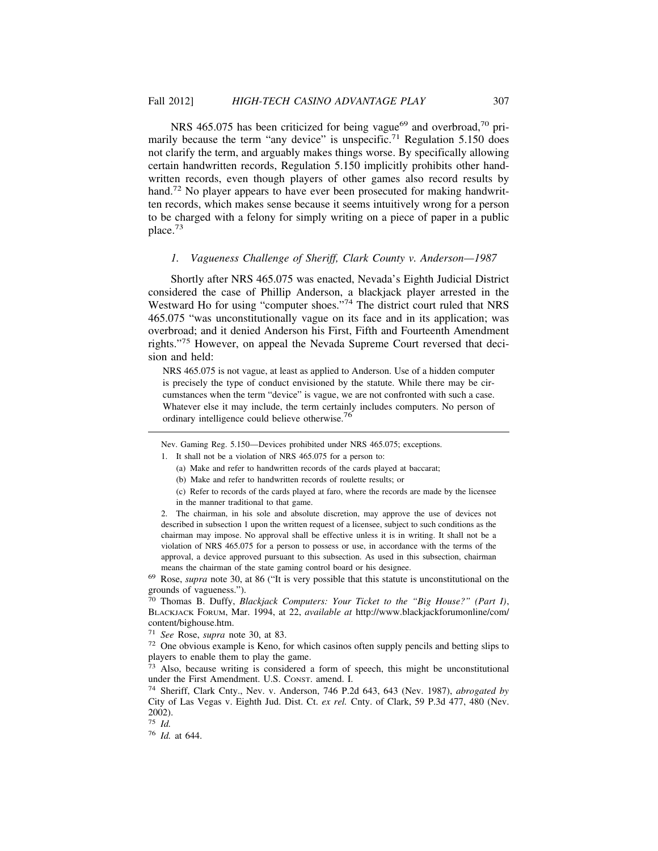NRS 465.075 has been criticized for being vague<sup>69</sup> and overbroad,<sup>70</sup> primarily because the term "any device" is unspecific.<sup>71</sup> Regulation 5.150 does not clarify the term, and arguably makes things worse. By specifically allowing certain handwritten records, Regulation 5.150 implicitly prohibits other handwritten records, even though players of other games also record results by hand.<sup>72</sup> No player appears to have ever been prosecuted for making handwritten records, which makes sense because it seems intuitively wrong for a person to be charged with a felony for simply writing on a piece of paper in a public place.<sup>73</sup>

#### *1. Vagueness Challenge of Sheriff, Clark County v. Anderson—1987*

Shortly after NRS 465.075 was enacted, Nevada's Eighth Judicial District considered the case of Phillip Anderson, a blackjack player arrested in the Westward Ho for using "computer shoes."74 The district court ruled that NRS 465.075 "was unconstitutionally vague on its face and in its application; was overbroad; and it denied Anderson his First, Fifth and Fourteenth Amendment rights."75 However, on appeal the Nevada Supreme Court reversed that decision and held:

NRS 465.075 is not vague, at least as applied to Anderson. Use of a hidden computer is precisely the type of conduct envisioned by the statute. While there may be circumstances when the term "device" is vague, we are not confronted with such a case. Whatever else it may include, the term certainly includes computers. No person of ordinary intelligence could believe otherwise.<sup>76</sup>

Nev. Gaming Reg. 5.150—Devices prohibited under NRS 465.075; exceptions.

- 1. It shall not be a violation of NRS 465.075 for a person to:
	- (a) Make and refer to handwritten records of the cards played at baccarat;
	- (b) Make and refer to handwritten records of roulette results; or
	- (c) Refer to records of the cards played at faro, where the records are made by the licensee in the manner traditional to that game.

2. The chairman, in his sole and absolute discretion, may approve the use of devices not described in subsection 1 upon the written request of a licensee, subject to such conditions as the chairman may impose. No approval shall be effective unless it is in writing. It shall not be a violation of NRS 465.075 for a person to possess or use, in accordance with the terms of the approval, a device approved pursuant to this subsection. As used in this subsection, chairman means the chairman of the state gaming control board or his designee.

<sup>69</sup> Rose, *supra* note 30, at 86 ("It is very possible that this statute is unconstitutional on the grounds of vagueness.").

<sup>70</sup> Thomas B. Duffy, *Blackjack Computers: Your Ticket to the "Big House?" (Part I)*, BLACKJACK FORUM, Mar. 1994, at 22, *available at* http://www.blackjackforumonline/com/ content/bighouse.htm.

<sup>71</sup> *See* Rose, *supra* note 30, at 83.

<sup>72</sup> One obvious example is Keno, for which casinos often supply pencils and betting slips to players to enable them to play the game.

 $73$  Also, because writing is considered a form of speech, this might be unconstitutional under the First Amendment. U.S. CONST. amend. I.

<sup>74</sup> Sheriff, Clark Cnty., Nev. v. Anderson, 746 P.2d 643, 643 (Nev. 1987), *abrogated by* City of Las Vegas v. Eighth Jud. Dist. Ct. *ex rel.* Cnty. of Clark, 59 P.3d 477, 480 (Nev. 2002).

<sup>75</sup> *Id.*

<sup>76</sup> *Id.* at 644.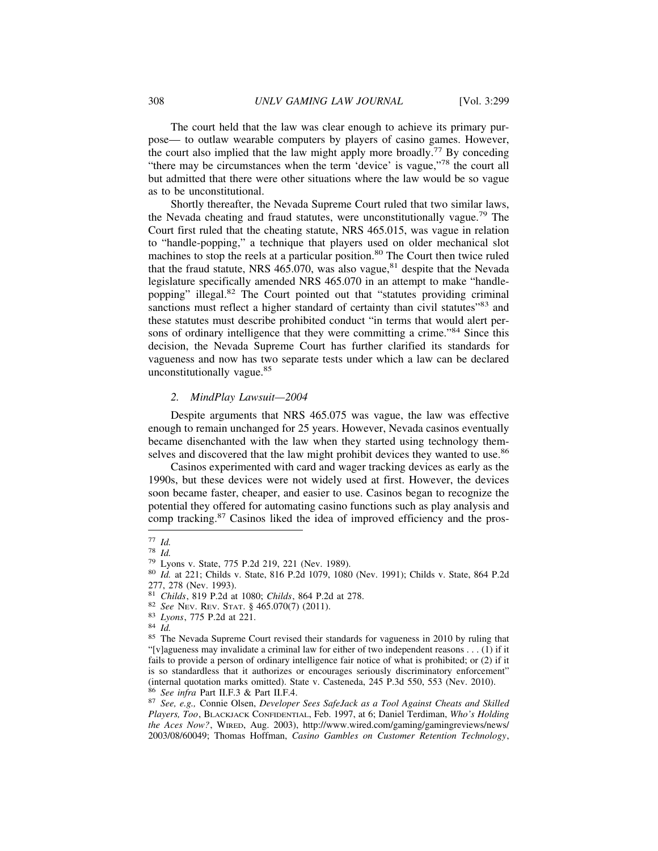The court held that the law was clear enough to achieve its primary purpose— to outlaw wearable computers by players of casino games. However, the court also implied that the law might apply more broadly.77 By conceding "there may be circumstances when the term 'device' is vague,"<sup>78</sup> the court all but admitted that there were other situations where the law would be so vague as to be unconstitutional.

Shortly thereafter, the Nevada Supreme Court ruled that two similar laws, the Nevada cheating and fraud statutes, were unconstitutionally vague.79 The Court first ruled that the cheating statute, NRS 465.015, was vague in relation to "handle-popping," a technique that players used on older mechanical slot machines to stop the reels at a particular position.<sup>80</sup> The Court then twice ruled that the fraud statute, NRS 465.070, was also vague, $81$  despite that the Nevada legislature specifically amended NRS 465.070 in an attempt to make "handlepopping" illegal.82 The Court pointed out that "statutes providing criminal sanctions must reflect a higher standard of certainty than civil statutes"<sup>83</sup> and these statutes must describe prohibited conduct "in terms that would alert persons of ordinary intelligence that they were committing a crime."<sup>84</sup> Since this decision, the Nevada Supreme Court has further clarified its standards for vagueness and now has two separate tests under which a law can be declared unconstitutionally vague.<sup>85</sup>

#### *2. MindPlay Lawsuit—2004*

Despite arguments that NRS 465.075 was vague, the law was effective enough to remain unchanged for 25 years. However, Nevada casinos eventually became disenchanted with the law when they started using technology themselves and discovered that the law might prohibit devices they wanted to use.<sup>86</sup>

Casinos experimented with card and wager tracking devices as early as the 1990s, but these devices were not widely used at first. However, the devices soon became faster, cheaper, and easier to use. Casinos began to recognize the potential they offered for automating casino functions such as play analysis and comp tracking.87 Casinos liked the idea of improved efficiency and the pros-

<sup>77</sup> *Id.* <sup>78</sup> *Id.* <sup>79</sup> Lyons v. State, 775 P.2d 219, 221 (Nev. 1989). <sup>80</sup> *Id.* at 221; Childs v. State, 816 P.2d 1079, 1080 (Nev. 1991); Childs v. State, 864 P.2d 277, 278 (Nev. 1993).<br><sup>81</sup> Childs, 819 P.2d at 1080; Childs, 864 P.2d at 278.

<sup>&</sup>lt;sup>82</sup> *See* Nev. Rev. STAT. § 465.070(7) (2011).<br><sup>83</sup> *Lyons*, 775 P.2d at 221.<br><sup>84</sup> *Id.*<br><sup>85</sup> The Nevada Supreme Court revised their standards for vagueness in 2010 by ruling that<br><sup>85</sup> The Nevada Supreme Court revised th "[v]agueness may invalidate a criminal law for either of two independent reasons . . . (1) if it fails to provide a person of ordinary intelligence fair notice of what is prohibited; or (2) if it is so standardless that it authorizes or encourages seriously discriminatory enforcement" (internal quotation marks omitted). State v. Casteneda, 245 P.3d 550, 553 (Nev. 2010). <sup>86</sup> See infra Part II.F.3 & Part II.F.4.

<sup>&</sup>lt;sup>87</sup> See, e.g., Connie Olsen, *Developer Sees SafeJack as a Tool Against Cheats and Skilled Players, Too*, BLACKJACK CONFIDENTIAL, Feb. 1997, at 6; Daniel Terdiman, *Who's Holding the Aces Now?*, WIRED, Aug. 2003), http://www.wired.com/gaming/gamingreviews/news/ 2003/08/60049; Thomas Hoffman, *Casino Gambles on Customer Retention Technology*,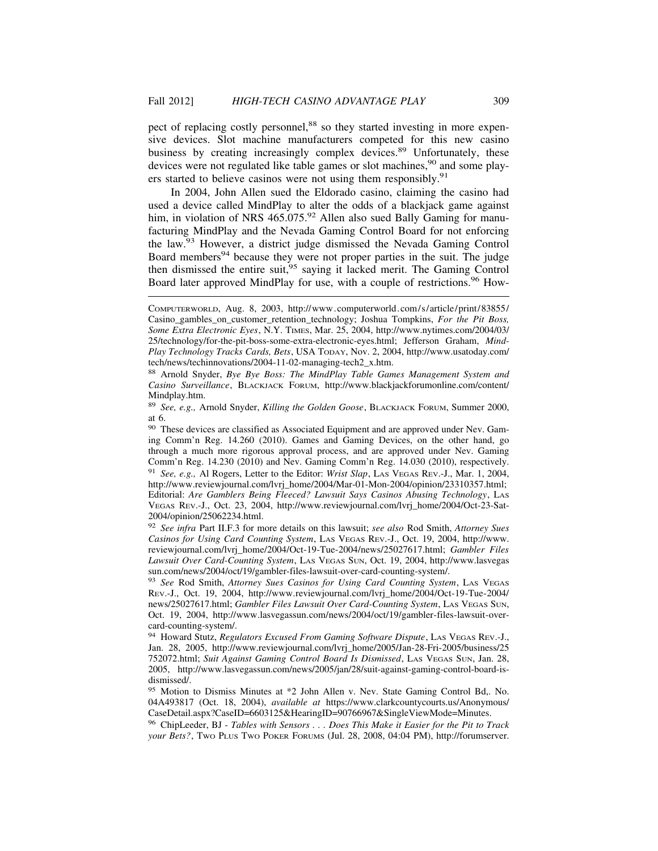pect of replacing costly personnel,<sup>88</sup> so they started investing in more expensive devices. Slot machine manufacturers competed for this new casino business by creating increasingly complex devices.<sup>89</sup> Unfortunately, these devices were not regulated like table games or slot machines,<sup>90</sup> and some players started to believe casinos were not using them responsibly.<sup>91</sup>

In 2004, John Allen sued the Eldorado casino, claiming the casino had used a device called MindPlay to alter the odds of a blackjack game against him, in violation of NRS 465.075.<sup>92</sup> Allen also sued Bally Gaming for manufacturing MindPlay and the Nevada Gaming Control Board for not enforcing the law.93 However, a district judge dismissed the Nevada Gaming Control Board members<sup>94</sup> because they were not proper parties in the suit. The judge then dismissed the entire suit,95 saying it lacked merit. The Gaming Control Board later approved MindPlay for use, with a couple of restrictions.<sup>96</sup> How-

COMPUTERWORLD, Aug. 8, 2003, http://www.computerworld.com/s/article/print/83855/ Casino\_gambles\_on\_customer\_retention\_technology; Joshua Tompkins, *For the Pit Boss, Some Extra Electronic Eyes*, N.Y. TIMES, Mar. 25, 2004, http://www.nytimes.com/2004/03/ 25/technology/for-the-pit-boss-some-extra-electronic-eyes.html; Jefferson Graham, *Mind-Play Technology Tracks Cards, Bets*, USA TODAY, Nov. 2, 2004, http://www.usatoday.com/ tech/news/techinnovations/2004-11-02-managing-tech2\_x.htm.

<sup>88</sup> Arnold Snyder, *Bye Bye Boss: The MindPlay Table Games Management System and Casino Surveillance*, BLACKJACK FORUM, http://www.blackjackforumonline.com/content/ Mindplay.htm.

<sup>89</sup> *See, e.g.,* Arnold Snyder, *Killing the Golden Goose*, BLACKJACK FORUM, Summer 2000, at 6.

<sup>&</sup>lt;sup>90</sup> These devices are classified as Associated Equipment and are approved under Nev. Gaming Comm'n Reg. 14.260 (2010). Games and Gaming Devices, on the other hand, go through a much more rigorous approval process, and are approved under Nev. Gaming Comm'n Reg. 14.230 (2010) and Nev. Gaming Comm'n Reg. 14.030 (2010), respectively. <sup>91</sup> *See, e.g.,* Al Rogers, Letter to the Editor: *Wrist Slap*, LAS VEGAS REV.-J., Mar. 1, 2004, http://www.reviewjournal.com/lvrj\_home/2004/Mar-01-Mon-2004/opinion/23310357.html; Editorial: *Are Gamblers Being Fleeced? Lawsuit Says Casinos Abusing Technology*, LAS VEGAS REV.-J., Oct. 23, 2004, http://www.reviewjournal.com/lvrj\_home/2004/Oct-23-Sat-2004/opinion/25062234.html.

<sup>92</sup> *See infra* Part II.F.3 for more details on this lawsuit; *see also* Rod Smith, *Attorney Sues Casinos for Using Card Counting System*, LAS VEGAS REV.-J., Oct. 19, 2004, http://www. reviewjournal.com/lvrj\_home/2004/Oct-19-Tue-2004/news/25027617.html; *Gambler Files Lawsuit Over Card-Counting System*, LAS VEGAS SUN, Oct. 19, 2004, http://www.lasvegas sun.com/news/2004/oct/19/gambler-files-lawsuit-over-card-counting-system/.

<sup>93</sup> *See* Rod Smith, *Attorney Sues Casinos for Using Card Counting System*, LAS VEGAS REV.-J., Oct. 19, 2004, http://www.reviewjournal.com/lvrj\_home/2004/Oct-19-Tue-2004/ news/25027617.html; *Gambler Files Lawsuit Over Card-Counting System*, LAS VEGAS SUN, Oct. 19, 2004, http://www.lasvegassun.com/news/2004/oct/19/gambler-files-lawsuit-overcard-counting-system/.

<sup>94</sup> Howard Stutz, *Regulators Excused From Gaming Software Dispute*, LAS VEGAS REV.-J., Jan. 28, 2005, http://www.reviewjournal.com/lvrj\_home/2005/Jan-28-Fri-2005/business/25 752072.html; *Suit Against Gaming Control Board Is Dismissed*, LAS VEGAS SUN, Jan. 28, 2005, http://www.lasvegassun.com/news/2005/jan/28/suit-against-gaming-control-board-isdismissed/.

<sup>95</sup> Motion to Dismiss Minutes at \*2 John Allen v. Nev. State Gaming Control Bd,. No. 04A493817 (Oct. 18, 2004), *available at* https://www.clarkcountycourts.us/Anonymous/ CaseDetail.aspx?CaseID=6603125&HearingID=90766967&SingleViewMode=Minutes.

<sup>96</sup> ChipLeeder, BJ - *Tables with Sensors . . . Does This Make it Easier for the Pit to Track your Bets?*, TWO PLUS TWO POKER FORUMS (Jul. 28, 2008, 04:04 PM), http://forumserver.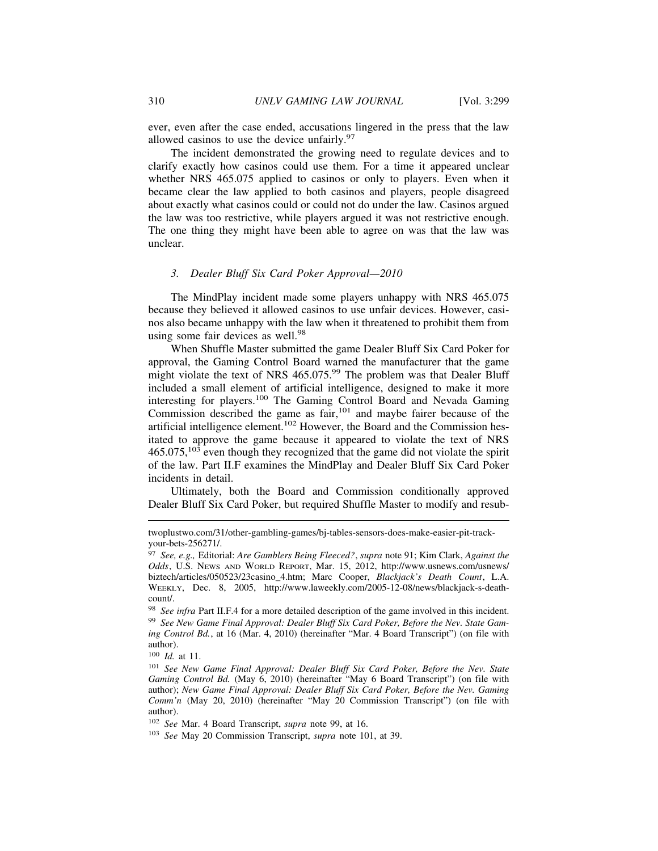ever, even after the case ended, accusations lingered in the press that the law allowed casinos to use the device unfairly.<sup>97</sup>

The incident demonstrated the growing need to regulate devices and to clarify exactly how casinos could use them. For a time it appeared unclear whether NRS 465.075 applied to casinos or only to players. Even when it became clear the law applied to both casinos and players, people disagreed about exactly what casinos could or could not do under the law. Casinos argued the law was too restrictive, while players argued it was not restrictive enough. The one thing they might have been able to agree on was that the law was unclear.

# *3. Dealer Bluff Six Card Poker Approval—2010*

The MindPlay incident made some players unhappy with NRS 465.075 because they believed it allowed casinos to use unfair devices. However, casinos also became unhappy with the law when it threatened to prohibit them from using some fair devices as well.<sup>98</sup>

When Shuffle Master submitted the game Dealer Bluff Six Card Poker for approval, the Gaming Control Board warned the manufacturer that the game might violate the text of NRS 465.075.<sup>99</sup> The problem was that Dealer Bluff included a small element of artificial intelligence, designed to make it more interesting for players.100 The Gaming Control Board and Nevada Gaming Commission described the game as fair,<sup>101</sup> and maybe fairer because of the artificial intelligence element.<sup>102</sup> However, the Board and the Commission hesitated to approve the game because it appeared to violate the text of NRS  $465.075$ ,  $103$  even though they recognized that the game did not violate the spirit of the law. Part II.F examines the MindPlay and Dealer Bluff Six Card Poker incidents in detail.

Ultimately, both the Board and Commission conditionally approved Dealer Bluff Six Card Poker, but required Shuffle Master to modify and resub-

twoplustwo.com/31/other-gambling-games/bj-tables-sensors-does-make-easier-pit-trackyour-bets-256271/.

<sup>97</sup> *See, e.g.,* Editorial: *Are Gamblers Being Fleeced?*, *supra* note 91; Kim Clark, *Against the Odds*, U.S. NEWS AND WORLD REPORT, Mar. 15, 2012, http://www.usnews.com/usnews/ biztech/articles/050523/23casino\_4.htm; Marc Cooper, *Blackjack's Death Count*, L.A. WEEKLY, Dec. 8, 2005, http://www.laweekly.com/2005-12-08/news/blackjack-s-deathcount/.

<sup>98</sup> *See infra* Part II.F.4 for a more detailed description of the game involved in this incident. <sup>99</sup> *See New Game Final Approval: Dealer Bluff Six Card Poker, Before the Nev. State Gaming Control Bd.*, at 16 (Mar. 4, 2010) (hereinafter "Mar. 4 Board Transcript") (on file with author).

<sup>100</sup> *Id.* at 11.

<sup>101</sup> *See New Game Final Approval: Dealer Bluff Six Card Poker, Before the Nev. State Gaming Control Bd.* (May 6, 2010) (hereinafter "May 6 Board Transcript") (on file with author); *New Game Final Approval: Dealer Bluff Six Card Poker, Before the Nev. Gaming Comm'n* (May 20, 2010) (hereinafter "May 20 Commission Transcript") (on file with author).

<sup>102</sup> *See* Mar. 4 Board Transcript, *supra* note 99, at 16.

<sup>103</sup> *See* May 20 Commission Transcript, *supra* note 101, at 39.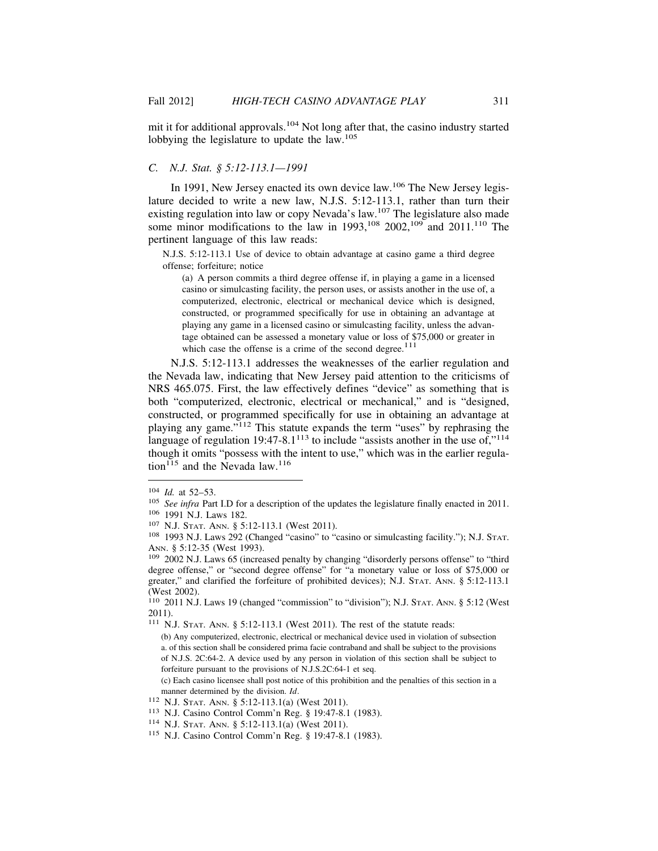mit it for additional approvals.104 Not long after that, the casino industry started lobbying the legislature to update the law.<sup>105</sup>

## *C. N.J. Stat. § 5:12-113.1—1991*

In 1991, New Jersey enacted its own device law.<sup>106</sup> The New Jersey legislature decided to write a new law, N.J.S. 5:12-113.1, rather than turn their existing regulation into law or copy Nevada's law.<sup>107</sup> The legislature also made some minor modifications to the law in 1993,  $^{108}$  2002,  $^{109}$  and 2011.<sup>110</sup> The pertinent language of this law reads:

N.J.S. 5:12-113.1 Use of device to obtain advantage at casino game a third degree offense; forfeiture; notice

(a) A person commits a third degree offense if, in playing a game in a licensed casino or simulcasting facility, the person uses, or assists another in the use of, a computerized, electronic, electrical or mechanical device which is designed, constructed, or programmed specifically for use in obtaining an advantage at playing any game in a licensed casino or simulcasting facility, unless the advantage obtained can be assessed a monetary value or loss of \$75,000 or greater in which case the offense is a crime of the second degree. $111$ 

N.J.S. 5:12-113.1 addresses the weaknesses of the earlier regulation and the Nevada law, indicating that New Jersey paid attention to the criticisms of NRS 465.075. First, the law effectively defines "device" as something that is both "computerized, electronic, electrical or mechanical," and is "designed, constructed, or programmed specifically for use in obtaining an advantage at playing any game."112 This statute expands the term "uses" by rephrasing the language of regulation 19:47-8.1<sup>113</sup> to include "assists another in the use of,"<sup>114</sup> though it omits "possess with the intent to use," which was in the earlier regulation<sup>115</sup> and the Nevada law.<sup>116</sup>

(c) Each casino licensee shall post notice of this prohibition and the penalties of this section in a manner determined by the division. *Id*.<br><sup>112</sup> N.J. STAT. ANN. § 5:12-113.1(a) (West 2011).

<sup>&</sup>lt;sup>104</sup> *Id.* at 52–53.<br><sup>105</sup> *See infra* Part I.D for a description of the updates the legislature finally enacted in 2011.<br><sup>106</sup> 1991 N.J. Laws 182.<br><sup>107</sup> N.J. STAT. ANN. § 5:12-113.1 (West 2011).<br><sup>108</sup> 1993 N.J. Laws 292

 $109$  2002 N.J. Laws 65 (increased penalty by changing "disorderly persons offense" to "third degree offense," or "second degree offense" for "a monetary value or loss of \$75,000 or greater," and clarified the forfeiture of prohibited devices); N.J. STAT. ANN. § 5:12-113.1 (West 2002).

<sup>110</sup> 2011 N.J. Laws 19 (changed "commission" to "division"); N.J. STAT. ANN. § 5:12 (West 2011).

<sup>111</sup> N.J. STAT. ANN. § 5:12-113.1 (West 2011). The rest of the statute reads:

<sup>(</sup>b) Any computerized, electronic, electrical or mechanical device used in violation of subsection a. of this section shall be considered prima facie contraband and shall be subject to the provisions of N.J.S. 2C:64-2. A device used by any person in violation of this section shall be subject to forfeiture pursuant to the provisions of N.J.S.2C:64-1 et seq.

<sup>113</sup> N.J. Casino Control Comm'n Reg. § 19:47-8.1 (1983).<br><sup>114</sup> N.J. Stat. Ann. § 5:12-113.1(a) (West 2011).<br><sup>115</sup> N.J. Casino Control Comm'n Reg. § 19:47-8.1 (1983).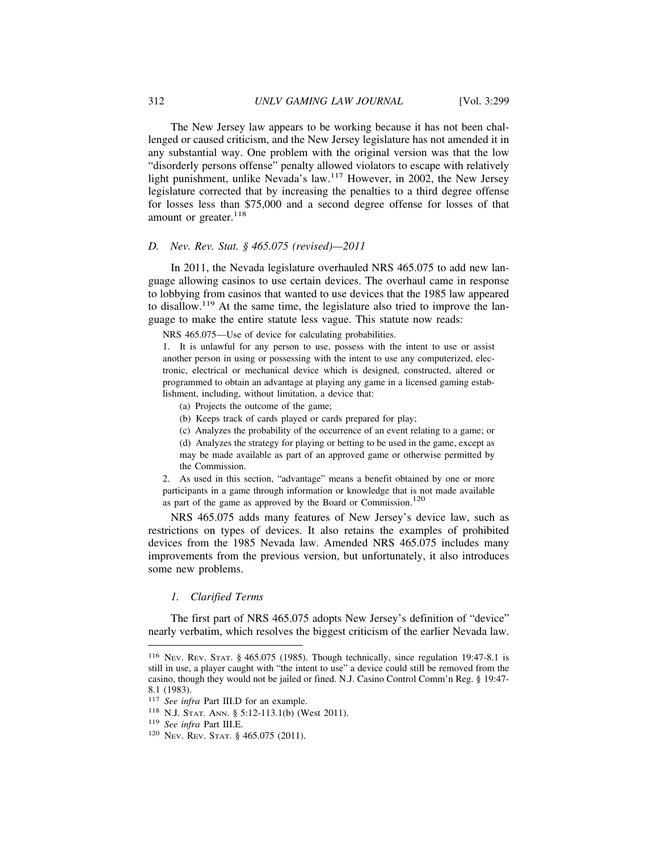The New Jersey law appears to be working because it has not been challenged or caused criticism, and the New Jersey legislature has not amended it in any substantial way. One problem with the original version was that the low "disorderly persons offense" penalty allowed violators to escape with relatively light punishment, unlike Nevada's law.117 However, in 2002, the New Jersey legislature corrected that by increasing the penalties to a third degree offense for losses less than \$75,000 and a second degree offense for losses of that amount or greater.<sup>118</sup>

#### *D. Nev. Rev. Stat. § 465.075 (revised)—2011*

In 2011, the Nevada legislature overhauled NRS 465.075 to add new language allowing casinos to use certain devices. The overhaul came in response to lobbying from casinos that wanted to use devices that the 1985 law appeared to disallow.<sup>119</sup> At the same time, the legislature also tried to improve the language to make the entire statute less vague. This statute now reads:

NRS 465.075—Use of device for calculating probabilities.

1. It is unlawful for any person to use, possess with the intent to use or assist another person in using or possessing with the intent to use any computerized, electronic, electrical or mechanical device which is designed, constructed, altered or programmed to obtain an advantage at playing any game in a licensed gaming establishment, including, without limitation, a device that:

- (a) Projects the outcome of the game;
- (b) Keeps track of cards played or cards prepared for play;

(c) Analyzes the probability of the occurrence of an event relating to a game; or (d) Analyzes the strategy for playing or betting to be used in the game, except as may be made available as part of an approved game or otherwise permitted by the Commission.

2. As used in this section, "advantage" means a benefit obtained by one or more participants in a game through information or knowledge that is not made available as part of the game as approved by the Board or Commission.<sup>120</sup>

NRS 465.075 adds many features of New Jersey's device law, such as restrictions on types of devices. It also retains the examples of prohibited devices from the 1985 Nevada law. Amended NRS 465.075 includes many improvements from the previous version, but unfortunately, it also introduces some new problems.

# *1. Clarified Terms*

The first part of NRS 465.075 adopts New Jersey's definition of "device" nearly verbatim, which resolves the biggest criticism of the earlier Nevada law.

<sup>116</sup> NEV. REV. STAT. § 465.075 (1985). Though technically, since regulation 19:47-8.1 is still in use, a player caught with "the intent to use" a device could still be removed from the casino, though they would not be jailed or fined. N.J. Casino Control Comm'n Reg. § 19:47- 8.1 (1983).

<sup>117</sup> *See infra* Part III.D for an example.

<sup>118</sup> N.J. STAT. ANN. § 5:12-113.1(b) (West 2011).

<sup>119</sup> *See infra* Part III.E.

<sup>120</sup> NEV. REV. STAT. § 465.075 (2011).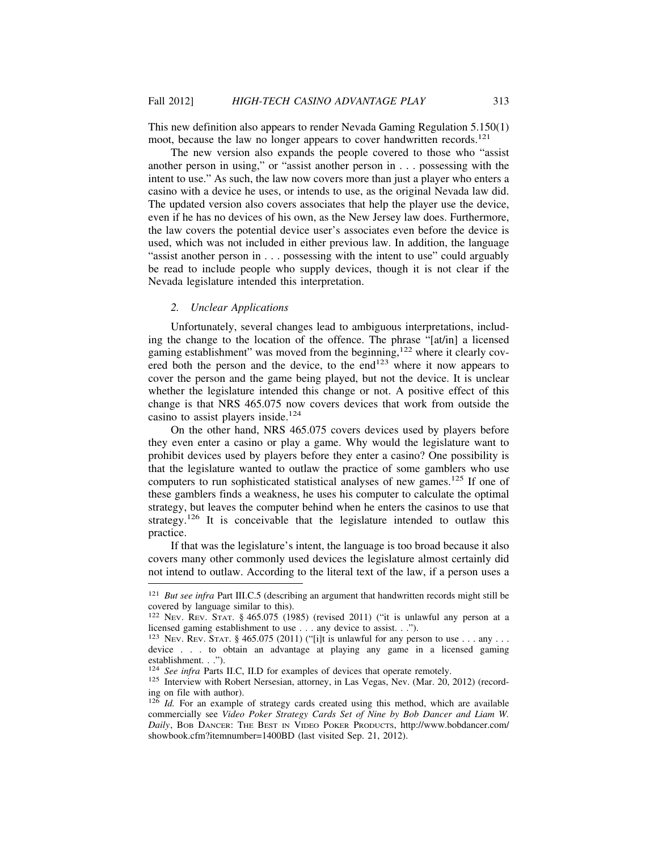This new definition also appears to render Nevada Gaming Regulation 5.150(1) moot, because the law no longer appears to cover handwritten records.<sup>121</sup>

The new version also expands the people covered to those who "assist another person in using," or "assist another person in . . . possessing with the intent to use." As such, the law now covers more than just a player who enters a casino with a device he uses, or intends to use, as the original Nevada law did. The updated version also covers associates that help the player use the device, even if he has no devices of his own, as the New Jersey law does. Furthermore, the law covers the potential device user's associates even before the device is used, which was not included in either previous law. In addition, the language "assist another person in . . . possessing with the intent to use" could arguably be read to include people who supply devices, though it is not clear if the Nevada legislature intended this interpretation.

# *2. Unclear Applications*

Unfortunately, several changes lead to ambiguous interpretations, including the change to the location of the offence. The phrase "[at/in] a licensed gaming establishment" was moved from the beginning,<sup>122</sup> where it clearly covered both the person and the device, to the end<sup>123</sup> where it now appears to cover the person and the game being played, but not the device. It is unclear whether the legislature intended this change or not. A positive effect of this change is that NRS 465.075 now covers devices that work from outside the casino to assist players inside.<sup>124</sup>

On the other hand, NRS 465.075 covers devices used by players before they even enter a casino or play a game. Why would the legislature want to prohibit devices used by players before they enter a casino? One possibility is that the legislature wanted to outlaw the practice of some gamblers who use computers to run sophisticated statistical analyses of new games.125 If one of these gamblers finds a weakness, he uses his computer to calculate the optimal strategy, but leaves the computer behind when he enters the casinos to use that strategy.<sup>126</sup> It is conceivable that the legislature intended to outlaw this practice.

If that was the legislature's intent, the language is too broad because it also covers many other commonly used devices the legislature almost certainly did not intend to outlaw. According to the literal text of the law, if a person uses a

<sup>&</sup>lt;sup>121</sup> *But see infra* Part III.C.5 (describing an argument that handwritten records might still be covered by language similar to this).

<sup>122</sup> NEV. REV. STAT. § 465.075 (1985) (revised 2011) ("it is unlawful any person at a licensed gaming establishment to use . . . any device to assist. . .").

<sup>&</sup>lt;sup>123</sup> Nev. Rev. STAT. § 465.075 (2011) ("[i]t is unlawful for any person to use . . . any . . . device . . . to obtain an advantage at playing any game in a licensed gaming establishment. . .").<br><sup>124</sup> See infra Parts II.C, II.D for examples of devices that operate remotely.

<sup>&</sup>lt;sup>125</sup> Interview with Robert Nersesian, attorney, in Las Vegas, Nev. (Mar. 20, 2012) (recording on file with author).

<sup>&</sup>lt;sup>126</sup> *Id.* For an example of strategy cards created using this method, which are available commercially see *Video Poker Strategy Cards Set of Nine by Bob Dancer and Liam W. Daily*, BOB DANCER: THE BEST IN VIDEO POKER PRODUCTS, http://www.bobdancer.com/ showbook.cfm?itemnumber=1400BD (last visited Sep. 21, 2012).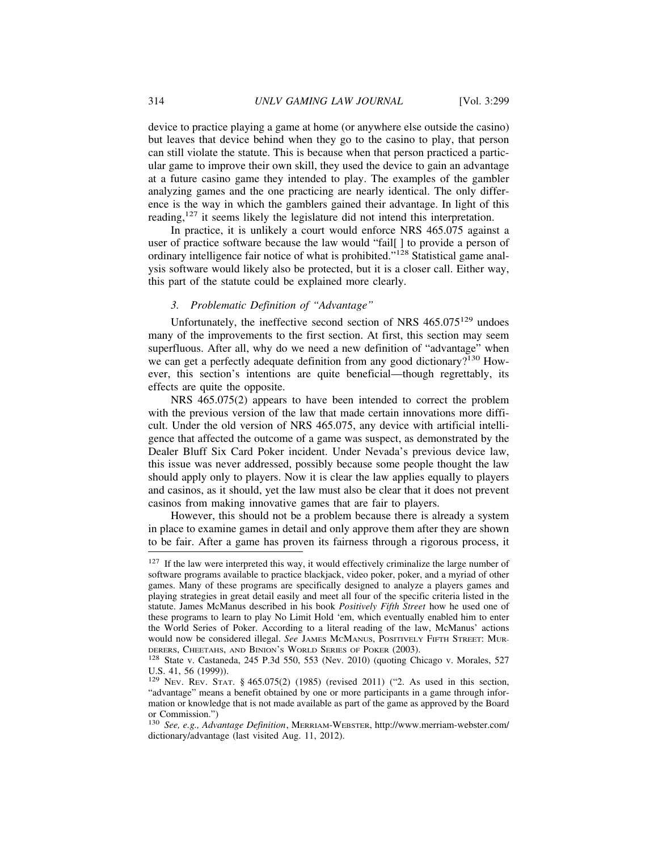device to practice playing a game at home (or anywhere else outside the casino) but leaves that device behind when they go to the casino to play, that person can still violate the statute. This is because when that person practiced a particular game to improve their own skill, they used the device to gain an advantage at a future casino game they intended to play. The examples of the gambler analyzing games and the one practicing are nearly identical. The only difference is the way in which the gamblers gained their advantage. In light of this reading,<sup>127</sup> it seems likely the legislature did not intend this interpretation.

In practice, it is unlikely a court would enforce NRS 465.075 against a user of practice software because the law would "fail[ ] to provide a person of ordinary intelligence fair notice of what is prohibited."128 Statistical game analysis software would likely also be protected, but it is a closer call. Either way, this part of the statute could be explained more clearly.

# *3. Problematic Definition of "Advantage"*

Unfortunately, the ineffective second section of NRS  $465.075^{129}$  undoes many of the improvements to the first section. At first, this section may seem superfluous. After all, why do we need a new definition of "advantage" when we can get a perfectly adequate definition from any good dictionary?<sup>130</sup> However, this section's intentions are quite beneficial—though regrettably, its effects are quite the opposite.

NRS 465.075(2) appears to have been intended to correct the problem with the previous version of the law that made certain innovations more difficult. Under the old version of NRS 465.075, any device with artificial intelligence that affected the outcome of a game was suspect, as demonstrated by the Dealer Bluff Six Card Poker incident. Under Nevada's previous device law, this issue was never addressed, possibly because some people thought the law should apply only to players. Now it is clear the law applies equally to players and casinos, as it should, yet the law must also be clear that it does not prevent casinos from making innovative games that are fair to players.

However, this should not be a problem because there is already a system in place to examine games in detail and only approve them after they are shown to be fair. After a game has proven its fairness through a rigorous process, it

 $127$  If the law were interpreted this way, it would effectively criminalize the large number of software programs available to practice blackjack, video poker, poker, and a myriad of other games. Many of these programs are specifically designed to analyze a players games and playing strategies in great detail easily and meet all four of the specific criteria listed in the statute. James McManus described in his book *Positively Fifth Street* how he used one of these programs to learn to play No Limit Hold 'em, which eventually enabled him to enter the World Series of Poker. According to a literal reading of the law, McManus' actions would now be considered illegal. *See* JAMES MCMANUS, POSITIVELY FIFTH STREET: MURDERERS, CHEETAHS, AND BINION'S WORLD SERIES OF POKER (2003).

<sup>&</sup>lt;sup>128</sup> State v. Castaneda, 245 P.3d 550, 553 (Nev. 2010) (quoting Chicago v. Morales, 527 U.S. 41, 56 (1999)).

<sup>129</sup> NEV. REV. STAT. § 465.075(2) (1985) (revised 2011) ("2. As used in this section, "advantage" means a benefit obtained by one or more participants in a game through information or knowledge that is not made available as part of the game as approved by the Board or Commission.")

<sup>130</sup> *See, e.g., Advantage Definition*, MERRIAM-WEBSTER, http://www.merriam-webster.com/ dictionary/advantage (last visited Aug. 11, 2012).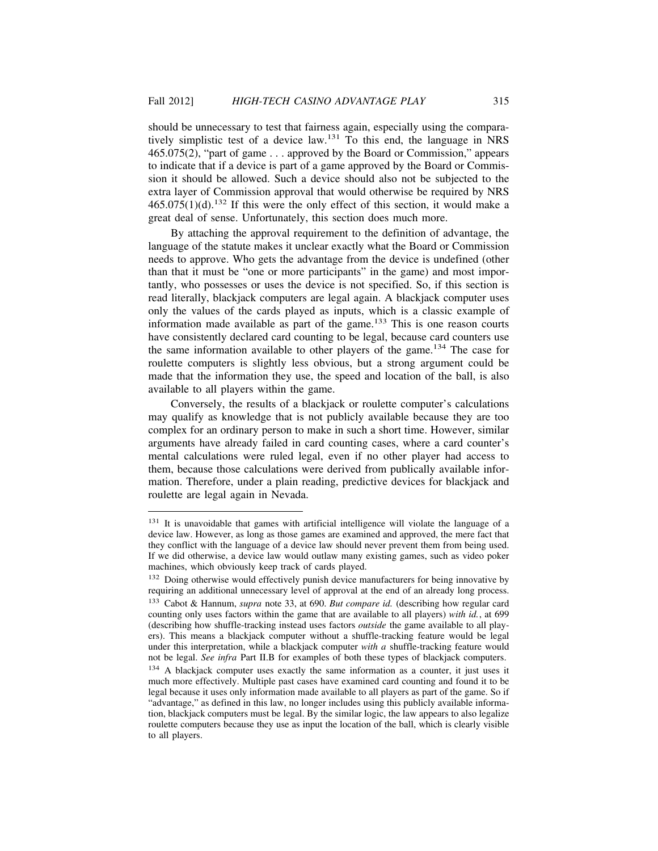should be unnecessary to test that fairness again, especially using the comparatively simplistic test of a device law.131 To this end, the language in NRS 465.075(2), "part of game . . . approved by the Board or Commission," appears to indicate that if a device is part of a game approved by the Board or Commission it should be allowed. Such a device should also not be subjected to the extra layer of Commission approval that would otherwise be required by NRS  $465.075(1)(d)$ <sup>132</sup> If this were the only effect of this section, it would make a great deal of sense. Unfortunately, this section does much more.

By attaching the approval requirement to the definition of advantage, the language of the statute makes it unclear exactly what the Board or Commission needs to approve. Who gets the advantage from the device is undefined (other than that it must be "one or more participants" in the game) and most importantly, who possesses or uses the device is not specified. So, if this section is read literally, blackjack computers are legal again. A blackjack computer uses only the values of the cards played as inputs, which is a classic example of information made available as part of the game.<sup>133</sup> This is one reason courts have consistently declared card counting to be legal, because card counters use the same information available to other players of the game.<sup>134</sup> The case for roulette computers is slightly less obvious, but a strong argument could be made that the information they use, the speed and location of the ball, is also available to all players within the game.

Conversely, the results of a blackjack or roulette computer's calculations may qualify as knowledge that is not publicly available because they are too complex for an ordinary person to make in such a short time. However, similar arguments have already failed in card counting cases, where a card counter's mental calculations were ruled legal, even if no other player had access to them, because those calculations were derived from publically available information. Therefore, under a plain reading, predictive devices for blackjack and roulette are legal again in Nevada.

<sup>&</sup>lt;sup>131</sup> It is unavoidable that games with artificial intelligence will violate the language of a device law. However, as long as those games are examined and approved, the mere fact that they conflict with the language of a device law should never prevent them from being used. If we did otherwise, a device law would outlaw many existing games, such as video poker machines, which obviously keep track of cards played.

<sup>&</sup>lt;sup>132</sup> Doing otherwise would effectively punish device manufacturers for being innovative by requiring an additional unnecessary level of approval at the end of an already long process. <sup>133</sup> Cabot & Hannum, *supra* note 33, at 690. *But compare id.* (describing how regular card counting only uses factors within the game that are available to all players) *with id.*, at 699 (describing how shuffle-tracking instead uses factors *outside* the game available to all players). This means a blackjack computer without a shuffle-tracking feature would be legal under this interpretation, while a blackjack computer *with a* shuffle-tracking feature would not be legal. *See infra* Part II.B for examples of both these types of blackjack computers.

<sup>&</sup>lt;sup>134</sup> A blackjack computer uses exactly the same information as a counter, it just uses it much more effectively. Multiple past cases have examined card counting and found it to be legal because it uses only information made available to all players as part of the game. So if "advantage," as defined in this law, no longer includes using this publicly available information, blackjack computers must be legal. By the similar logic, the law appears to also legalize roulette computers because they use as input the location of the ball, which is clearly visible to all players.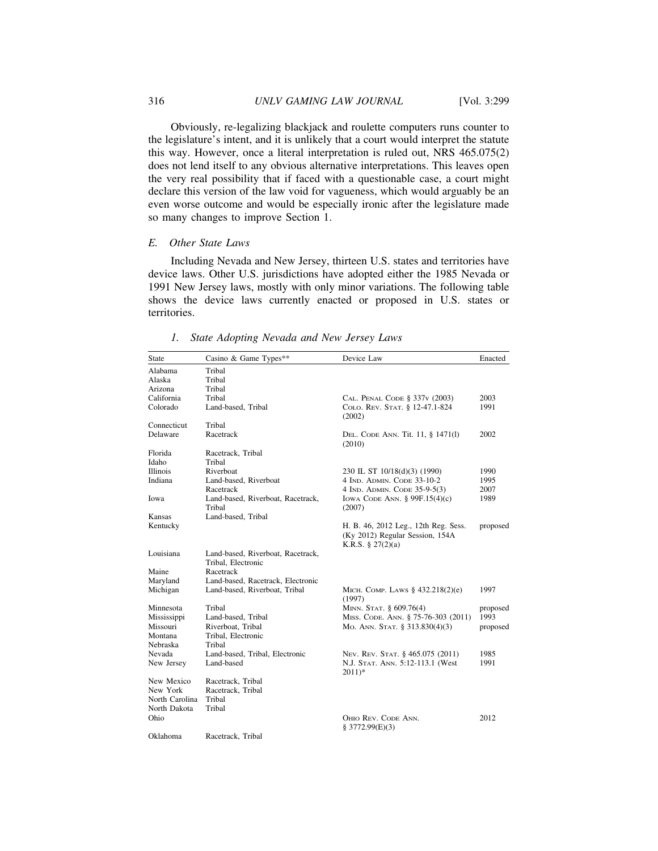Obviously, re-legalizing blackjack and roulette computers runs counter to the legislature's intent, and it is unlikely that a court would interpret the statute this way. However, once a literal interpretation is ruled out, NRS 465.075(2) does not lend itself to any obvious alternative interpretations. This leaves open the very real possibility that if faced with a questionable case, a court might declare this version of the law void for vagueness, which would arguably be an even worse outcome and would be especially ironic after the legislature made so many changes to improve Section 1.

# *E. Other State Laws*

Including Nevada and New Jersey, thirteen U.S. states and territories have device laws. Other U.S. jurisdictions have adopted either the 1985 Nevada or 1991 New Jersey laws, mostly with only minor variations. The following table shows the device laws currently enacted or proposed in U.S. states or territories.

| <b>State</b>    | Casino & Game Types**                                   | Device Law                                                                                   | Enacted  |
|-----------------|---------------------------------------------------------|----------------------------------------------------------------------------------------------|----------|
| Alabama         | Tribal                                                  |                                                                                              |          |
| Alaska          | Tribal                                                  |                                                                                              |          |
| Arizona         | Tribal                                                  |                                                                                              |          |
| California      | Tribal                                                  | CAL. PENAL CODE § 337v (2003)                                                                | 2003     |
| Colorado        | Land-based, Tribal                                      | COLO. REV. STAT. § 12-47.1-824<br>(2002)                                                     | 1991     |
| Connecticut     | Tribal                                                  |                                                                                              |          |
| Delaware        | Racetrack                                               | DEL. CODE ANN. Tit. 11, § 1471(1)<br>(2010)                                                  | 2002     |
| Florida         | Racetrack, Tribal                                       |                                                                                              |          |
| Idaho           | Tribal                                                  |                                                                                              |          |
| <b>Illinois</b> | Riverboat                                               | 230 IL ST 10/18(d)(3) (1990)                                                                 | 1990     |
| Indiana         | Land-based. Riverboat                                   | 4 IND. ADMIN. CODE 33-10-2                                                                   | 1995     |
|                 | Racetrack                                               | 4 IND. ADMIN. CODE 35-9-5(3)                                                                 | 2007     |
| Iowa            | Land-based, Riverboat, Racetrack,<br>Tribal             | Iowa Code Ann. $§$ 99F.15(4)(c)<br>(2007)                                                    | 1989     |
| Kansas          | Land-based, Tribal                                      |                                                                                              |          |
| Kentucky        |                                                         | H. B. 46, 2012 Leg., 12th Reg. Sess.<br>(Ky 2012) Regular Session, 154A<br>K.R.S. § 27(2)(a) | proposed |
| Louisiana       | Land-based, Riverboat, Racetrack,<br>Tribal. Electronic |                                                                                              |          |
| Maine           | Racetrack                                               |                                                                                              |          |
| Maryland        | Land-based, Racetrack, Electronic                       |                                                                                              |          |
| Michigan        | Land-based, Riverboat, Tribal                           | MICH. COMP. LAWS § 432.218(2)(e)<br>(1997)                                                   | 1997     |
| Minnesota       | Tribal                                                  | MINN. STAT. § 609.76(4)                                                                      | proposed |
| Mississippi     | Land-based, Tribal                                      | MISS. CODE. ANN. § 75-76-303 (2011)                                                          | 1993     |
| Missouri        | Riverboat, Tribal                                       | Mo. ANN. STAT. § 313.830(4)(3)                                                               | proposed |
| Montana         | Tribal, Electronic                                      |                                                                                              |          |
| Nebraska        | Tribal                                                  |                                                                                              |          |
| Nevada          | Land-based, Tribal, Electronic                          | Nev. Rev. Stat. § 465.075 (2011)                                                             | 1985     |
| New Jersey      | Land-based                                              | N.J. STAT. ANN. 5:12-113.1 (West<br>$2011)*$                                                 | 1991     |
| New Mexico      | Racetrack, Tribal                                       |                                                                                              |          |
| New York        | Racetrack, Tribal                                       |                                                                                              |          |
| North Carolina  | Tribal                                                  |                                                                                              |          |
| North Dakota    | Tribal                                                  |                                                                                              |          |
| Ohio            |                                                         | OHIO REV. CODE ANN.<br>§ 3772.99(E)(3)                                                       | 2012     |
| Oklahoma        | Racetrack, Tribal                                       |                                                                                              |          |

*1. State Adopting Nevada and New Jersey Laws*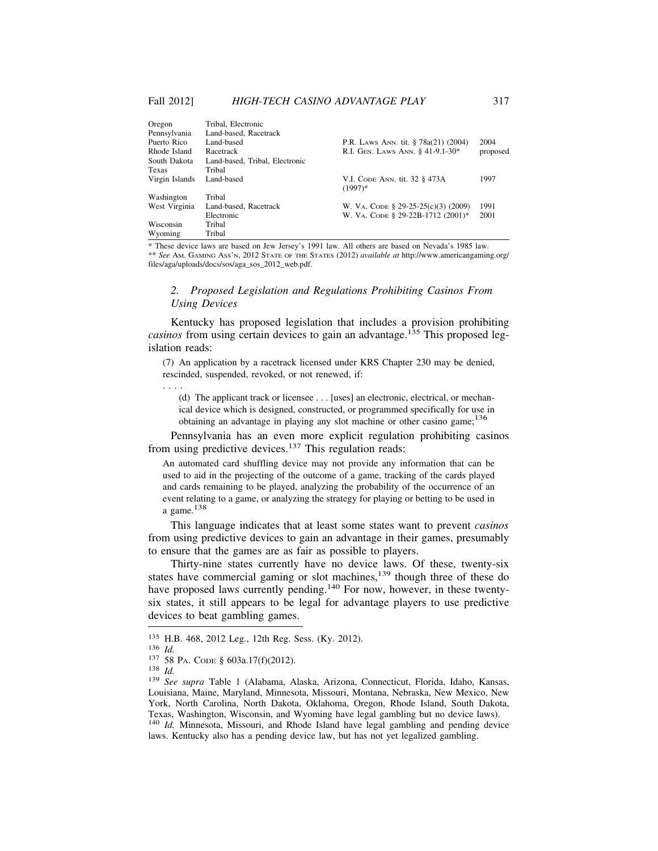| Oregon         | Tribal, Electronic             |                                            |          |
|----------------|--------------------------------|--------------------------------------------|----------|
| Pennsylvania   | Land-based, Racetrack          |                                            |          |
| Puerto Rico    | Land-based                     | P.R. LAWS ANN. tit. § 78a(21) (2004)       | 2004     |
| Rhode Island   | Racetrack                      | R.I. GEN. LAWS ANN. § 41-9.1-30*           | proposed |
| South Dakota   | Land-based, Tribal, Electronic |                                            |          |
| Texas          | Tribal                         |                                            |          |
| Virgin Islands | Land-based                     | V.I. CODE ANN. tit. 32 § 473A<br>$(1997)*$ | 1997     |
| Washington     | Tribal                         |                                            |          |
| West Virginia  | Land-based, Racetrack          | W. VA. CODE § 29-25-25(c)(3) (2009)        | 1991     |
|                | Electronic                     | W. VA. CODE § 29-22B-1712 (2001)*          | 2001     |
| Wisconsin      | Tribal                         |                                            |          |
| Wyoming        | Tribal                         |                                            |          |

\* These device laws are based on Jew Jersey's 1991 law. All others are based on Nevada's 1985 law. \*\* *See* AM. GAMING ASS'N, 2012 STATE OF THE STATES (2012) *available at* http://www.americangaming.org/ files/aga/uploads/docs/sos/aga\_sos\_2012\_web.pdf.

# *2. Proposed Legislation and Regulations Prohibiting Casinos From Using Devices*

Kentucky has proposed legislation that includes a provision prohibiting *casinos* from using certain devices to gain an advantage.<sup>135</sup> This proposed legislation reads:

(7) An application by a racetrack licensed under KRS Chapter 230 may be denied, rescinded, suspended, revoked, or not renewed, if:

(d) The applicant track or licensee . . . [uses] an electronic, electrical, or mechanical device which is designed, constructed, or programmed specifically for use in obtaining an advantage in playing any slot machine or other casino game;<sup>136</sup>

Pennsylvania has an even more explicit regulation prohibiting casinos from using predictive devices.<sup>137</sup> This regulation reads:

An automated card shuffling device may not provide any information that can be used to aid in the projecting of the outcome of a game, tracking of the cards played and cards remaining to be played, analyzing the probability of the occurrence of an event relating to a game, or analyzing the strategy for playing or betting to be used in a game.<sup>138</sup>

This language indicates that at least some states want to prevent *casinos* from using predictive devices to gain an advantage in their games, presumably to ensure that the games are as fair as possible to players.

Thirty-nine states currently have no device laws. Of these, twenty-six states have commercial gaming or slot machines,<sup>139</sup> though three of these do have proposed laws currently pending.<sup>140</sup> For now, however, in these twentysix states, it still appears to be legal for advantage players to use predictive devices to beat gambling games.

. . . .

<sup>135</sup> H.B. 468, 2012 Leg., 12th Reg. Sess. (Ky. 2012).<br>
136 *Id.* 137 58 PA. Code § 603a.17(f)(2012).<br>
138 *Id.* 139 *See supra* Table 1 (Alabama, Alaska, Arizona, Connecticut, Florida, Idaho, Kansas, Louisiana, Maine, Maryland, Minnesota, Missouri, Montana, Nebraska, New Mexico, New York, North Carolina, North Dakota, Oklahoma, Oregon, Rhode Island, South Dakota, Texas, Washington, Wisconsin, and Wyoming have legal gambling but no device laws). <sup>140</sup> *Id.* Minnesota, Missouri, and Rhode Island have legal gambling and pending device laws. Kentucky also has a pending device law, but has not yet legalized gambling.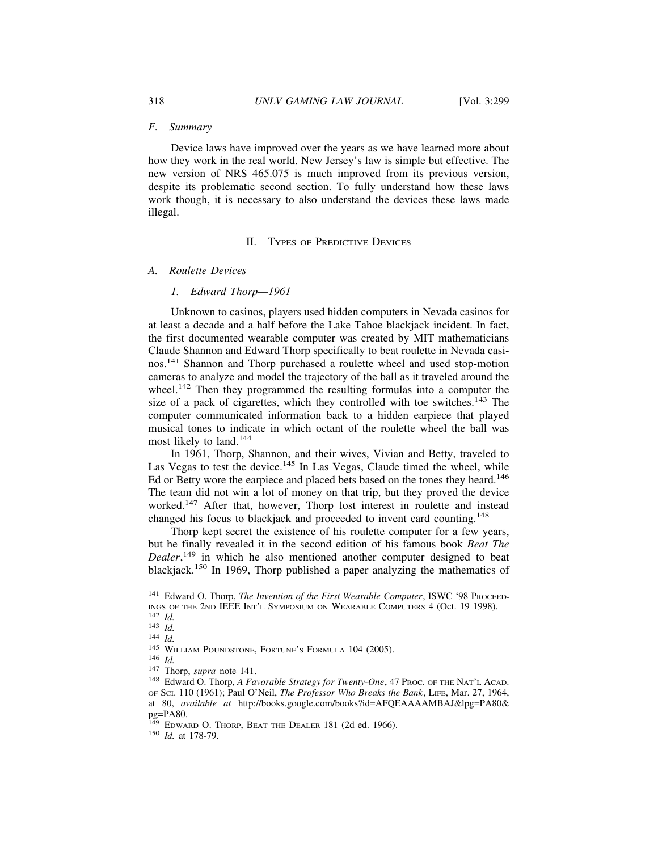#### *F. Summary*

Device laws have improved over the years as we have learned more about how they work in the real world. New Jersey's law is simple but effective. The new version of NRS 465.075 is much improved from its previous version, despite its problematic second section. To fully understand how these laws work though, it is necessary to also understand the devices these laws made illegal.

# II. TYPES OF PREDICTIVE DEVICES

#### *A. Roulette Devices*

# *1. Edward Thorp—1961*

Unknown to casinos, players used hidden computers in Nevada casinos for at least a decade and a half before the Lake Tahoe blackjack incident. In fact, the first documented wearable computer was created by MIT mathematicians Claude Shannon and Edward Thorp specifically to beat roulette in Nevada casinos.141 Shannon and Thorp purchased a roulette wheel and used stop-motion cameras to analyze and model the trajectory of the ball as it traveled around the wheel.<sup>142</sup> Then they programmed the resulting formulas into a computer the size of a pack of cigarettes, which they controlled with toe switches.<sup>143</sup> The computer communicated information back to a hidden earpiece that played musical tones to indicate in which octant of the roulette wheel the ball was most likely to land.<sup>144</sup>

In 1961, Thorp, Shannon, and their wives, Vivian and Betty, traveled to Las Vegas to test the device.<sup>145</sup> In Las Vegas, Claude timed the wheel, while Ed or Betty wore the earpiece and placed bets based on the tones they heard.<sup>146</sup> The team did not win a lot of money on that trip, but they proved the device worked.<sup>147</sup> After that, however, Thorp lost interest in roulette and instead changed his focus to blackjack and proceeded to invent card counting.<sup>148</sup>

Thorp kept secret the existence of his roulette computer for a few years, but he finally revealed it in the second edition of his famous book *Beat The Dealer*, 149 in which he also mentioned another computer designed to beat blackjack.<sup>150</sup> In 1969, Thorp published a paper analyzing the mathematics of

<sup>&</sup>lt;sup>141</sup> Edward O. Thorp, *The Invention of the First Wearable Computer*, ISWC '98 PROCEED-INGS OF THE 2ND IEEE INT'L SYMPOSIUM ON WEARABLE COMPUTERS 4 (Oct. 19 1998).<br>
<sup>142</sup> Id.<br>
<sup>143</sup> Id.<br>
<sup>143</sup> Id.<br>
<sup>144</sup> Id.<br>
<sup>145</sup> WILLIAM POUNDSTONE, FORTUNE'S FORMULA 104 (2005).<br>
<sup>146</sup> Id.<br>
<sup>147</sup> Thorp, *supra* note 141.<br>

OF SCI. 110 (1961); Paul O'Neil, *The Professor Who Breaks the Bank*, LIFE, Mar. 27, 1964, at 80, *available at* http://books.google.com/books?id=AFQEAAAAMBAJ&lpg=PA80& pg=PA80.

<sup>149</sup> EDWARD O. THORP, BEAT THE DEALER 181 (2d ed. 1966). <sup>150</sup> *Id.* at 178-79.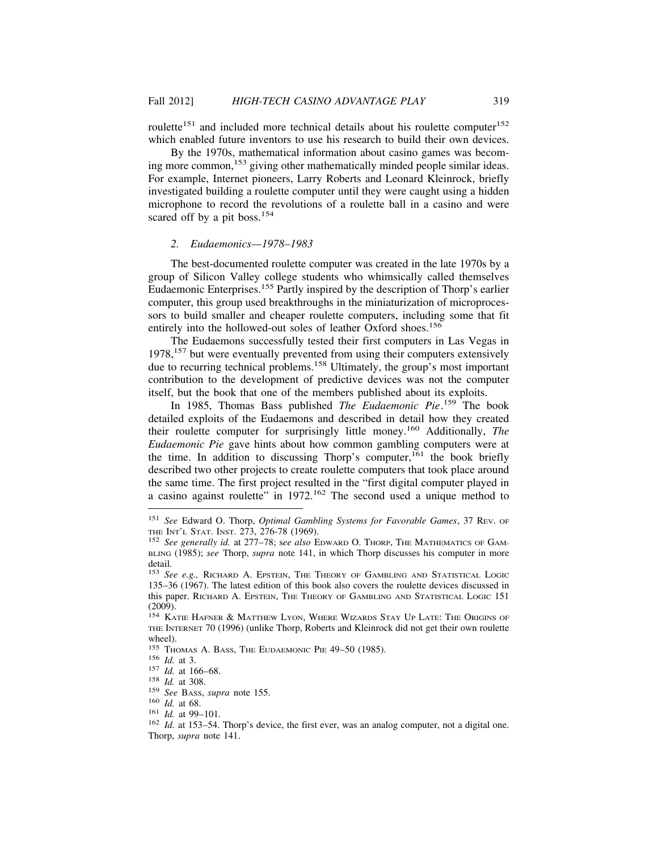roulette<sup>151</sup> and included more technical details about his roulette computer<sup>152</sup> which enabled future inventors to use his research to build their own devices.

By the 1970s, mathematical information about casino games was becoming more common,<sup>153</sup> giving other mathematically minded people similar ideas. For example, Internet pioneers, Larry Roberts and Leonard Kleinrock, briefly investigated building a roulette computer until they were caught using a hidden microphone to record the revolutions of a roulette ball in a casino and were scared off by a pit boss.<sup>154</sup>

## *2. Eudaemonics—1978–1983*

The best-documented roulette computer was created in the late 1970s by a group of Silicon Valley college students who whimsically called themselves Eudaemonic Enterprises.<sup>155</sup> Partly inspired by the description of Thorp's earlier computer, this group used breakthroughs in the miniaturization of microprocessors to build smaller and cheaper roulette computers, including some that fit entirely into the hollowed-out soles of leather Oxford shoes.<sup>156</sup>

The Eudaemons successfully tested their first computers in Las Vegas in 1978,<sup>157</sup> but were eventually prevented from using their computers extensively due to recurring technical problems.<sup>158</sup> Ultimately, the group's most important contribution to the development of predictive devices was not the computer itself, but the book that one of the members published about its exploits.

In 1985, Thomas Bass published *The Eudaemonic Pie*. 159 The book detailed exploits of the Eudaemons and described in detail how they created their roulette computer for surprisingly little money.160 Additionally, *The Eudaemonic Pie* gave hints about how common gambling computers were at the time. In addition to discussing Thorp's computer,  $161$  the book briefly described two other projects to create roulette computers that took place around the same time. The first project resulted in the "first digital computer played in a casino against roulette" in 1972.162 The second used a unique method to

<sup>151</sup> *See* Edward O. Thorp, *Optimal Gambling Systems for Favorable Games*, 37 REV. OF

<sup>152</sup> See generally id. at 277–78; see also EDWARD O. THORP, THE MATHEMATICS OF GAM-BLING (1985); *see* Thorp, *supra* note 141, in which Thorp discusses his computer in more detail.

<sup>153</sup> *See e.g.,* RICHARD A. EPSTEIN, THE THEORY OF GAMBLING AND STATISTICAL LOGIC 135–36 (1967). The latest edition of this book also covers the roulette devices discussed in this paper. RICHARD A. EPSTEIN, THE THEORY OF GAMBLING AND STATISTICAL LOGIC 151 (2009).

<sup>&</sup>lt;sup>154</sup> KATIE HAFNER & MATTHEW LYON, WHERE WIZARDS STAY UP LATE: THE ORIGINS OF THE INTERNET 70 (1996) (unlike Thorp, Roberts and Kleinrock did not get their own roulette wheel).<br><sup>155</sup> Thomas A. Bass, The Eudaemonic Pie 49–50 (1985).

<sup>&</sup>lt;sup>156</sup> *Id.* at 3.<br>
<sup>157</sup> *Id.* at 166–68.<br>
<sup>158</sup> *Id.* at 308.<br>
<sup>159</sup> *See* BAss, *supra* note 155.<br>
<sup>160</sup> *Id.* at 68.<br>
<sup>161</sup> *Id.* at 99–101.<br>
<sup>162</sup> *Id.* at 153–54. Thorp's device, the first ever, was an analog compute Thorp, *supra* note 141.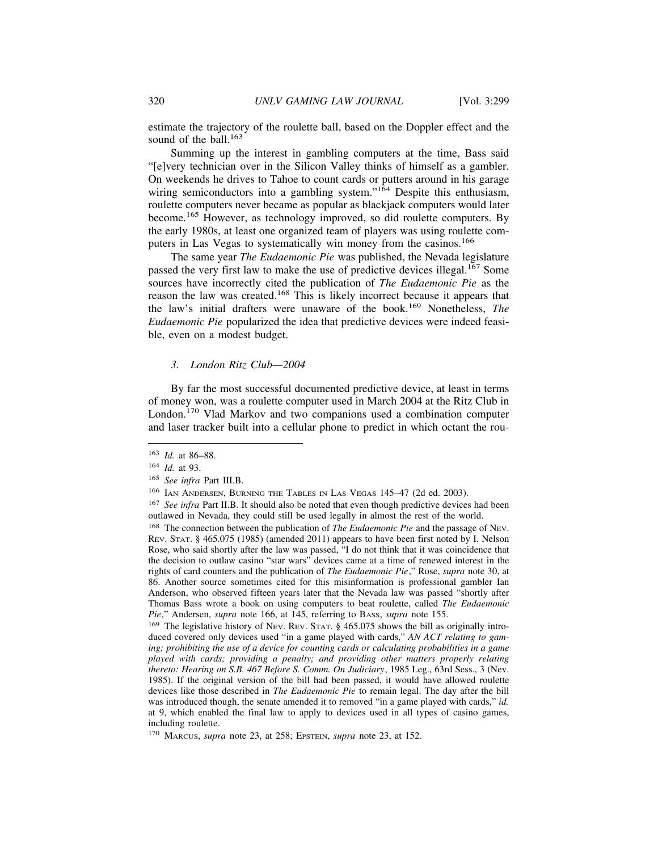estimate the trajectory of the roulette ball, based on the Doppler effect and the sound of the ball. $163$ 

Summing up the interest in gambling computers at the time, Bass said "[e]very technician over in the Silicon Valley thinks of himself as a gambler. On weekends he drives to Tahoe to count cards or putters around in his garage wiring semiconductors into a gambling system."<sup>164</sup> Despite this enthusiasm, roulette computers never became as popular as blackjack computers would later become.165 However, as technology improved, so did roulette computers. By the early 1980s, at least one organized team of players was using roulette computers in Las Vegas to systematically win money from the casinos.<sup>166</sup>

The same year *The Eudaemonic Pie* was published, the Nevada legislature passed the very first law to make the use of predictive devices illegal.167 Some sources have incorrectly cited the publication of *The Eudaemonic Pie* as the reason the law was created.168 This is likely incorrect because it appears that the law's initial drafters were unaware of the book.169 Nonetheless, *The Eudaemonic Pie* popularized the idea that predictive devices were indeed feasible, even on a modest budget.

#### *3. London Ritz Club—2004*

By far the most successful documented predictive device, at least in terms of money won, was a roulette computer used in March 2004 at the Ritz Club in London.170 Vlad Markov and two companions used a combination computer and laser tracker built into a cellular phone to predict in which octant the rou-

<sup>163</sup> *Id.* at 86–88.

<sup>164</sup> *Id.* at 93.

<sup>165</sup> *See infra* Part III.B.

<sup>166</sup> IAN ANDERSEN, BURNING THE TABLES IN LAS VEGAS 145–47 (2d ed. 2003).

<sup>167</sup> *See infra* Part II.B. It should also be noted that even though predictive devices had been outlawed in Nevada, they could still be used legally in almost the rest of the world.

<sup>168</sup> The connection between the publication of *The Eudaemonic Pie* and the passage of NEV. REV. STAT. § 465.075 (1985) (amended 2011) appears to have been first noted by I. Nelson Rose, who said shortly after the law was passed, "I do not think that it was coincidence that the decision to outlaw casino "star wars" devices came at a time of renewed interest in the rights of card counters and the publication of *The Eudaemonic Pie*," Rose, *supra* note 30, at 86. Another source sometimes cited for this misinformation is professional gambler Ian Anderson, who observed fifteen years later that the Nevada law was passed "shortly after Thomas Bass wrote a book on using computers to beat roulette, called *The Eudaemonic Pie*," Andersen, *supra* note 166, at 145, referring to BASS, *supra* note 155.

<sup>&</sup>lt;sup>169</sup> The legislative history of NEV. REV. STAT. § 465.075 shows the bill as originally introduced covered only devices used "in a game played with cards," *AN ACT relating to gaming; prohibiting the use of a device for counting cards or calculating probabilities in a game played with cards; providing a penalty; and providing other matters properly relating thereto: Hearing on S.B. 467 Before S. Comm. On Judiciary*, 1985 Leg., 63rd Sess., 3 (Nev. 1985). If the original version of the bill had been passed, it would have allowed roulette devices like those described in *The Eudaemonic Pie* to remain legal. The day after the bill was introduced though, the senate amended it to removed "in a game played with cards," *id.* at 9, which enabled the final law to apply to devices used in all types of casino games, including roulette.

<sup>170</sup> MARCUS, *supra* note 23, at 258; EPSTEIN, *supra* note 23, at 152.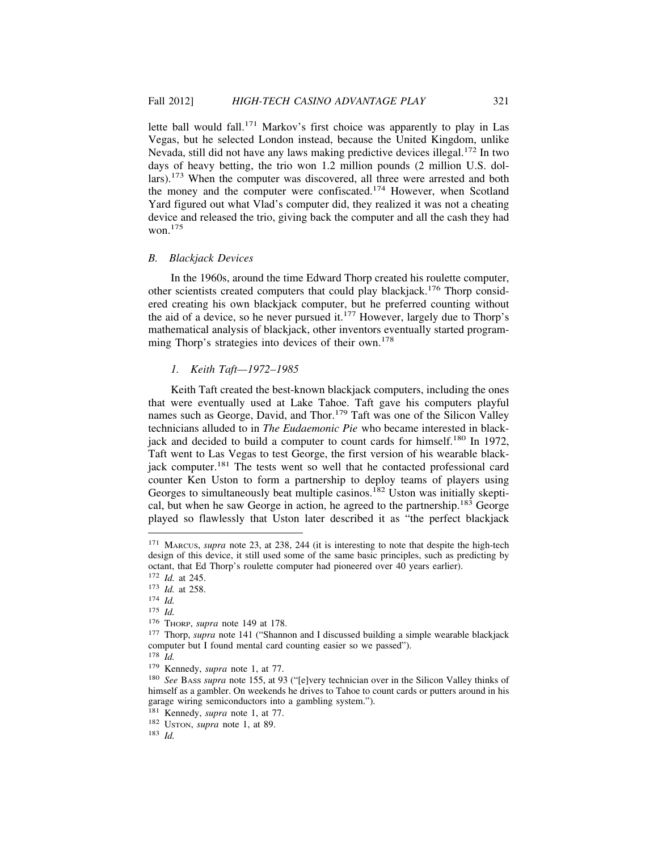lette ball would fall.<sup>171</sup> Markov's first choice was apparently to play in Las Vegas, but he selected London instead, because the United Kingdom, unlike Nevada, still did not have any laws making predictive devices illegal.172 In two days of heavy betting, the trio won 1.2 million pounds (2 million U.S. dollars).173 When the computer was discovered, all three were arrested and both the money and the computer were confiscated.174 However, when Scotland Yard figured out what Vlad's computer did, they realized it was not a cheating device and released the trio, giving back the computer and all the cash they had won.175

#### *B. Blackjack Devices*

In the 1960s, around the time Edward Thorp created his roulette computer, other scientists created computers that could play blackjack.176 Thorp considered creating his own blackjack computer, but he preferred counting without the aid of a device, so he never pursued it.177 However, largely due to Thorp's mathematical analysis of blackjack, other inventors eventually started programming Thorp's strategies into devices of their own.<sup>178</sup>

## *1. Keith Taft—1972–1985*

Keith Taft created the best-known blackjack computers, including the ones that were eventually used at Lake Tahoe. Taft gave his computers playful names such as George, David, and Thor.<sup>179</sup> Taft was one of the Silicon Valley technicians alluded to in *The Eudaemonic Pie* who became interested in blackjack and decided to build a computer to count cards for himself.<sup>180</sup> In 1972, Taft went to Las Vegas to test George, the first version of his wearable blackjack computer.<sup>181</sup> The tests went so well that he contacted professional card counter Ken Uston to form a partnership to deploy teams of players using Georges to simultaneously beat multiple casinos.<sup>182</sup> Uston was initially skeptical, but when he saw George in action, he agreed to the partnership.183 George played so flawlessly that Uston later described it as "the perfect blackjack

<sup>171</sup> MARCUS, *supra* note 23, at 238, 244 (it is interesting to note that despite the high-tech design of this device, it still used some of the same basic principles, such as predicting by octant, that Ed Thorp's roulette computer had pioneered over 40 years earlier).

<sup>172</sup> *Id.* at 245.

<sup>173</sup> *Id.* at 258. <sup>174</sup> *Id.*

<sup>175</sup> *Id.*

<sup>176</sup> THORP, *supra* note 149 at 178.

<sup>&</sup>lt;sup>177</sup> Thorp, *supra* note 141 ("Shannon and I discussed building a simple wearable blackjack computer but I found mental card counting easier so we passed").

<sup>178</sup> *Id.*

<sup>179</sup> Kennedy, *supra* note 1, at 77.

<sup>180</sup> *See* BASS *supra* note 155, at 93 ("[e]very technician over in the Silicon Valley thinks of himself as a gambler. On weekends he drives to Tahoe to count cards or putters around in his garage wiring semiconductors into a gambling system.").

<sup>181</sup> Kennedy, *supra* note 1, at 77.

<sup>182</sup> USTON, *supra* note 1, at 89.

<sup>183</sup> *Id.*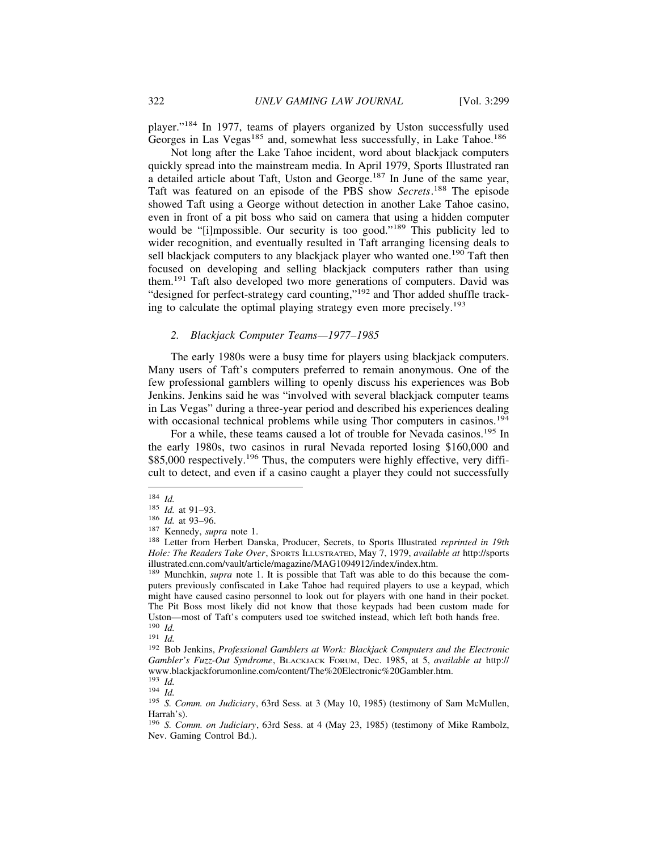player."184 In 1977, teams of players organized by Uston successfully used Georges in Las Vegas<sup>185</sup> and, somewhat less successfully, in Lake Tahoe.<sup>186</sup>

Not long after the Lake Tahoe incident, word about blackjack computers quickly spread into the mainstream media. In April 1979, Sports Illustrated ran a detailed article about Taft, Uston and George.187 In June of the same year, Taft was featured on an episode of the PBS show *Secrets*. 188 The episode showed Taft using a George without detection in another Lake Tahoe casino, even in front of a pit boss who said on camera that using a hidden computer would be "[i]mpossible. Our security is too good."<sup>189</sup> This publicity led to wider recognition, and eventually resulted in Taft arranging licensing deals to sell blackjack computers to any blackjack player who wanted one.<sup>190</sup> Taft then focused on developing and selling blackjack computers rather than using them.191 Taft also developed two more generations of computers. David was "designed for perfect-strategy card counting,"<sup>192</sup> and Thor added shuffle tracking to calculate the optimal playing strategy even more precisely.<sup>193</sup>

## *2. Blackjack Computer Teams—1977–1985*

The early 1980s were a busy time for players using blackjack computers. Many users of Taft's computers preferred to remain anonymous. One of the few professional gamblers willing to openly discuss his experiences was Bob Jenkins. Jenkins said he was "involved with several blackjack computer teams in Las Vegas" during a three-year period and described his experiences dealing with occasional technical problems while using Thor computers in casinos.<sup>194</sup>

For a while, these teams caused a lot of trouble for Nevada casinos.<sup>195</sup> In the early 1980s, two casinos in rural Nevada reported losing \$160,000 and \$85,000 respectively.<sup>196</sup> Thus, the computers were highly effective, very difficult to detect, and even if a casino caught a player they could not successfully

<sup>184</sup> *Id.*<br>
185 *Id.* at 91–93.<br>
186 *Id.* at 93–96.<br>
<sup>187</sup> Kennedy, *supra* note 1.<br>
<sup>188</sup> Letter from Herbert Danska, Producer, Secrets, to Sports Illustrated *reprinted in 19th Hole: The Readers Take Over*, SPORTS ILLUSTRATED, May 7, 1979, *available at* http://sports illustrated.cnn.com/vault/article/magazine/MAG1094912/index/index.htm.

<sup>&</sup>lt;sup>189</sup> Munchkin, *supra* note 1. It is possible that Taft was able to do this because the computers previously confiscated in Lake Tahoe had required players to use a keypad, which might have caused casino personnel to look out for players with one hand in their pocket. The Pit Boss most likely did not know that those keypads had been custom made for Uston—most of Taft's computers used toe switched instead, which left both hands free.<br> $^{190}$  *Id*.

<sup>190</sup> *Id.* <sup>191</sup> *Id.* <sup>192</sup> Bob Jenkins, *Professional Gamblers at Work: Blackjack Computers and the Electronic Gambler's Fuzz-Out Syndrome*, BLACKJACK FORUM, Dec. 1985, at 5, *available at* http:// www.blackjackforumonline.com/content/The%20Electronic%20Gambler.htm.  $^{193}$   $\,$   $\! Id$ 

<sup>193</sup> *Id.* <sup>194</sup> *Id.* <sup>195</sup> *S. Comm. on Judiciary*, 63rd Sess. at 3 (May 10, 1985) (testimony of Sam McMullen, Harrah's).

<sup>196</sup> *S. Comm. on Judiciary*, 63rd Sess. at 4 (May 23, 1985) (testimony of Mike Rambolz, Nev. Gaming Control Bd.).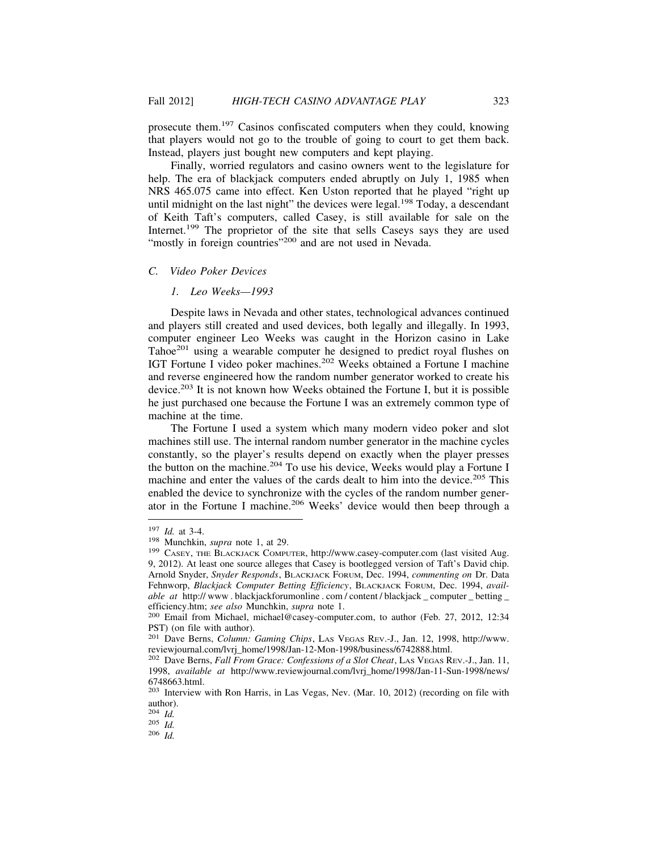prosecute them.197 Casinos confiscated computers when they could, knowing that players would not go to the trouble of going to court to get them back. Instead, players just bought new computers and kept playing.

Finally, worried regulators and casino owners went to the legislature for help. The era of blackjack computers ended abruptly on July 1, 1985 when NRS 465.075 came into effect. Ken Uston reported that he played "right up until midnight on the last night" the devices were legal. $198$  Today, a descendant of Keith Taft's computers, called Casey, is still available for sale on the Internet.<sup>199</sup> The proprietor of the site that sells Caseys says they are used "mostly in foreign countries"<sup>200</sup> and are not used in Nevada.

## *C. Video Poker Devices*

## *1. Leo Weeks—1993*

Despite laws in Nevada and other states, technological advances continued and players still created and used devices, both legally and illegally. In 1993, computer engineer Leo Weeks was caught in the Horizon casino in Lake Tahoe<sup>201</sup> using a wearable computer he designed to predict royal flushes on IGT Fortune I video poker machines.202 Weeks obtained a Fortune I machine and reverse engineered how the random number generator worked to create his device.203 It is not known how Weeks obtained the Fortune I, but it is possible he just purchased one because the Fortune I was an extremely common type of machine at the time.

The Fortune I used a system which many modern video poker and slot machines still use. The internal random number generator in the machine cycles constantly, so the player's results depend on exactly when the player presses the button on the machine.<sup>204</sup> To use his device, Weeks would play a Fortune I machine and enter the values of the cards dealt to him into the device.<sup>205</sup> This enabled the device to synchronize with the cycles of the random number generator in the Fortune I machine.<sup>206</sup> Weeks' device would then beep through a

<sup>&</sup>lt;sup>197</sup> *Id.* at 3-4.<br><sup>198</sup> Munchkin, *supra* note 1, at 29.<br><sup>199</sup> CASEY, THE BLACKJACK COMPUTER, http://www.casey-computer.com (last visited Aug. 9, 2012). At least one source alleges that Casey is bootlegged version of Taft's David chip. Arnold Snyder, *Snyder Responds*, BLACKJACK FORUM, Dec. 1994, *commenting on* Dr. Data Fehnworp, *Blackjack Computer Betting Efficiency*, BLACKJACK FORUM, Dec. 1994, *available at* http://www.blackjackforumonline.com/content/blackjack computer betting efficiency.htm; *see also* Munchkin, *supra* note 1. <sup>200</sup> Email from Michael, michael@casey-computer.com, to author (Feb. 27, 2012, 12:34

PST) (on file with author).

<sup>201</sup> Dave Berns, *Column: Gaming Chips*, LAS VEGAS REV.-J., Jan. 12, 1998, http://www. reviewjournal.com/lvrj\_home/1998/Jan-12-Mon-1998/business/6742888.html.

<sup>202</sup> Dave Berns, *Fall From Grace: Confessions of a Slot Cheat*, LAS VEGAS REV.-J., Jan. 11, 1998, *available at* http://www.reviewjournal.com/lvrj\_home/1998/Jan-11-Sun-1998/news/ 6748663.html.

<sup>203</sup> Interview with Ron Harris, in Las Vegas, Nev. (Mar. 10, 2012) (recording on file with author).<br> $^{204}$  *Id.* 

<sup>204</sup> *Id.* 205 *Id.* 206 *Id.*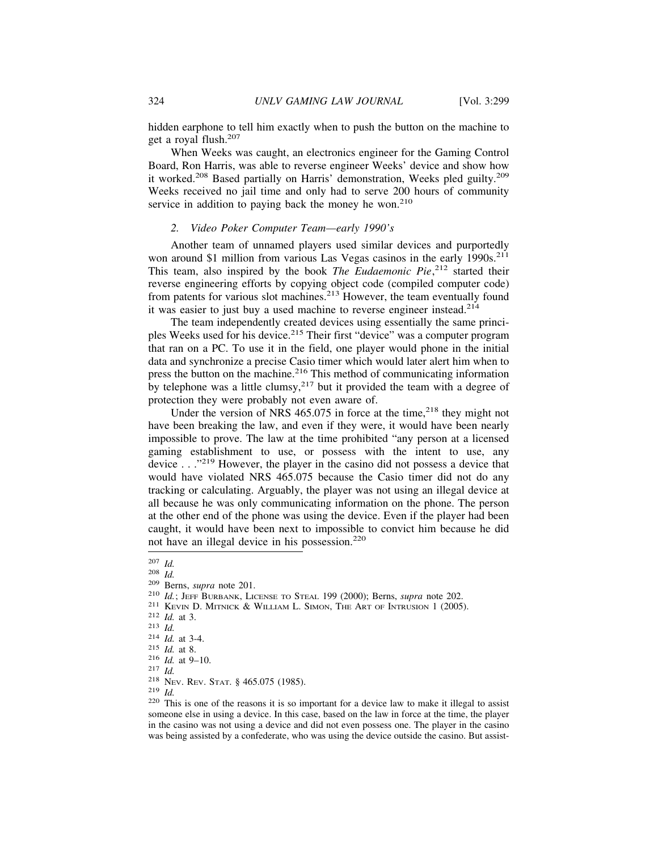hidden earphone to tell him exactly when to push the button on the machine to get a royal flush.<sup>207</sup>

When Weeks was caught, an electronics engineer for the Gaming Control Board, Ron Harris, was able to reverse engineer Weeks' device and show how it worked.208 Based partially on Harris' demonstration, Weeks pled guilty.209 Weeks received no jail time and only had to serve 200 hours of community service in addition to paying back the money he won.<sup>210</sup>

# *2. Video Poker Computer Team—early 1990's*

Another team of unnamed players used similar devices and purportedly won around \$1 million from various Las Vegas casinos in the early  $1990s$ <sup>211</sup> This team, also inspired by the book *The Eudaemonic Pie*,<sup>212</sup> started their reverse engineering efforts by copying object code (compiled computer code) from patents for various slot machines.213 However, the team eventually found it was easier to just buy a used machine to reverse engineer instead.<sup>214</sup>

The team independently created devices using essentially the same principles Weeks used for his device.<sup>215</sup> Their first "device" was a computer program that ran on a PC. To use it in the field, one player would phone in the initial data and synchronize a precise Casio timer which would later alert him when to press the button on the machine.<sup>216</sup> This method of communicating information by telephone was a little clumsy,<sup>217</sup> but it provided the team with a degree of protection they were probably not even aware of.

Under the version of NRS  $465.075$  in force at the time,<sup>218</sup> they might not have been breaking the law, and even if they were, it would have been nearly impossible to prove. The law at the time prohibited "any person at a licensed gaming establishment to use, or possess with the intent to use, any device . . ."219 However, the player in the casino did not possess a device that would have violated NRS 465.075 because the Casio timer did not do any tracking or calculating. Arguably, the player was not using an illegal device at all because he was only communicating information on the phone. The person at the other end of the phone was using the device. Even if the player had been caught, it would have been next to impossible to convict him because he did not have an illegal device in his possession.<sup>220</sup>

<sup>207</sup> Id.<br>
208 Id.<br>
208 H.<br>
200 Berns, *supra* note 201.<br>
210 Id.; JEFF BURBANK, LICENSE TO STEAL 199 (2000); Berns, *supra* note 202.<br>
211 KEVN D. MITNICK & WILLIAM L. SIMON, THE ART OF INTRUSION 1 (2005).<br>
212 Id. at 3.4. someone else in using a device. In this case, based on the law in force at the time, the player in the casino was not using a device and did not even possess one. The player in the casino was being assisted by a confederate, who was using the device outside the casino. But assist-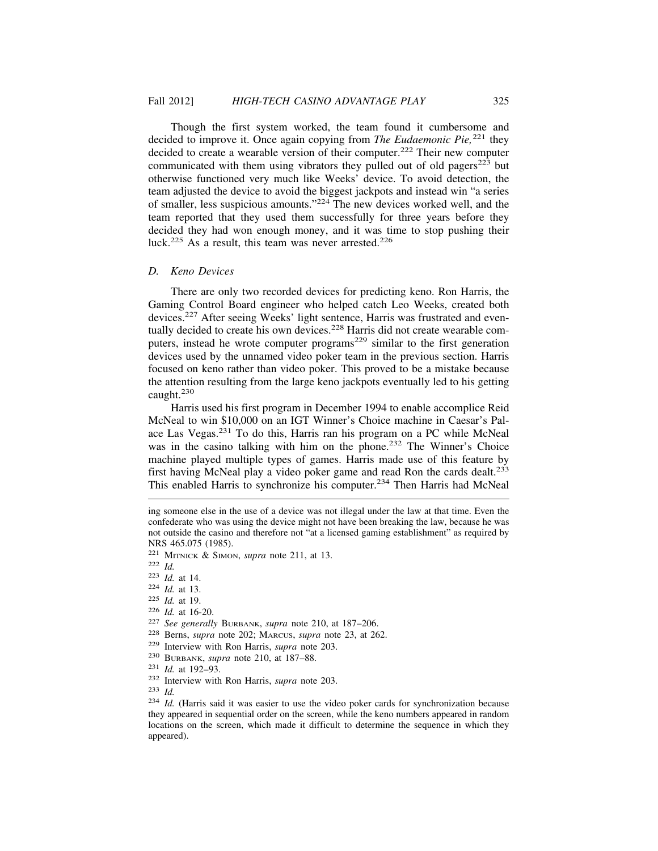Though the first system worked, the team found it cumbersome and decided to improve it. Once again copying from *The Eudaemonic Pie,*221 they decided to create a wearable version of their computer.<sup>222</sup> Their new computer communicated with them using vibrators they pulled out of old pagers $223$  but otherwise functioned very much like Weeks' device. To avoid detection, the team adjusted the device to avoid the biggest jackpots and instead win "a series of smaller, less suspicious amounts."224 The new devices worked well, and the team reported that they used them successfully for three years before they decided they had won enough money, and it was time to stop pushing their luck.<sup>225</sup> As a result, this team was never arrested.<sup>226</sup>

## *D. Keno Devices*

There are only two recorded devices for predicting keno. Ron Harris, the Gaming Control Board engineer who helped catch Leo Weeks, created both devices.<sup>227</sup> After seeing Weeks' light sentence, Harris was frustrated and eventually decided to create his own devices.<sup>228</sup> Harris did not create wearable computers, instead he wrote computer programs<sup>229</sup> similar to the first generation devices used by the unnamed video poker team in the previous section. Harris focused on keno rather than video poker. This proved to be a mistake because the attention resulting from the large keno jackpots eventually led to his getting caught.<sup>230</sup>

Harris used his first program in December 1994 to enable accomplice Reid McNeal to win \$10,000 on an IGT Winner's Choice machine in Caesar's Palace Las Vegas.231 To do this, Harris ran his program on a PC while McNeal was in the casino talking with him on the phone.<sup>232</sup> The Winner's Choice machine played multiple types of games. Harris made use of this feature by first having McNeal play a video poker game and read Ron the cards dealt.<sup>233</sup> This enabled Harris to synchronize his computer.<sup>234</sup> Then Harris had McNeal

<sup>233</sup> *Id.*

ing someone else in the use of a device was not illegal under the law at that time. Even the confederate who was using the device might not have been breaking the law, because he was not outside the casino and therefore not "at a licensed gaming establishment" as required by NRS 465.075 (1985).

<sup>221</sup> MITNICK & SIMON, *supra* note 211, at 13.

<sup>222</sup> *Id.*

<sup>223</sup> *Id.* at 14.

<sup>224</sup> *Id.* at 13.

<sup>225</sup> *Id.* at 19.

<sup>226</sup> *Id.* at 16-20.

<sup>227</sup> *See generally* BURBANK, *supra* note 210, at 187–206.

<sup>228</sup> Berns, *supra* note 202; MARCUS, *supra* note 23, at 262.

<sup>229</sup> Interview with Ron Harris, *supra* note 203.

<sup>230</sup> BURBANK, *supra* note 210, at 187–88.

<sup>231</sup> *Id.* at 192–93.

<sup>232</sup> Interview with Ron Harris, *supra* note 203.

<sup>234</sup> *Id.* (Harris said it was easier to use the video poker cards for synchronization because they appeared in sequential order on the screen, while the keno numbers appeared in random locations on the screen, which made it difficult to determine the sequence in which they appeared).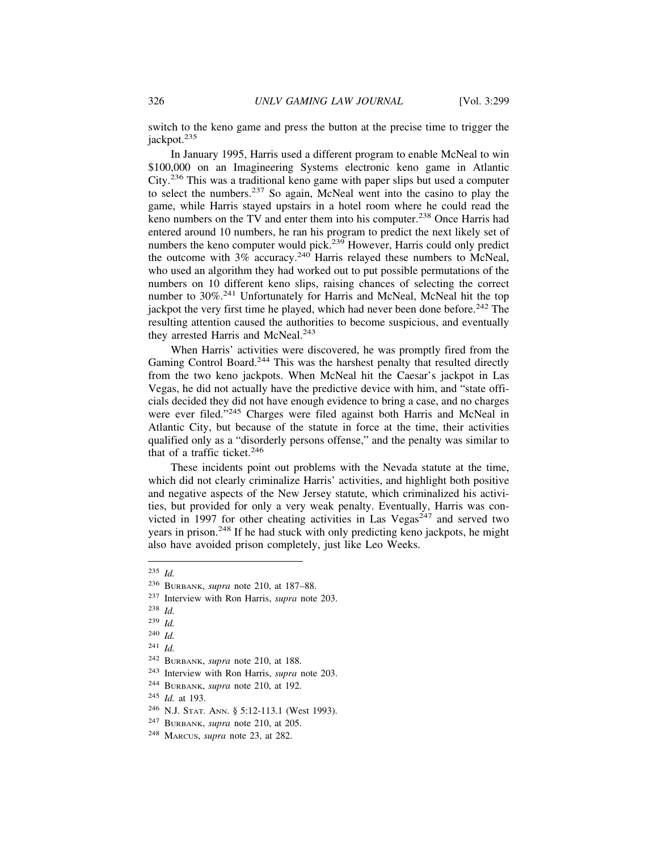switch to the keno game and press the button at the precise time to trigger the jackpot.<sup>235</sup>

In January 1995, Harris used a different program to enable McNeal to win \$100,000 on an Imagineering Systems electronic keno game in Atlantic City.236 This was a traditional keno game with paper slips but used a computer to select the numbers.237 So again, McNeal went into the casino to play the game, while Harris stayed upstairs in a hotel room where he could read the keno numbers on the TV and enter them into his computer.<sup>238</sup> Once Harris had entered around 10 numbers, he ran his program to predict the next likely set of numbers the keno computer would pick.<sup>239</sup> However, Harris could only predict the outcome with  $3\%$  accuracy.<sup>240</sup> Harris relayed these numbers to McNeal, who used an algorithm they had worked out to put possible permutations of the numbers on 10 different keno slips, raising chances of selecting the correct number to 30%.<sup>241</sup> Unfortunately for Harris and McNeal, McNeal hit the top jackpot the very first time he played, which had never been done before.<sup>242</sup> The resulting attention caused the authorities to become suspicious, and eventually they arrested Harris and McNeal.<sup>243</sup>

When Harris' activities were discovered, he was promptly fired from the Gaming Control Board.<sup>244</sup> This was the harshest penalty that resulted directly from the two keno jackpots. When McNeal hit the Caesar's jackpot in Las Vegas, he did not actually have the predictive device with him, and "state officials decided they did not have enough evidence to bring a case, and no charges were ever filed."<sup>245</sup> Charges were filed against both Harris and McNeal in Atlantic City, but because of the statute in force at the time, their activities qualified only as a "disorderly persons offense," and the penalty was similar to that of a traffic ticket.<sup>246</sup>

These incidents point out problems with the Nevada statute at the time, which did not clearly criminalize Harris' activities, and highlight both positive and negative aspects of the New Jersey statute, which criminalized his activities, but provided for only a very weak penalty. Eventually, Harris was convicted in 1997 for other cheating activities in Las Vegas<sup>247</sup> and served two years in prison.<sup>248</sup> If he had stuck with only predicting keno jackpots, he might also have avoided prison completely, just like Leo Weeks.

<sup>235</sup> *Id.*

<sup>236</sup> BURBANK, *supra* note 210, at 187–88.

<sup>237</sup> Interview with Ron Harris, *supra* note 203.

<sup>238</sup> *Id.*

<sup>239</sup> *Id.*

<sup>240</sup> *Id.*

<sup>241</sup> *Id.*

<sup>242</sup> BURBANK, *supra* note 210, at 188.

<sup>243</sup> Interview with Ron Harris, *supra* note 203.

<sup>244</sup> BURBANK, *supra* note 210, at 192.

<sup>245</sup> *Id.* at 193.

<sup>246</sup> N.J. STAT. ANN. § 5:12-113.1 (West 1993).

<sup>247</sup> BURBANK, *supra* note 210, at 205.

<sup>248</sup> MARCUS, *supra* note 23, at 282.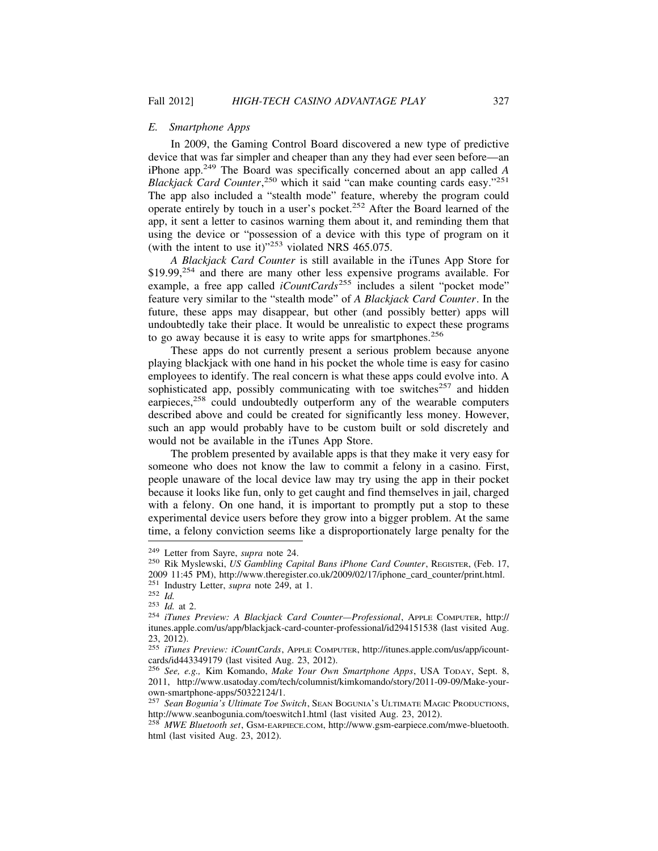#### *E. Smartphone Apps*

In 2009, the Gaming Control Board discovered a new type of predictive device that was far simpler and cheaper than any they had ever seen before—an iPhone app.249 The Board was specifically concerned about an app called *A* Blackjack Card Counter,<sup>250</sup> which it said "can make counting cards easy."<sup>251</sup> The app also included a "stealth mode" feature, whereby the program could operate entirely by touch in a user's pocket.252 After the Board learned of the app, it sent a letter to casinos warning them about it, and reminding them that using the device or "possession of a device with this type of program on it (with the intent to use it) $1253$  violated NRS 465.075.

*A Blackjack Card Counter* is still available in the iTunes App Store for  $$19.99<sup>254</sup>$  and there are many other less expensive programs available. For example, a free app called *iCountCards*<sup>255</sup> includes a silent "pocket mode" feature very similar to the "stealth mode" of *A Blackjack Card Counter*. In the future, these apps may disappear, but other (and possibly better) apps will undoubtedly take their place. It would be unrealistic to expect these programs to go away because it is easy to write apps for smartphones.<sup>256</sup>

These apps do not currently present a serious problem because anyone playing blackjack with one hand in his pocket the whole time is easy for casino employees to identify. The real concern is what these apps could evolve into. A sophisticated app, possibly communicating with toe switches<sup>257</sup> and hidden earpieces,<sup>258</sup> could undoubtedly outperform any of the wearable computers described above and could be created for significantly less money. However, such an app would probably have to be custom built or sold discretely and would not be available in the iTunes App Store.

The problem presented by available apps is that they make it very easy for someone who does not know the law to commit a felony in a casino. First, people unaware of the local device law may try using the app in their pocket because it looks like fun, only to get caught and find themselves in jail, charged with a felony. On one hand, it is important to promptly put a stop to these experimental device users before they grow into a bigger problem. At the same time, a felony conviction seems like a disproportionately large penalty for the

<sup>249</sup> Letter from Sayre, *supra* note 24. <sup>250</sup> Rik Myslewski, *US Gambling Capital Bans iPhone Card Counter*, REGISTER, (Feb. 17, 2009 11:45 PM), http://www.theregister.co.uk/2009/02/17/iphone\_card\_counter/print.html.<br><sup>251</sup> Industry Letter, *supra* note 249, at 1.

<sup>251</sup> Industry Letter, *supra* note 249, at 1. <sup>252</sup> *Id.* <sup>253</sup> *Id.* at 2. <sup>254</sup> *iTunes Preview: A Blackjack Card Counter—Professional*, APPLE COMPUTER, http:// itunes.apple.com/us/app/blackjack-card-counter-professional/id294151538 (last visited Aug. 23, 2012).

<sup>255</sup> *iTunes Preview: iCountCards*, APPLE COMPUTER, http://itunes.apple.com/us/app/icountcards/id443349179 (last visited Aug. 23, 2012).

<sup>256</sup> *See, e.g.,* Kim Komando, *Make Your Own Smartphone Apps*, USA TODAY, Sept. 8, 2011, http://www.usatoday.com/tech/columnist/kimkomando/story/2011-09-09/Make-yourown-smartphone-apps/50322124/1.

<sup>257</sup> *Sean Bogunia's Ultimate Toe Switch*, SEAN BOGUNIA'S ULTIMATE MAGIC PRODUCTIONS, http://www.seanbogunia.com/toeswitch1.html (last visited Aug. 23, 2012).

<sup>258</sup> *MWE Bluetooth set*, GSM-EARPIECE.COM, http://www.gsm-earpiece.com/mwe-bluetooth. html (last visited Aug. 23, 2012).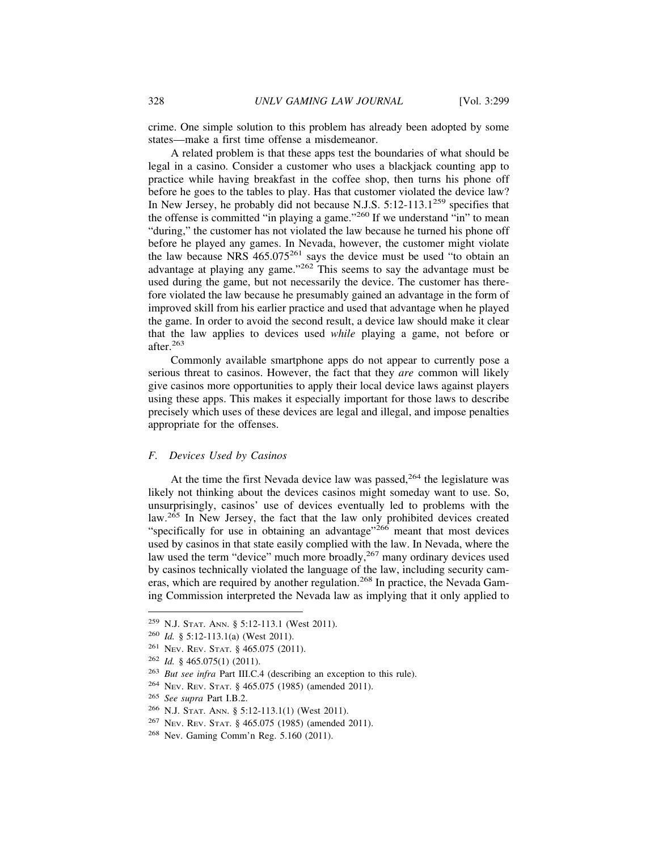crime. One simple solution to this problem has already been adopted by some states—make a first time offense a misdemeanor.

A related problem is that these apps test the boundaries of what should be legal in a casino. Consider a customer who uses a blackjack counting app to practice while having breakfast in the coffee shop, then turns his phone off before he goes to the tables to play. Has that customer violated the device law? In New Jersey, he probably did not because N.J.S.  $5:12-113.1^{259}$  specifies that the offense is committed "in playing a game."260 If we understand "in" to mean "during," the customer has not violated the law because he turned his phone off before he played any games. In Nevada, however, the customer might violate the law because NRS  $465.075^{261}$  says the device must be used "to obtain an advantage at playing any game."<sup>262</sup> This seems to say the advantage must be used during the game, but not necessarily the device. The customer has therefore violated the law because he presumably gained an advantage in the form of improved skill from his earlier practice and used that advantage when he played the game. In order to avoid the second result, a device law should make it clear that the law applies to devices used *while* playing a game, not before or after.<sup>263</sup>

Commonly available smartphone apps do not appear to currently pose a serious threat to casinos. However, the fact that they *are* common will likely give casinos more opportunities to apply their local device laws against players using these apps. This makes it especially important for those laws to describe precisely which uses of these devices are legal and illegal, and impose penalties appropriate for the offenses.

# *F. Devices Used by Casinos*

At the time the first Nevada device law was passed,  $264$  the legislature was likely not thinking about the devices casinos might someday want to use. So, unsurprisingly, casinos' use of devices eventually led to problems with the law.<sup>265</sup> In New Jersey, the fact that the law only prohibited devices created "specifically for use in obtaining an advantage"<sup>266</sup> meant that most devices used by casinos in that state easily complied with the law. In Nevada, where the law used the term "device" much more broadly,<sup>267</sup> many ordinary devices used by casinos technically violated the language of the law, including security cameras, which are required by another regulation.<sup>268</sup> In practice, the Nevada Gaming Commission interpreted the Nevada law as implying that it only applied to

<sup>259</sup> N.J. STAT. ANN. § 5:12-113.1 (West 2011).

<sup>260</sup> *Id.* § 5:12-113.1(a) (West 2011).

<sup>261</sup> NEV. REV. STAT. § 465.075 (2011).

<sup>262</sup> *Id.* § 465.075(1) (2011).

<sup>263</sup> *But see infra* Part III.C.4 (describing an exception to this rule).

<sup>264</sup> NEV. REV. STAT. § 465.075 (1985) (amended 2011).

<sup>265</sup> *See supra* Part I.B.2.

<sup>266</sup> N.J. STAT. ANN. § 5:12-113.1(1) (West 2011).

<sup>267</sup> NEV. REV. STAT. § 465.075 (1985) (amended 2011).

<sup>268</sup> Nev. Gaming Comm'n Reg. 5.160 (2011).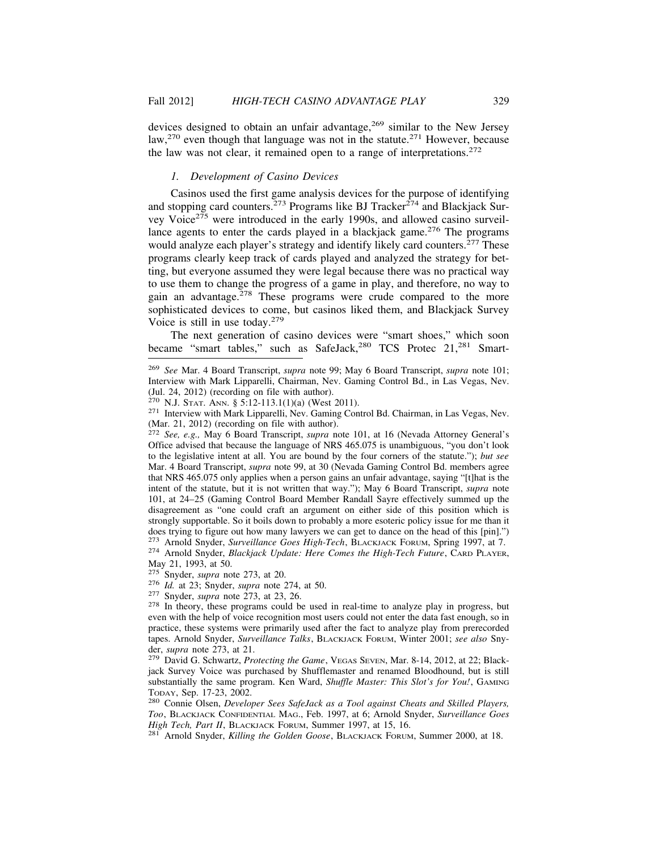devices designed to obtain an unfair advantage,<sup>269</sup> similar to the New Jersey law,<sup>270</sup> even though that language was not in the statute.<sup>271</sup> However, because the law was not clear, it remained open to a range of interpretations.<sup>272</sup>

# *1. Development of Casino Devices*

Casinos used the first game analysis devices for the purpose of identifying and stopping card counters.<sup>273</sup> Programs like BJ Tracker<sup>274</sup> and Blackjack Survey Voice<sup> $275$ </sup> were introduced in the early 1990s, and allowed casino surveillance agents to enter the cards played in a blackjack game.<sup>276</sup> The programs would analyze each player's strategy and identify likely card counters.<sup>277</sup> These programs clearly keep track of cards played and analyzed the strategy for betting, but everyone assumed they were legal because there was no practical way to use them to change the progress of a game in play, and therefore, no way to gain an advantage.<sup>278</sup> These programs were crude compared to the more sophisticated devices to come, but casinos liked them, and Blackjack Survey Voice is still in use today.<sup>279</sup>

The next generation of casino devices were "smart shoes," which soon became "smart tables," such as SafeJack,<sup>280</sup> TCS Protec 21,<sup>281</sup> Smart-

<sup>272</sup> *See, e.g.,* May 6 Board Transcript, *supra* note 101, at 16 (Nevada Attorney General's Office advised that because the language of NRS 465.075 is unambiguous, "you don't look to the legislative intent at all. You are bound by the four corners of the statute."); *but see* Mar. 4 Board Transcript, *supra* note 99, at 30 (Nevada Gaming Control Bd. members agree that NRS 465.075 only applies when a person gains an unfair advantage, saying "[t]hat is the intent of the statute, but it is not written that way."); May 6 Board Transcript, *supra* note 101, at 24–25 (Gaming Control Board Member Randall Sayre effectively summed up the disagreement as "one could craft an argument on either side of this position which is strongly supportable. So it boils down to probably a more esoteric policy issue for me than it does trying to figure out how many lawyers we can get to dance on the head of this [pin].")<br><sup>273</sup> Arnold Snyder, *Surveillance Goes High-Tech*, BLACKJACK FORUM, Spring 1997, at 7.

<sup>281</sup> Arnold Snyder, *Killing the Golden Goose*, BLACKJACK FORUM, Summer 2000, at 18.

<sup>269</sup> *See* Mar. 4 Board Transcript, *supra* note 99; May 6 Board Transcript, *supra* note 101; Interview with Mark Lipparelli, Chairman, Nev. Gaming Control Bd., in Las Vegas, Nev. (Jul. 24, 2012) (recording on file with author).<br><sup>270</sup> N.J. STAT. ANN. § 5:12-113.1(1)(a) (West 2011).

<sup>&</sup>lt;sup>271</sup> Interview with Mark Lipparelli, Nev. Gaming Control Bd. Chairman, in Las Vegas, Nev. (Mar. 21, 2012) (recording on file with author).

<sup>&</sup>lt;sup>274</sup> Arnold Snyder, *Blackjack Update: Here Comes the High-Tech Future*, CARD PLAYER, May 21, 1993, at 50.<br><sup>275</sup> Snyder, *supra* note 273, at 20.

<sup>&</sup>lt;sup>276</sup> *Id.* at 23; Snyder, *supra* note 274, at 50.<br><sup>277</sup> Snyder, *supra* note 273, at 23, 26.<br><sup>278</sup> In theory, these programs could be used in real-time to analyze play in progress, but even with the help of voice recognition most users could not enter the data fast enough, so in practice, these systems were primarily used after the fact to analyze play from prerecorded tapes. Arnold Snyder, *Surveillance Talks*, BLACKJACK FORUM, Winter 2001; *see also* Snyder, *supra* note 273, at 21.<br><sup>279</sup> David G. Schwartz, *Protecting the Game*, VEGAS SEVEN, Mar. 8-14, 2012, at 22; Black-

jack Survey Voice was purchased by Shufflemaster and renamed Bloodhound, but is still substantially the same program. Ken Ward, *Shuffle Master: This Slot's for You!*, GAMING TODAY, Sep. 17-23, 2002. <sup>280</sup> Connie Olsen, *Developer Sees SafeJack as a Tool against Cheats and Skilled Players,*

*Too*, BLACKJACK CONFIDENTIAL MAG., Feb. 1997, at 6; Arnold Snyder, *Surveillance Goes*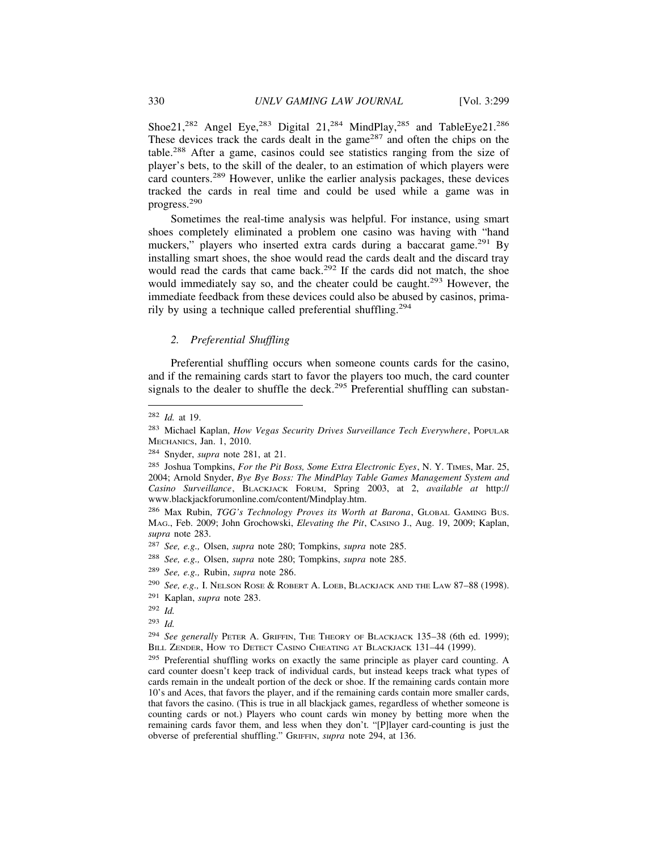Shoe21,<sup>282</sup> Angel Eye,<sup>283</sup> Digital 21,<sup>284</sup> MindPlay,<sup>285</sup> and TableEye21.<sup>286</sup> These devices track the cards dealt in the game<sup>287</sup> and often the chips on the table.288 After a game, casinos could see statistics ranging from the size of player's bets, to the skill of the dealer, to an estimation of which players were card counters.289 However, unlike the earlier analysis packages, these devices tracked the cards in real time and could be used while a game was in progress.<sup>290</sup>

Sometimes the real-time analysis was helpful. For instance, using smart shoes completely eliminated a problem one casino was having with "hand muckers," players who inserted extra cards during a baccarat game.<sup>291</sup> By installing smart shoes, the shoe would read the cards dealt and the discard tray would read the cards that came back.<sup>292</sup> If the cards did not match, the shoe would immediately say so, and the cheater could be caught.<sup>293</sup> However, the immediate feedback from these devices could also be abused by casinos, primarily by using a technique called preferential shuffling.<sup>294</sup>

# *2. Preferential Shuffling*

Preferential shuffling occurs when someone counts cards for the casino, and if the remaining cards start to favor the players too much, the card counter signals to the dealer to shuffle the deck.<sup>295</sup> Preferential shuffling can substan-

- <sup>287</sup> *See, e.g.,* Olsen, *supra* note 280; Tompkins, *supra* note 285.
- <sup>288</sup> *See, e.g.,* Olsen, *supra* note 280; Tompkins, *supra* note 285.
- <sup>289</sup> *See, e.g.,* Rubin, *supra* note 286.
- <sup>290</sup> *See, e.g.,* I. NELSON ROSE & ROBERT A. LOEB, BLACKJACK AND THE LAW 87–88 (1998).
- <sup>291</sup> Kaplan, *supra* note 283.
- <sup>292</sup> *Id.*
- <sup>293</sup> *Id.*

<sup>282</sup> *Id.* at 19.

<sup>283</sup> Michael Kaplan, *How Vegas Security Drives Surveillance Tech Everywhere*, POPULAR MECHANICS, Jan. 1, 2010.

<sup>284</sup> Snyder, *supra* note 281, at 21.

<sup>285</sup> Joshua Tompkins, *For the Pit Boss, Some Extra Electronic Eyes*, N. Y. TIMES, Mar. 25, 2004; Arnold Snyder, *Bye Bye Boss: The MindPlay Table Games Management System and Casino Surveillance*, BLACKJACK FORUM, Spring 2003, at 2, *available at* http:// www.blackjackforumonline.com/content/Mindplay.htm.

<sup>286</sup> Max Rubin, *TGG's Technology Proves its Worth at Barona*, GLOBAL GAMING BUS. MAG., Feb. 2009; John Grochowski, *Elevating the Pit*, CASINO J., Aug. 19, 2009; Kaplan, *supra* note 283.

<sup>294</sup> *See generally* PETER A. GRIFFIN, THE THEORY OF BLACKJACK 135–38 (6th ed. 1999); BILL ZENDER, HOW TO DETECT CASINO CHEATING AT BLACKJACK 131-44 (1999).

<sup>295</sup> Preferential shuffling works on exactly the same principle as player card counting. A card counter doesn't keep track of individual cards, but instead keeps track what types of cards remain in the undealt portion of the deck or shoe. If the remaining cards contain more 10's and Aces, that favors the player, and if the remaining cards contain more smaller cards, that favors the casino. (This is true in all blackjack games, regardless of whether someone is counting cards or not.) Players who count cards win money by betting more when the remaining cards favor them, and less when they don't. "[P]layer card-counting is just the obverse of preferential shuffling." GRIFFIN, *supra* note 294, at 136.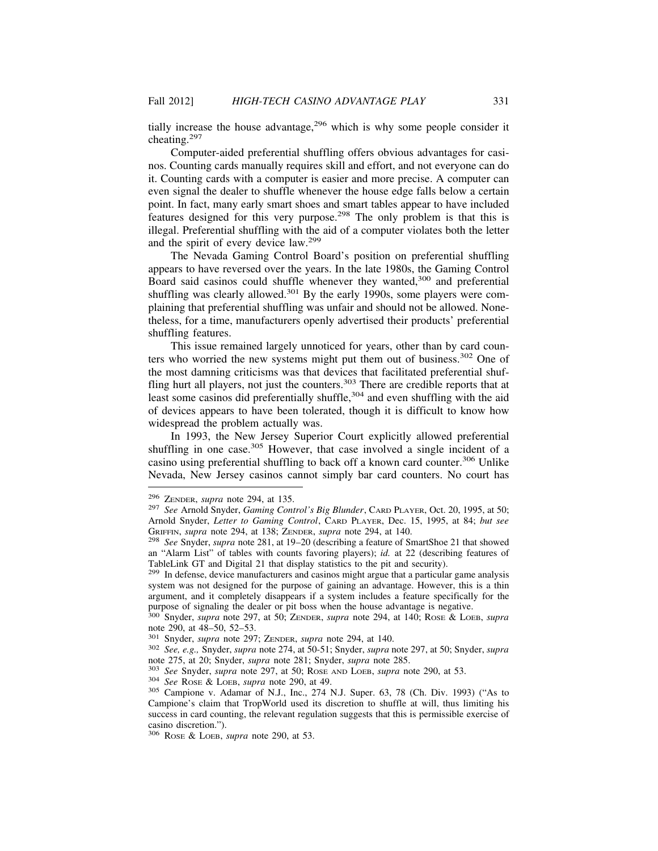tially increase the house advantage, $296$  which is why some people consider it cheating.<sup>297</sup>

Computer-aided preferential shuffling offers obvious advantages for casinos. Counting cards manually requires skill and effort, and not everyone can do it. Counting cards with a computer is easier and more precise. A computer can even signal the dealer to shuffle whenever the house edge falls below a certain point. In fact, many early smart shoes and smart tables appear to have included features designed for this very purpose.298 The only problem is that this is illegal. Preferential shuffling with the aid of a computer violates both the letter and the spirit of every device law.<sup>299</sup>

The Nevada Gaming Control Board's position on preferential shuffling appears to have reversed over the years. In the late 1980s, the Gaming Control Board said casinos could shuffle whenever they wanted,<sup>300</sup> and preferential shuffling was clearly allowed.<sup>301</sup> By the early 1990s, some players were complaining that preferential shuffling was unfair and should not be allowed. Nonetheless, for a time, manufacturers openly advertised their products' preferential shuffling features.

This issue remained largely unnoticed for years, other than by card counters who worried the new systems might put them out of business.<sup>302</sup> One of the most damning criticisms was that devices that facilitated preferential shuffling hurt all players, not just the counters.<sup>303</sup> There are credible reports that at least some casinos did preferentially shuffle,<sup>304</sup> and even shuffling with the aid of devices appears to have been tolerated, though it is difficult to know how widespread the problem actually was.

In 1993, the New Jersey Superior Court explicitly allowed preferential shuffling in one case.<sup>305</sup> However, that case involved a single incident of a casino using preferential shuffling to back off a known card counter.306 Unlike Nevada, New Jersey casinos cannot simply bar card counters. No court has

<sup>296</sup> ZENDER, *supra* note 294, at 135. <sup>297</sup> *See* Arnold Snyder, *Gaming Control's Big Blunder*, CARD PLAYER, Oct. 20, 1995, at 50; Arnold Snyder, *Letter to Gaming Control*, CARD PLAYER, Dec. 15, 1995, at 84; *but see*

<sup>&</sup>lt;sup>298</sup> See Snyder, *supra* note 281, at 19–20 (describing a feature of SmartShoe 21 that showed an "Alarm List" of tables with counts favoring players); *id.* at 22 (describing features of TableLink GT and Digital 21 that display statistics to the pit and security).

<sup>&</sup>lt;sup>299</sup> In defense, device manufacturers and casinos might argue that a particular game analysis system was not designed for the purpose of gaining an advantage. However, this is a thin argument, and it completely disappears if a system includes a feature specifically for the purpose of signaling the dealer or pit boss when the house advantage is negative.

<sup>300</sup> Snyder, *supra* note 297, at 50; ZENDER, *supra* note 294, at 140; ROSE & LOEB, *supra* note 290, at 48–50, 52–53.<br>
<sup>301</sup> Snyder, *supra* note 297; ZENDER, *supra* note 294, at 140.

<sup>301</sup> Snyder, *supra* note 297; ZENDER, *supra* note 294, at 140. <sup>302</sup> *See, e.g.,* Snyder, *supra* note 274, at 50-51; Snyder, *supra* note 297, at 50; Snyder, *supra* note 275, at 20; Snyder, *supra* note 281; Snyder, *supra* note 285.<br><sup>303</sup> See Snyder, *supra* note 297, at 50; Rose AND LOEB, *supra* note 290, at 53.<br><sup>304</sup> See Rose & LOEB, *supra* note 290, at 49.<br><sup>305</sup> Campione v. Adam

Campione's claim that TropWorld used its discretion to shuffle at will, thus limiting his success in card counting, the relevant regulation suggests that this is permissible exercise of casino discretion.").

<sup>306</sup> ROSE & LOEB, *supra* note 290, at 53.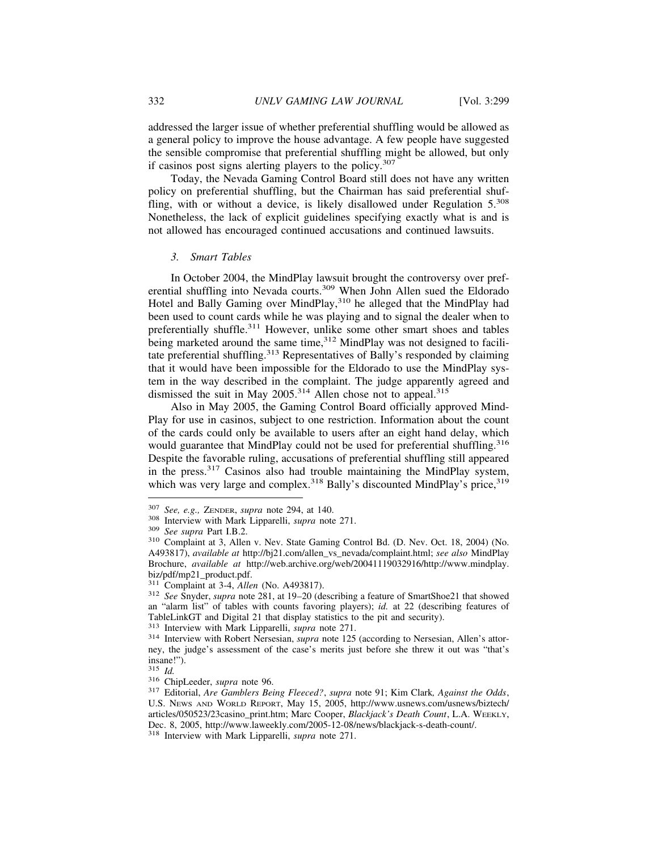addressed the larger issue of whether preferential shuffling would be allowed as a general policy to improve the house advantage. A few people have suggested the sensible compromise that preferential shuffling might be allowed, but only if casinos post signs alerting players to the policy.<sup>307</sup>

Today, the Nevada Gaming Control Board still does not have any written policy on preferential shuffling, but the Chairman has said preferential shuffling, with or without a device, is likely disallowed under Regulation 5.<sup>308</sup> Nonetheless, the lack of explicit guidelines specifying exactly what is and is not allowed has encouraged continued accusations and continued lawsuits.

#### *3. Smart Tables*

In October 2004, the MindPlay lawsuit brought the controversy over preferential shuffling into Nevada courts.<sup>309</sup> When John Allen sued the Eldorado Hotel and Bally Gaming over MindPlay,310 he alleged that the MindPlay had been used to count cards while he was playing and to signal the dealer when to preferentially shuffle.<sup>311</sup> However, unlike some other smart shoes and tables being marketed around the same time,<sup>312</sup> MindPlay was not designed to facilitate preferential shuffling.<sup>313</sup> Representatives of Bally's responded by claiming that it would have been impossible for the Eldorado to use the MindPlay system in the way described in the complaint. The judge apparently agreed and dismissed the suit in May 2005.<sup>314</sup> Allen chose not to appeal.<sup>315</sup>

Also in May 2005, the Gaming Control Board officially approved Mind-Play for use in casinos, subject to one restriction. Information about the count of the cards could only be available to users after an eight hand delay, which would guarantee that MindPlay could not be used for preferential shuffling.<sup>316</sup> Despite the favorable ruling, accusations of preferential shuffling still appeared in the press.317 Casinos also had trouble maintaining the MindPlay system, which was very large and complex.<sup>318</sup> Bally's discounted MindPlay's price,<sup>319</sup>

<sup>&</sup>lt;sup>307</sup> *See, e.g., ZENDER, supra* note 294, at 140.<br><sup>308</sup> Interview with Mark Lipparelli, *supra* note 271.<br><sup>309</sup> *See supra* Part I.B.2.<br><sup>310</sup> Complaint at 3, Allen v. Nev. State Gaming Control Bd. (D. Nev. Oct. 18, 2004) A493817), *available at* http://bj21.com/allen\_vs\_nevada/complaint.html; *see also* MindPlay Brochure, *available at* http://web.archive.org/web/20041119032916/http://www.mindplay. biz/pdf/mp21\_product.pdf.<br><sup>311</sup> Complaint at 3-4, *Allen* (No. A493817).

<sup>&</sup>lt;sup>312</sup> See Snyder, *supra* note 281, at 19-20 (describing a feature of SmartShoe21 that showed an "alarm list" of tables with counts favoring players); *id.* at 22 (describing features of TableLinkGT and Digital 21 that display statistics to the pit and security). 313 Interview with Mark Lipparelli, *supra* note 271.

<sup>&</sup>lt;sup>314</sup> Interview with Robert Nersesian, *supra* note 125 (according to Nersesian, Allen's attorney, the judge's assessment of the case's merits just before she threw it out was "that's insane!").<br> $315$   $Id$ 

<sup>315</sup> *Id.* <sup>316</sup> ChipLeeder, *supra* note 96. <sup>317</sup> Editorial, *Are Gamblers Being Fleeced?*, *supra* note 91; Kim Clark*, Against the Odds*, U.S. NEWS AND WORLD REPORT, May 15, 2005, http://www.usnews.com/usnews/biztech/ articles/050523/23casino\_print.htm; Marc Cooper, *Blackjack's Death Count*, L.A. WEEKLY, Dec. 8, 2005, http://www.laweekly.com/2005-12-08/news/blackjack-s-death-count/. <sup>318</sup> Interview with Mark Lipparelli, *supra* note 271.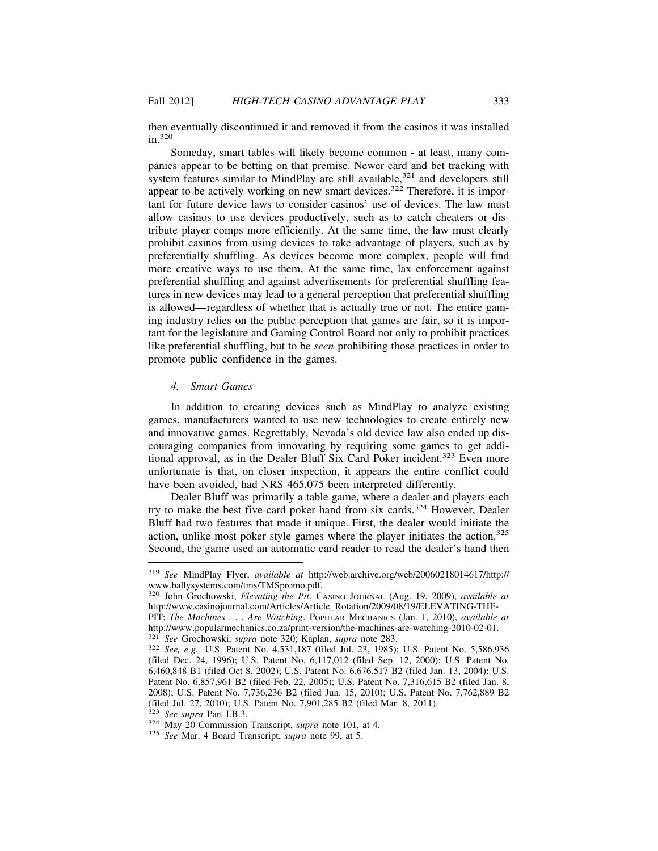then eventually discontinued it and removed it from the casinos it was installed in.<sup>320</sup>

Someday, smart tables will likely become common - at least, many companies appear to be betting on that premise. Newer card and bet tracking with system features similar to MindPlay are still available, $321$  and developers still appear to be actively working on new smart devices.<sup>322</sup> Therefore, it is important for future device laws to consider casinos' use of devices. The law must allow casinos to use devices productively, such as to catch cheaters or distribute player comps more efficiently. At the same time, the law must clearly prohibit casinos from using devices to take advantage of players, such as by preferentially shuffling. As devices become more complex, people will find more creative ways to use them. At the same time, lax enforcement against preferential shuffling and against advertisements for preferential shuffling features in new devices may lead to a general perception that preferential shuffling is allowed—regardless of whether that is actually true or not. The entire gaming industry relies on the public perception that games are fair, so it is important for the legislature and Gaming Control Board not only to prohibit practices like preferential shuffling, but to be *seen* prohibiting those practices in order to promote public confidence in the games.

# *4. Smart Games*

In addition to creating devices such as MindPlay to analyze existing games, manufacturers wanted to use new technologies to create entirely new and innovative games. Regrettably, Nevada's old device law also ended up discouraging companies from innovating by requiring some games to get additional approval, as in the Dealer Bluff Six Card Poker incident.<sup>323</sup> Even more unfortunate is that, on closer inspection, it appears the entire conflict could have been avoided, had NRS 465.075 been interpreted differently.

Dealer Bluff was primarily a table game, where a dealer and players each try to make the best five-card poker hand from six cards.<sup>324</sup> However, Dealer Bluff had two features that made it unique. First, the dealer would initiate the action, unlike most poker style games where the player initiates the action. $325$ Second, the game used an automatic card reader to read the dealer's hand then

<sup>319</sup> *See* MindPlay Flyer, *available at* http://web.archive.org/web/20060218014617/http:// www.ballysystems.com/tms/TMSpromo.pdf.

<sup>320</sup> John Grochowski, *Elevating the Pit*, CASINO JOURNAL (Aug. 19, 2009), *available at* http://www.casinojournal.com/Articles/Article\_Rotation/2009/08/19/ELEVATING-THE-

PIT; *The Machines . . . Are Watching*, POPULAR MECHANICS (Jan. 1, 2010), *available at* http://www.popularmechanics.co.za/print-version/the-machines-are-watching-2010-02-01.<br><sup>321</sup> See Grochowski, *supra* note 320; Kaplan, *supra* note 283.

<sup>&</sup>lt;sup>322</sup> *See*, *e.g.*, U.S. Patent No. 4,531,187 (filed Jul. 23, 1985); U.S. Patent No. 5,586,936 (filed Dec. 24, 1996); U.S. Patent No. 6,117,012 (filed Sep. 12, 2000); U.S. Patent No. 6,460,848 B1 (filed Oct 8, 2002); U.S. Patent No. 6,676,517 B2 (filed Jan. 13, 2004); U.S. Patent No. 6,857,961 B2 (filed Feb. 22, 2005); U.S. Patent No. 7,316,615 B2 (filed Jan. 8, 2008); U.S. Patent No. 7,736,236 B2 (filed Jun. 15, 2010); U.S. Patent No. 7,762,889 B2 (filed Jul. 27, 2010); U.S. Patent No. 7,901,285 B2 (filed Mar. 8, 2011). 323 See supra Part I.B.3.

<sup>&</sup>lt;sup>324</sup> May 20 Commission Transcript, *supra* note 101, at 4. <sup>325</sup> *See* Mar. 4 Board Transcript, *supra* note 99, at 5.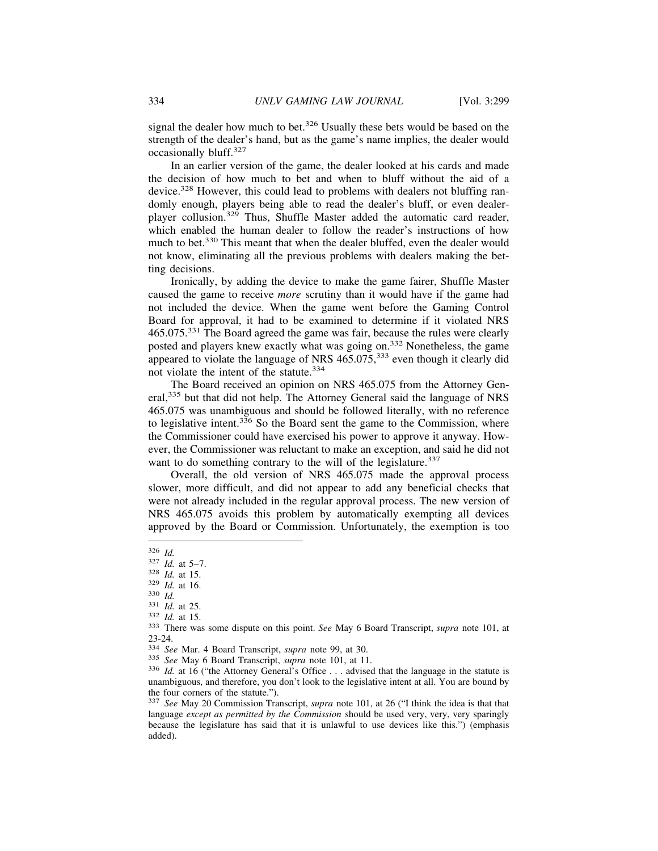signal the dealer how much to bet.<sup>326</sup> Usually these bets would be based on the strength of the dealer's hand, but as the game's name implies, the dealer would occasionally bluff.<sup>327</sup>

In an earlier version of the game, the dealer looked at his cards and made the decision of how much to bet and when to bluff without the aid of a device.328 However, this could lead to problems with dealers not bluffing randomly enough, players being able to read the dealer's bluff, or even dealerplayer collusion.329 Thus, Shuffle Master added the automatic card reader, which enabled the human dealer to follow the reader's instructions of how much to bet.330 This meant that when the dealer bluffed, even the dealer would not know, eliminating all the previous problems with dealers making the betting decisions.

Ironically, by adding the device to make the game fairer, Shuffle Master caused the game to receive *more* scrutiny than it would have if the game had not included the device. When the game went before the Gaming Control Board for approval, it had to be examined to determine if it violated NRS 465.075.331 The Board agreed the game was fair, because the rules were clearly posted and players knew exactly what was going on.332 Nonetheless, the game appeared to violate the language of NRS 465.075,333 even though it clearly did not violate the intent of the statute.<sup>334</sup>

The Board received an opinion on NRS 465.075 from the Attorney General,<sup>335</sup> but that did not help. The Attorney General said the language of NRS 465.075 was unambiguous and should be followed literally, with no reference to legislative intent. $3\overline{3}6$  So the Board sent the game to the Commission, where the Commissioner could have exercised his power to approve it anyway. However, the Commissioner was reluctant to make an exception, and said he did not want to do something contrary to the will of the legislature.<sup>337</sup>

Overall, the old version of NRS 465.075 made the approval process slower, more difficult, and did not appear to add any beneficial checks that were not already included in the regular approval process. The new version of NRS 465.075 avoids this problem by automatically exempting all devices approved by the Board or Commission. Unfortunately, the exemption is too

<sup>326</sup> *Id.*<br>
327 *Id.* at 5–7.<br>
328 *Id.* at 15.<br>
329 *Id.* at 16.<br>
331 *Id.* at 25.<br>
332 *Id.* at 15.<br>
333 There was some dispute on this point. *See* May 6 Board Transcript, *supra* note 101, at 23-24.<br><sup>334</sup> See Mar. 4 Board Transcript, *supra* note 99, at 30.

<sup>&</sup>lt;sup>335</sup> *See* May 6 Board Transcript, *supra* note 101, at 11.<br><sup>336</sup> *Id.* at 16 ("the Attorney General's Office ... advised that the language in the statute is unambiguous, and therefore, you don't look to the legislative intent at all. You are bound by the four corners of the statute.").

<sup>337</sup> *See* May 20 Commission Transcript, *supra* note 101, at 26 ("I think the idea is that that language *except as permitted by the Commission* should be used very, very, very sparingly because the legislature has said that it is unlawful to use devices like this.") (emphasis added).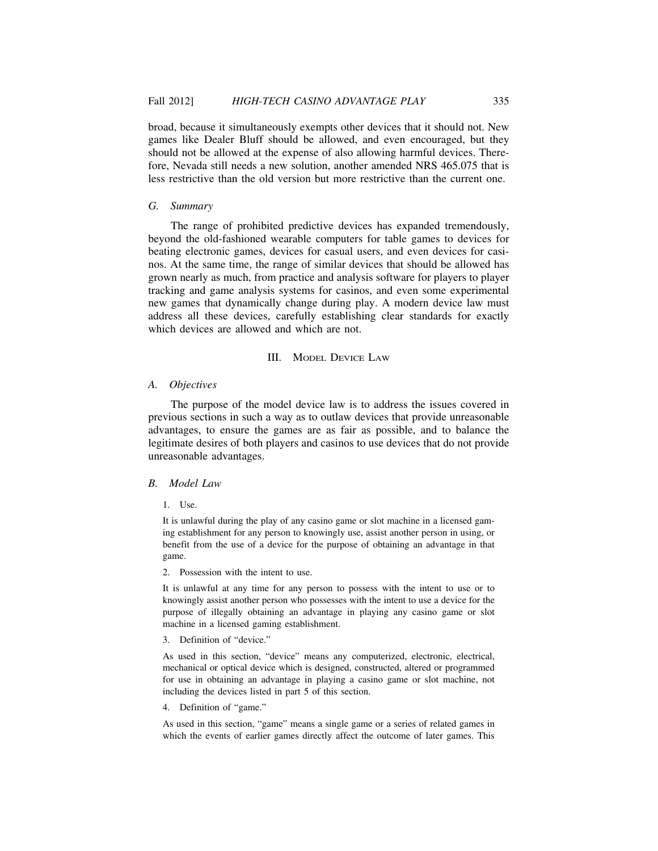broad, because it simultaneously exempts other devices that it should not. New games like Dealer Bluff should be allowed, and even encouraged, but they should not be allowed at the expense of also allowing harmful devices. Therefore, Nevada still needs a new solution, another amended NRS 465.075 that is less restrictive than the old version but more restrictive than the current one.

## *G. Summary*

The range of prohibited predictive devices has expanded tremendously, beyond the old-fashioned wearable computers for table games to devices for beating electronic games, devices for casual users, and even devices for casinos. At the same time, the range of similar devices that should be allowed has grown nearly as much, from practice and analysis software for players to player tracking and game analysis systems for casinos, and even some experimental new games that dynamically change during play. A modern device law must address all these devices, carefully establishing clear standards for exactly which devices are allowed and which are not.

#### III. MODEL DEVICE LAW

## *A. Objectives*

The purpose of the model device law is to address the issues covered in previous sections in such a way as to outlaw devices that provide unreasonable advantages, to ensure the games are as fair as possible, and to balance the legitimate desires of both players and casinos to use devices that do not provide unreasonable advantages.

#### *B. Model Law*

1. Use.

It is unlawful during the play of any casino game or slot machine in a licensed gaming establishment for any person to knowingly use, assist another person in using, or benefit from the use of a device for the purpose of obtaining an advantage in that game.

2. Possession with the intent to use.

It is unlawful at any time for any person to possess with the intent to use or to knowingly assist another person who possesses with the intent to use a device for the purpose of illegally obtaining an advantage in playing any casino game or slot machine in a licensed gaming establishment.

3. Definition of "device."

As used in this section, "device" means any computerized, electronic, electrical, mechanical or optical device which is designed, constructed, altered or programmed for use in obtaining an advantage in playing a casino game or slot machine, not including the devices listed in part 5 of this section.

4. Definition of "game."

As used in this section, "game" means a single game or a series of related games in which the events of earlier games directly affect the outcome of later games. This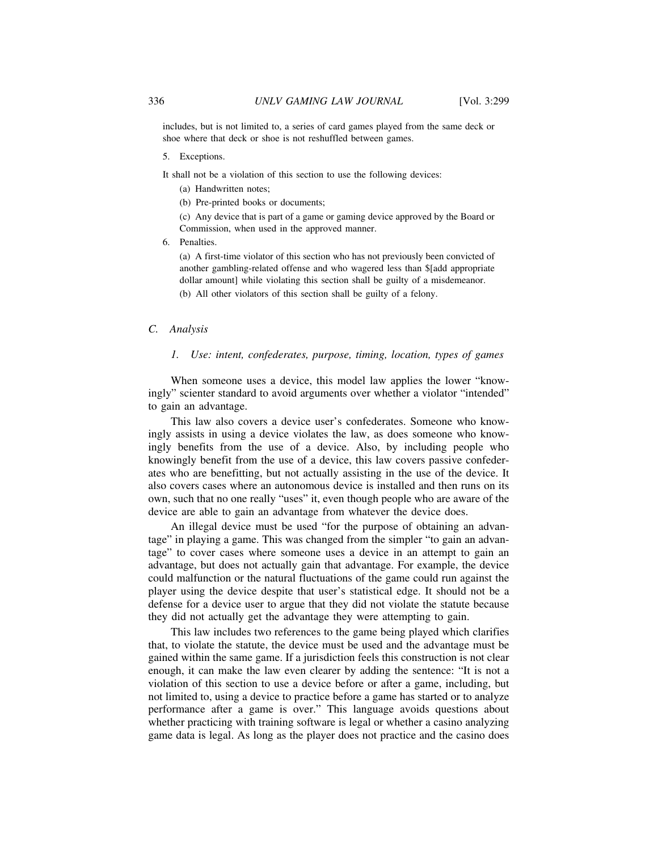includes, but is not limited to, a series of card games played from the same deck or shoe where that deck or shoe is not reshuffled between games.

5. Exceptions.

It shall not be a violation of this section to use the following devices:

- (a) Handwritten notes;
- (b) Pre-printed books or documents;

(c) Any device that is part of a game or gaming device approved by the Board or Commission, when used in the approved manner.

6. Penalties.

(a) A first-time violator of this section who has not previously been convicted of another gambling-related offense and who wagered less than \$[add appropriate dollar amount] while violating this section shall be guilty of a misdemeanor.

(b) All other violators of this section shall be guilty of a felony.

## *C. Analysis*

# *1. Use: intent, confederates, purpose, timing, location, types of games*

When someone uses a device, this model law applies the lower "knowingly" scienter standard to avoid arguments over whether a violator "intended" to gain an advantage.

This law also covers a device user's confederates. Someone who knowingly assists in using a device violates the law, as does someone who knowingly benefits from the use of a device. Also, by including people who knowingly benefit from the use of a device, this law covers passive confederates who are benefitting, but not actually assisting in the use of the device. It also covers cases where an autonomous device is installed and then runs on its own, such that no one really "uses" it, even though people who are aware of the device are able to gain an advantage from whatever the device does.

An illegal device must be used "for the purpose of obtaining an advantage" in playing a game. This was changed from the simpler "to gain an advantage" to cover cases where someone uses a device in an attempt to gain an advantage, but does not actually gain that advantage. For example, the device could malfunction or the natural fluctuations of the game could run against the player using the device despite that user's statistical edge. It should not be a defense for a device user to argue that they did not violate the statute because they did not actually get the advantage they were attempting to gain.

This law includes two references to the game being played which clarifies that, to violate the statute, the device must be used and the advantage must be gained within the same game. If a jurisdiction feels this construction is not clear enough, it can make the law even clearer by adding the sentence: "It is not a violation of this section to use a device before or after a game, including, but not limited to, using a device to practice before a game has started or to analyze performance after a game is over." This language avoids questions about whether practicing with training software is legal or whether a casino analyzing game data is legal. As long as the player does not practice and the casino does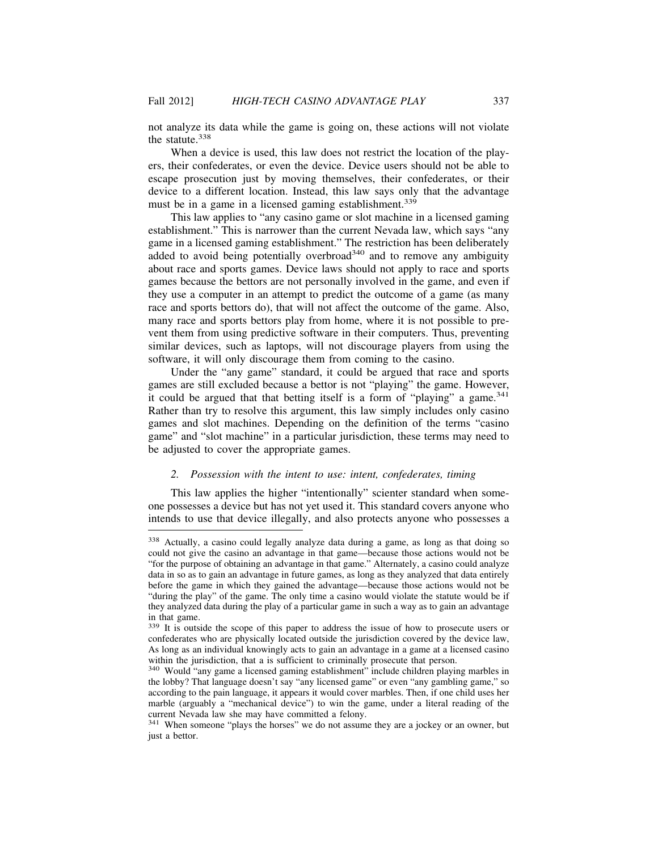not analyze its data while the game is going on, these actions will not violate the statute.<sup>338</sup>

When a device is used, this law does not restrict the location of the players, their confederates, or even the device. Device users should not be able to escape prosecution just by moving themselves, their confederates, or their device to a different location. Instead, this law says only that the advantage must be in a game in a licensed gaming establishment.<sup>339</sup>

This law applies to "any casino game or slot machine in a licensed gaming establishment." This is narrower than the current Nevada law, which says "any game in a licensed gaming establishment." The restriction has been deliberately added to avoid being potentially overbroad<sup>340</sup> and to remove any ambiguity about race and sports games. Device laws should not apply to race and sports games because the bettors are not personally involved in the game, and even if they use a computer in an attempt to predict the outcome of a game (as many race and sports bettors do), that will not affect the outcome of the game. Also, many race and sports bettors play from home, where it is not possible to prevent them from using predictive software in their computers. Thus, preventing similar devices, such as laptops, will not discourage players from using the software, it will only discourage them from coming to the casino.

Under the "any game" standard, it could be argued that race and sports games are still excluded because a bettor is not "playing" the game. However, it could be argued that that betting itself is a form of "playing" a game.<sup>341</sup> Rather than try to resolve this argument, this law simply includes only casino games and slot machines. Depending on the definition of the terms "casino game" and "slot machine" in a particular jurisdiction, these terms may need to be adjusted to cover the appropriate games.

## *2. Possession with the intent to use: intent, confederates, timing*

This law applies the higher "intentionally" scienter standard when someone possesses a device but has not yet used it. This standard covers anyone who intends to use that device illegally, and also protects anyone who possesses a

<sup>338</sup> Actually, a casino could legally analyze data during a game, as long as that doing so could not give the casino an advantage in that game—because those actions would not be "for the purpose of obtaining an advantage in that game." Alternately, a casino could analyze data in so as to gain an advantage in future games, as long as they analyzed that data entirely before the game in which they gained the advantage—because those actions would not be "during the play" of the game. The only time a casino would violate the statute would be if they analyzed data during the play of a particular game in such a way as to gain an advantage in that game.

<sup>339</sup> It is outside the scope of this paper to address the issue of how to prosecute users or confederates who are physically located outside the jurisdiction covered by the device law, As long as an individual knowingly acts to gain an advantage in a game at a licensed casino within the jurisdiction, that a is sufficient to criminally prosecute that person.

<sup>340</sup> Would "any game a licensed gaming establishment" include children playing marbles in the lobby? That language doesn't say "any licensed game" or even "any gambling game," so according to the pain language, it appears it would cover marbles. Then, if one child uses her marble (arguably a "mechanical device") to win the game, under a literal reading of the current Nevada law she may have committed a felony.

<sup>&</sup>lt;sup>341</sup> When someone "plays the horses" we do not assume they are a jockey or an owner, but just a bettor.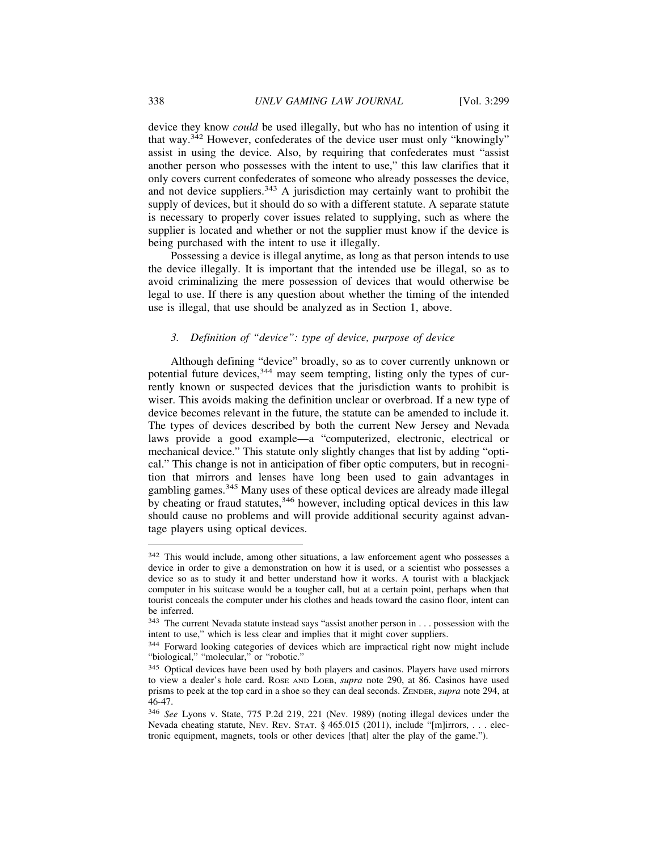device they know *could* be used illegally, but who has no intention of using it that way.342 However, confederates of the device user must only "knowingly" assist in using the device. Also, by requiring that confederates must "assist another person who possesses with the intent to use," this law clarifies that it only covers current confederates of someone who already possesses the device, and not device suppliers.<sup>343</sup> A jurisdiction may certainly want to prohibit the supply of devices, but it should do so with a different statute. A separate statute is necessary to properly cover issues related to supplying, such as where the supplier is located and whether or not the supplier must know if the device is being purchased with the intent to use it illegally.

Possessing a device is illegal anytime, as long as that person intends to use the device illegally. It is important that the intended use be illegal, so as to avoid criminalizing the mere possession of devices that would otherwise be legal to use. If there is any question about whether the timing of the intended use is illegal, that use should be analyzed as in Section 1, above.

# *3. Definition of "device": type of device, purpose of device*

Although defining "device" broadly, so as to cover currently unknown or potential future devices,  $344$  may seem tempting, listing only the types of currently known or suspected devices that the jurisdiction wants to prohibit is wiser. This avoids making the definition unclear or overbroad. If a new type of device becomes relevant in the future, the statute can be amended to include it. The types of devices described by both the current New Jersey and Nevada laws provide a good example—a "computerized, electronic, electrical or mechanical device." This statute only slightly changes that list by adding "optical." This change is not in anticipation of fiber optic computers, but in recognition that mirrors and lenses have long been used to gain advantages in gambling games.<sup>345</sup> Many uses of these optical devices are already made illegal by cheating or fraud statutes,<sup>346</sup> however, including optical devices in this law should cause no problems and will provide additional security against advantage players using optical devices.

<sup>342</sup> This would include, among other situations, a law enforcement agent who possesses a device in order to give a demonstration on how it is used, or a scientist who possesses a device so as to study it and better understand how it works. A tourist with a blackjack computer in his suitcase would be a tougher call, but at a certain point, perhaps when that tourist conceals the computer under his clothes and heads toward the casino floor, intent can be inferred.

<sup>&</sup>lt;sup>343</sup> The current Nevada statute instead says "assist another person in . . . possession with the intent to use," which is less clear and implies that it might cover suppliers.

<sup>344</sup> Forward looking categories of devices which are impractical right now might include "biological," "molecular," or "robotic."

<sup>&</sup>lt;sup>345</sup> Optical devices have been used by both players and casinos. Players have used mirrors to view a dealer's hole card. ROSE AND LOEB, *supra* note 290, at 86. Casinos have used prisms to peek at the top card in a shoe so they can deal seconds. ZENDER, *supra* note 294, at 46-47.

<sup>346</sup> *See* Lyons v. State, 775 P.2d 219, 221 (Nev. 1989) (noting illegal devices under the Nevada cheating statute, NEV. REV. STAT. § 465.015 (2011), include "[m]irrors, . . . electronic equipment, magnets, tools or other devices [that] alter the play of the game.").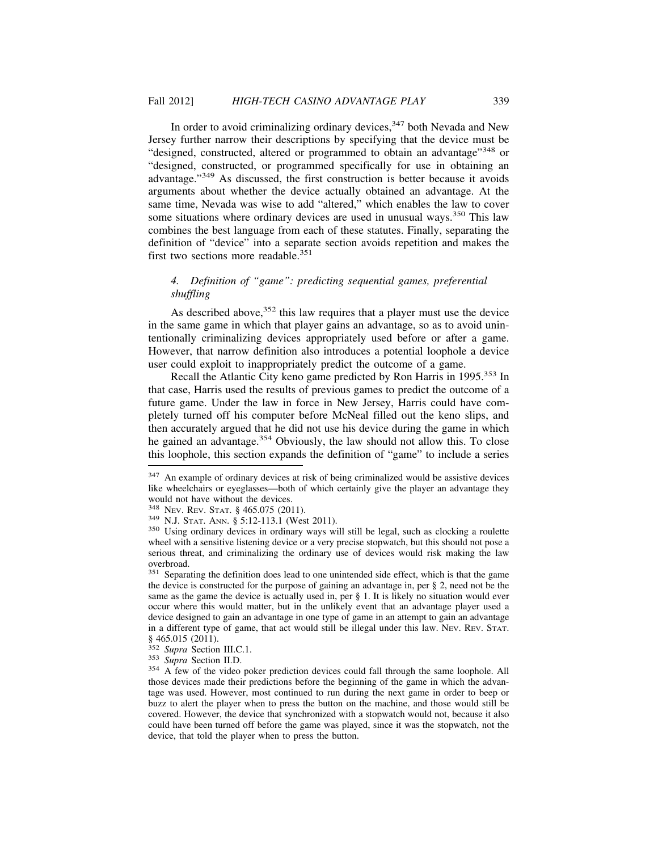In order to avoid criminalizing ordinary devices,  $347$  both Nevada and New Jersey further narrow their descriptions by specifying that the device must be "designed, constructed, altered or programmed to obtain an advantage"348 or "designed, constructed, or programmed specifically for use in obtaining an advantage."349 As discussed, the first construction is better because it avoids arguments about whether the device actually obtained an advantage. At the same time, Nevada was wise to add "altered," which enables the law to cover some situations where ordinary devices are used in unusual ways.<sup>350</sup> This law combines the best language from each of these statutes. Finally, separating the definition of "device" into a separate section avoids repetition and makes the first two sections more readable.<sup>351</sup>

# *4. Definition of "game": predicting sequential games, preferential shuffling*

As described above,  $352$  this law requires that a player must use the device in the same game in which that player gains an advantage, so as to avoid unintentionally criminalizing devices appropriately used before or after a game. However, that narrow definition also introduces a potential loophole a device user could exploit to inappropriately predict the outcome of a game.

Recall the Atlantic City keno game predicted by Ron Harris in 1995.353 In that case, Harris used the results of previous games to predict the outcome of a future game. Under the law in force in New Jersey, Harris could have completely turned off his computer before McNeal filled out the keno slips, and then accurately argued that he did not use his device during the game in which he gained an advantage.<sup>354</sup> Obviously, the law should not allow this. To close this loophole, this section expands the definition of "game" to include a series

<sup>&</sup>lt;sup>347</sup> An example of ordinary devices at risk of being criminalized would be assistive devices like wheelchairs or eyeglasses—both of which certainly give the player an advantage they would not have without the devices.<br><sup>348</sup> Nev. Rev. STAT. § 465.075 (2011).

<sup>&</sup>lt;sup>349</sup> N.J. Stat. Ann. § 5:12-113.1 (West 2011). <sup>350</sup> Using ordinary devices in ordinary ways will still be legal, such as clocking a roulette wheel with a sensitive listening device or a very precise stopwatch, but this should not pose a serious threat, and criminalizing the ordinary use of devices would risk making the law overbroad.

<sup>&</sup>lt;sup>351</sup> Separating the definition does lead to one unintended side effect, which is that the game the device is constructed for the purpose of gaining an advantage in, per § 2, need not be the same as the game the device is actually used in, per § 1. It is likely no situation would ever occur where this would matter, but in the unlikely event that an advantage player used a device designed to gain an advantage in one type of game in an attempt to gain an advantage in a different type of game, that act would still be illegal under this law. NEV. REV. STAT.  $\frac{\$}{352}$  Supra Section III.C.1.

<sup>&</sup>lt;sup>353</sup> *Supra* Section II.D.<br><sup>354</sup> A few of the video poker prediction devices could fall through the same loophole. All those devices made their predictions before the beginning of the game in which the advantage was used. However, most continued to run during the next game in order to beep or buzz to alert the player when to press the button on the machine, and those would still be covered. However, the device that synchronized with a stopwatch would not, because it also could have been turned off before the game was played, since it was the stopwatch, not the device, that told the player when to press the button.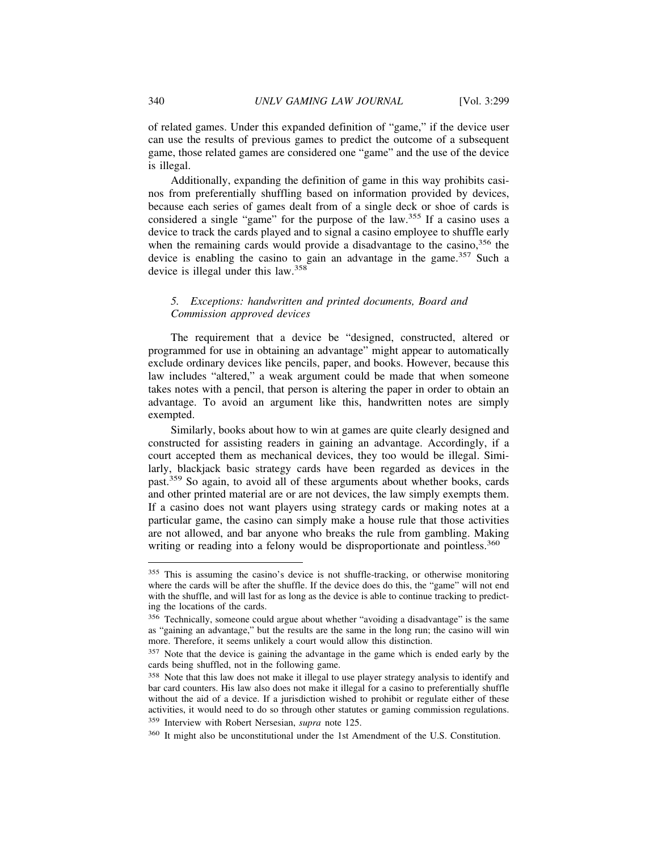of related games. Under this expanded definition of "game," if the device user can use the results of previous games to predict the outcome of a subsequent game, those related games are considered one "game" and the use of the device is illegal.

Additionally, expanding the definition of game in this way prohibits casinos from preferentially shuffling based on information provided by devices, because each series of games dealt from of a single deck or shoe of cards is considered a single "game" for the purpose of the law.355 If a casino uses a device to track the cards played and to signal a casino employee to shuffle early when the remaining cards would provide a disadvantage to the casino,  $356$  the device is enabling the casino to gain an advantage in the game.<sup>357</sup> Such a device is illegal under this law.<sup>358</sup>

# *5. Exceptions: handwritten and printed documents, Board and Commission approved devices*

The requirement that a device be "designed, constructed, altered or programmed for use in obtaining an advantage" might appear to automatically exclude ordinary devices like pencils, paper, and books. However, because this law includes "altered," a weak argument could be made that when someone takes notes with a pencil, that person is altering the paper in order to obtain an advantage. To avoid an argument like this, handwritten notes are simply exempted.

Similarly, books about how to win at games are quite clearly designed and constructed for assisting readers in gaining an advantage. Accordingly, if a court accepted them as mechanical devices, they too would be illegal. Similarly, blackjack basic strategy cards have been regarded as devices in the past.359 So again, to avoid all of these arguments about whether books, cards and other printed material are or are not devices, the law simply exempts them. If a casino does not want players using strategy cards or making notes at a particular game, the casino can simply make a house rule that those activities are not allowed, and bar anyone who breaks the rule from gambling. Making writing or reading into a felony would be disproportionate and pointless.<sup>360</sup>

<sup>355</sup> This is assuming the casino's device is not shuffle-tracking, or otherwise monitoring where the cards will be after the shuffle. If the device does do this, the "game" will not end with the shuffle, and will last for as long as the device is able to continue tracking to predicting the locations of the cards.

<sup>356</sup> Technically, someone could argue about whether "avoiding a disadvantage" is the same as "gaining an advantage," but the results are the same in the long run; the casino will win more. Therefore, it seems unlikely a court would allow this distinction.

<sup>&</sup>lt;sup>357</sup> Note that the device is gaining the advantage in the game which is ended early by the cards being shuffled, not in the following game.

<sup>&</sup>lt;sup>358</sup> Note that this law does not make it illegal to use player strategy analysis to identify and bar card counters. His law also does not make it illegal for a casino to preferentially shuffle without the aid of a device. If a jurisdiction wished to prohibit or regulate either of these activities, it would need to do so through other statutes or gaming commission regulations. <sup>359</sup> Interview with Robert Nersesian, *supra* note 125.

<sup>360</sup> It might also be unconstitutional under the 1st Amendment of the U.S. Constitution.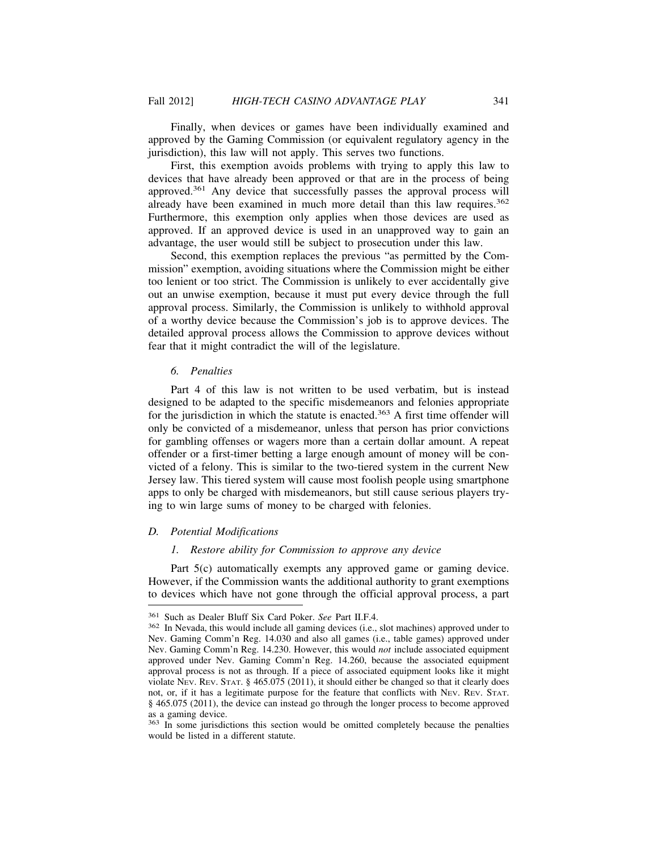Finally, when devices or games have been individually examined and approved by the Gaming Commission (or equivalent regulatory agency in the jurisdiction), this law will not apply. This serves two functions.

First, this exemption avoids problems with trying to apply this law to devices that have already been approved or that are in the process of being approved.361 Any device that successfully passes the approval process will already have been examined in much more detail than this law requires.<sup>362</sup> Furthermore, this exemption only applies when those devices are used as approved. If an approved device is used in an unapproved way to gain an advantage, the user would still be subject to prosecution under this law.

Second, this exemption replaces the previous "as permitted by the Commission" exemption, avoiding situations where the Commission might be either too lenient or too strict. The Commission is unlikely to ever accidentally give out an unwise exemption, because it must put every device through the full approval process. Similarly, the Commission is unlikely to withhold approval of a worthy device because the Commission's job is to approve devices. The detailed approval process allows the Commission to approve devices without fear that it might contradict the will of the legislature.

## *6. Penalties*

Part 4 of this law is not written to be used verbatim, but is instead designed to be adapted to the specific misdemeanors and felonies appropriate for the jurisdiction in which the statute is enacted.<sup>363</sup> A first time offender will only be convicted of a misdemeanor, unless that person has prior convictions for gambling offenses or wagers more than a certain dollar amount. A repeat offender or a first-timer betting a large enough amount of money will be convicted of a felony. This is similar to the two-tiered system in the current New Jersey law. This tiered system will cause most foolish people using smartphone apps to only be charged with misdemeanors, but still cause serious players trying to win large sums of money to be charged with felonies.

## *D. Potential Modifications*

# *1. Restore ability for Commission to approve any device*

Part 5(c) automatically exempts any approved game or gaming device. However, if the Commission wants the additional authority to grant exemptions to devices which have not gone through the official approval process, a part

<sup>361</sup> Such as Dealer Bluff Six Card Poker. *See* Part II.F.4. <sup>362</sup> In Nevada, this would include all gaming devices (i.e., slot machines) approved under to Nev. Gaming Comm'n Reg. 14.030 and also all games (i.e., table games) approved under Nev. Gaming Comm'n Reg. 14.230. However, this would *not* include associated equipment approved under Nev. Gaming Comm'n Reg. 14.260, because the associated equipment approval process is not as through. If a piece of associated equipment looks like it might violate NEV. REV. STAT. § 465.075 (2011), it should either be changed so that it clearly does not, or, if it has a legitimate purpose for the feature that conflicts with NEV. REV. STAT. § 465.075 (2011), the device can instead go through the longer process to become approved as a gaming device.

<sup>&</sup>lt;sup>363</sup> In some jurisdictions this section would be omitted completely because the penalties would be listed in a different statute.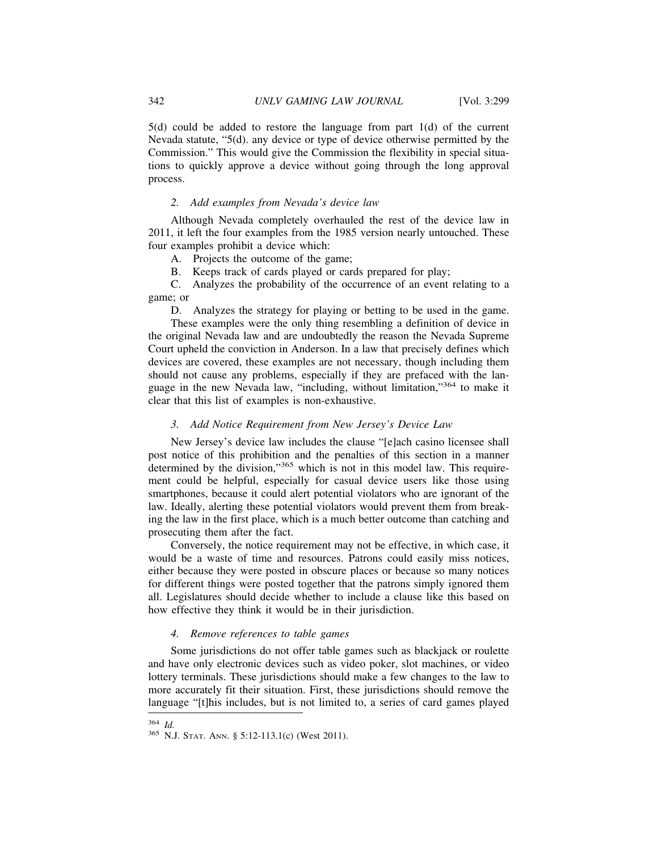5(d) could be added to restore the language from part 1(d) of the current Nevada statute, "5(d). any device or type of device otherwise permitted by the Commission." This would give the Commission the flexibility in special situations to quickly approve a device without going through the long approval process.

# *2. Add examples from Nevada's device law*

Although Nevada completely overhauled the rest of the device law in 2011, it left the four examples from the 1985 version nearly untouched. These four examples prohibit a device which:

A. Projects the outcome of the game;

B. Keeps track of cards played or cards prepared for play;

C. Analyzes the probability of the occurrence of an event relating to a game; or

D. Analyzes the strategy for playing or betting to be used in the game.

These examples were the only thing resembling a definition of device in the original Nevada law and are undoubtedly the reason the Nevada Supreme Court upheld the conviction in Anderson. In a law that precisely defines which devices are covered, these examples are not necessary, though including them should not cause any problems, especially if they are prefaced with the language in the new Nevada law, "including, without limitation,"364 to make it clear that this list of examples is non-exhaustive.

## *3. Add Notice Requirement from New Jersey's Device Law*

New Jersey's device law includes the clause "[e]ach casino licensee shall post notice of this prohibition and the penalties of this section in a manner determined by the division,"<sup>365</sup> which is not in this model law. This requirement could be helpful, especially for casual device users like those using smartphones, because it could alert potential violators who are ignorant of the law. Ideally, alerting these potential violators would prevent them from breaking the law in the first place, which is a much better outcome than catching and prosecuting them after the fact.

Conversely, the notice requirement may not be effective, in which case, it would be a waste of time and resources. Patrons could easily miss notices, either because they were posted in obscure places or because so many notices for different things were posted together that the patrons simply ignored them all. Legislatures should decide whether to include a clause like this based on how effective they think it would be in their jurisdiction.

## *4. Remove references to table games*

Some jurisdictions do not offer table games such as blackjack or roulette and have only electronic devices such as video poker, slot machines, or video lottery terminals. These jurisdictions should make a few changes to the law to more accurately fit their situation. First, these jurisdictions should remove the language "[t]his includes, but is not limited to, a series of card games played

<sup>364</sup> *Id.* <sup>365</sup> N.J. STAT. ANN. § 5:12-113.1(c) (West 2011).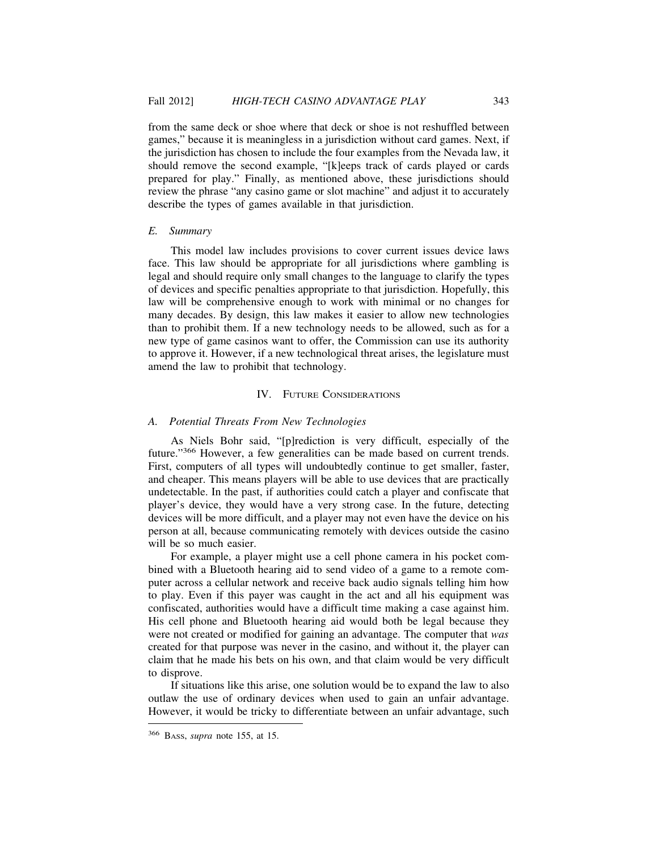from the same deck or shoe where that deck or shoe is not reshuffled between games," because it is meaningless in a jurisdiction without card games. Next, if the jurisdiction has chosen to include the four examples from the Nevada law, it should remove the second example, "[k]eeps track of cards played or cards prepared for play." Finally, as mentioned above, these jurisdictions should review the phrase "any casino game or slot machine" and adjust it to accurately describe the types of games available in that jurisdiction.

# *E. Summary*

This model law includes provisions to cover current issues device laws face. This law should be appropriate for all jurisdictions where gambling is legal and should require only small changes to the language to clarify the types of devices and specific penalties appropriate to that jurisdiction. Hopefully, this law will be comprehensive enough to work with minimal or no changes for many decades. By design, this law makes it easier to allow new technologies than to prohibit them. If a new technology needs to be allowed, such as for a new type of game casinos want to offer, the Commission can use its authority to approve it. However, if a new technological threat arises, the legislature must amend the law to prohibit that technology.

#### IV. FUTURE CONSIDERATIONS

## *A. Potential Threats From New Technologies*

As Niels Bohr said, "[p]rediction is very difficult, especially of the future."366 However, a few generalities can be made based on current trends. First, computers of all types will undoubtedly continue to get smaller, faster, and cheaper. This means players will be able to use devices that are practically undetectable. In the past, if authorities could catch a player and confiscate that player's device, they would have a very strong case. In the future, detecting devices will be more difficult, and a player may not even have the device on his person at all, because communicating remotely with devices outside the casino will be so much easier.

For example, a player might use a cell phone camera in his pocket combined with a Bluetooth hearing aid to send video of a game to a remote computer across a cellular network and receive back audio signals telling him how to play. Even if this payer was caught in the act and all his equipment was confiscated, authorities would have a difficult time making a case against him. His cell phone and Bluetooth hearing aid would both be legal because they were not created or modified for gaining an advantage. The computer that *was* created for that purpose was never in the casino, and without it, the player can claim that he made his bets on his own, and that claim would be very difficult to disprove.

If situations like this arise, one solution would be to expand the law to also outlaw the use of ordinary devices when used to gain an unfair advantage. However, it would be tricky to differentiate between an unfair advantage, such

<sup>366</sup> BASS, *supra* note 155, at 15.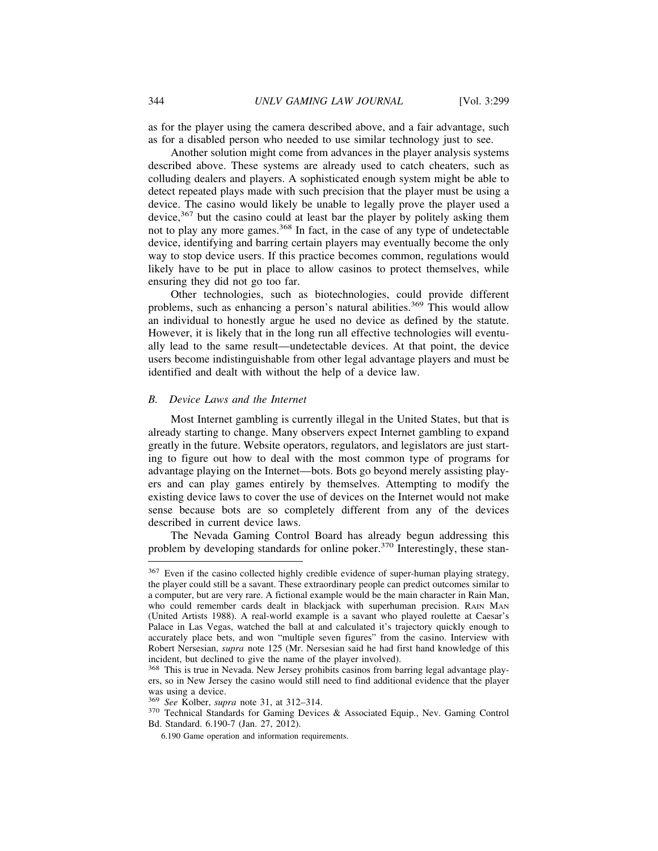as for the player using the camera described above, and a fair advantage, such as for a disabled person who needed to use similar technology just to see.

Another solution might come from advances in the player analysis systems described above. These systems are already used to catch cheaters, such as colluding dealers and players. A sophisticated enough system might be able to detect repeated plays made with such precision that the player must be using a device. The casino would likely be unable to legally prove the player used a device,<sup>367</sup> but the casino could at least bar the player by politely asking them not to play any more games.<sup>368</sup> In fact, in the case of any type of undetectable device, identifying and barring certain players may eventually become the only way to stop device users. If this practice becomes common, regulations would likely have to be put in place to allow casinos to protect themselves, while ensuring they did not go too far.

Other technologies, such as biotechnologies, could provide different problems, such as enhancing a person's natural abilities.<sup>369</sup> This would allow an individual to honestly argue he used no device as defined by the statute. However, it is likely that in the long run all effective technologies will eventually lead to the same result—undetectable devices. At that point, the device users become indistinguishable from other legal advantage players and must be identified and dealt with without the help of a device law.

#### *B. Device Laws and the Internet*

Most Internet gambling is currently illegal in the United States, but that is already starting to change. Many observers expect Internet gambling to expand greatly in the future. Website operators, regulators, and legislators are just starting to figure out how to deal with the most common type of programs for advantage playing on the Internet—bots. Bots go beyond merely assisting players and can play games entirely by themselves. Attempting to modify the existing device laws to cover the use of devices on the Internet would not make sense because bots are so completely different from any of the devices described in current device laws.

The Nevada Gaming Control Board has already begun addressing this problem by developing standards for online poker.370 Interestingly, these stan-

<sup>&</sup>lt;sup>367</sup> Even if the casino collected highly credible evidence of super-human playing strategy, the player could still be a savant. These extraordinary people can predict outcomes similar to a computer, but are very rare. A fictional example would be the main character in Rain Man, who could remember cards dealt in blackjack with superhuman precision. RAIN MAN (United Artists 1988). A real-world example is a savant who played roulette at Caesar's Palace in Las Vegas, watched the ball at and calculated it's trajectory quickly enough to accurately place bets, and won "multiple seven figures" from the casino. Interview with Robert Nersesian, *supra* note 125 (Mr. Nersesian said he had first hand knowledge of this incident, but declined to give the name of the player involved).

<sup>368</sup> This is true in Nevada. New Jersey prohibits casinos from barring legal advantage players, so in New Jersey the casino would still need to find additional evidence that the player was using a device.<br><sup>369</sup> See Kolber, *supra* note 31, at 312–314.

<sup>&</sup>lt;sup>370</sup> Technical Standards for Gaming Devices & Associated Equip., Nev. Gaming Control Bd. Standard. 6.190-7 (Jan. 27, 2012).

<sup>6.190</sup> Game operation and information requirements.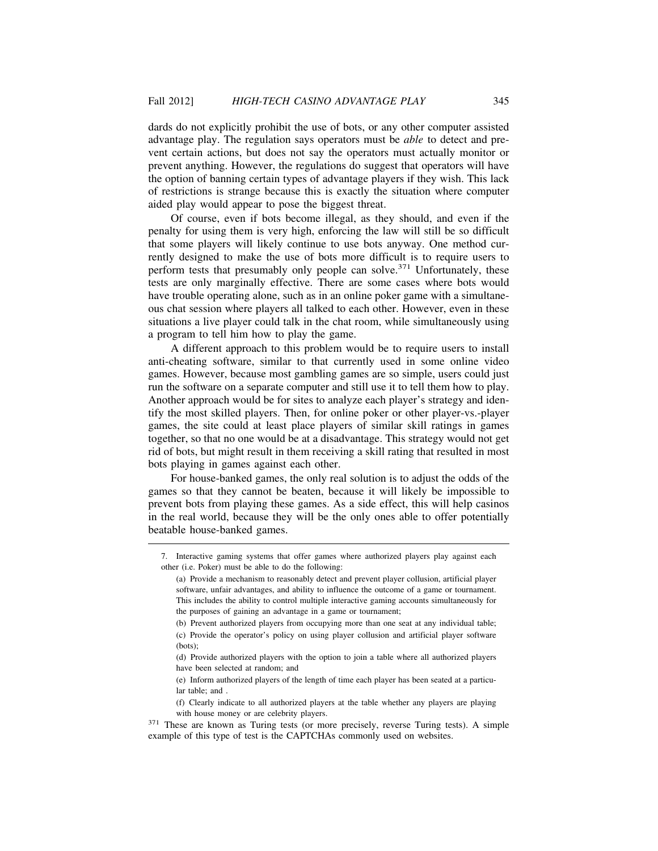dards do not explicitly prohibit the use of bots, or any other computer assisted advantage play. The regulation says operators must be *able* to detect and prevent certain actions, but does not say the operators must actually monitor or prevent anything. However, the regulations do suggest that operators will have the option of banning certain types of advantage players if they wish. This lack of restrictions is strange because this is exactly the situation where computer aided play would appear to pose the biggest threat.

Of course, even if bots become illegal, as they should, and even if the penalty for using them is very high, enforcing the law will still be so difficult that some players will likely continue to use bots anyway. One method currently designed to make the use of bots more difficult is to require users to perform tests that presumably only people can solve.<sup>371</sup> Unfortunately, these tests are only marginally effective. There are some cases where bots would have trouble operating alone, such as in an online poker game with a simultaneous chat session where players all talked to each other. However, even in these situations a live player could talk in the chat room, while simultaneously using a program to tell him how to play the game.

A different approach to this problem would be to require users to install anti-cheating software, similar to that currently used in some online video games. However, because most gambling games are so simple, users could just run the software on a separate computer and still use it to tell them how to play. Another approach would be for sites to analyze each player's strategy and identify the most skilled players. Then, for online poker or other player-vs.-player games, the site could at least place players of similar skill ratings in games together, so that no one would be at a disadvantage. This strategy would not get rid of bots, but might result in them receiving a skill rating that resulted in most bots playing in games against each other.

For house-banked games, the only real solution is to adjust the odds of the games so that they cannot be beaten, because it will likely be impossible to prevent bots from playing these games. As a side effect, this will help casinos in the real world, because they will be the only ones able to offer potentially beatable house-banked games.

<sup>7.</sup> Interactive gaming systems that offer games where authorized players play against each other (i.e. Poker) must be able to do the following:

<sup>(</sup>a) Provide a mechanism to reasonably detect and prevent player collusion, artificial player software, unfair advantages, and ability to influence the outcome of a game or tournament. This includes the ability to control multiple interactive gaming accounts simultaneously for the purposes of gaining an advantage in a game or tournament;

<sup>(</sup>b) Prevent authorized players from occupying more than one seat at any individual table; (c) Provide the operator's policy on using player collusion and artificial player software (bots);

<sup>(</sup>d) Provide authorized players with the option to join a table where all authorized players have been selected at random; and

<sup>(</sup>e) Inform authorized players of the length of time each player has been seated at a particular table; and .

<sup>(</sup>f) Clearly indicate to all authorized players at the table whether any players are playing with house money or are celebrity players.

<sup>371</sup> These are known as Turing tests (or more precisely, reverse Turing tests). A simple example of this type of test is the CAPTCHAs commonly used on websites.